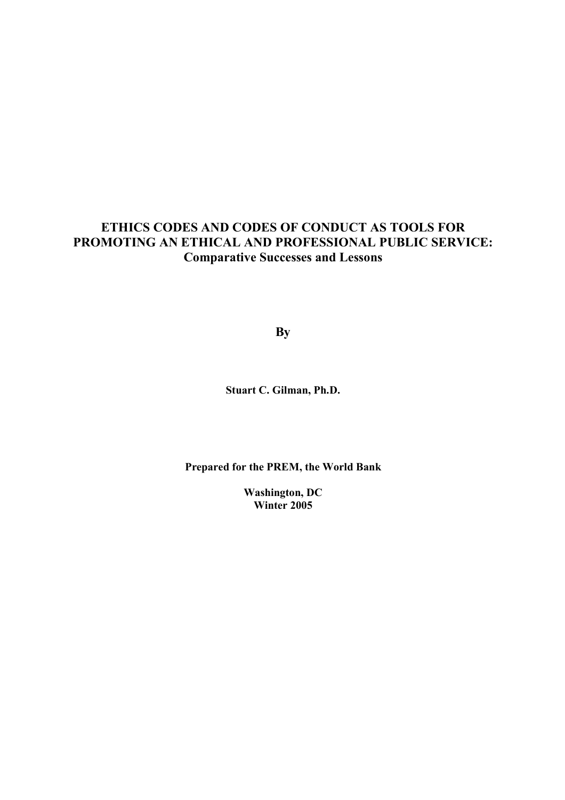# **ETHICS CODES AND CODES OF CONDUCT AS TOOLS FOR PROMOTING AN ETHICAL AND PROFESSIONAL PUBLIC SERVICE: Comparative Successes and Lessons**

**By** 

**Stuart C. Gilman, Ph.D.** 

**Prepared for the PREM, the World Bank** 

**Washington, DC Winter 2005**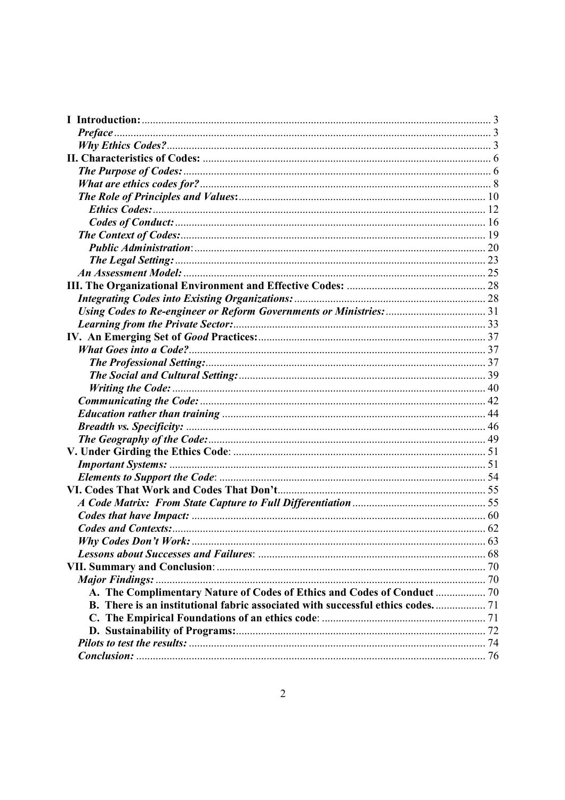| The Legal Setting: 23                                                       |  |
|-----------------------------------------------------------------------------|--|
|                                                                             |  |
|                                                                             |  |
|                                                                             |  |
|                                                                             |  |
|                                                                             |  |
|                                                                             |  |
|                                                                             |  |
|                                                                             |  |
|                                                                             |  |
|                                                                             |  |
|                                                                             |  |
|                                                                             |  |
|                                                                             |  |
|                                                                             |  |
|                                                                             |  |
|                                                                             |  |
|                                                                             |  |
|                                                                             |  |
|                                                                             |  |
|                                                                             |  |
|                                                                             |  |
|                                                                             |  |
|                                                                             |  |
|                                                                             |  |
|                                                                             |  |
|                                                                             |  |
| B. There is an institutional fabric associated with successful ethics codes |  |
|                                                                             |  |
|                                                                             |  |
|                                                                             |  |
|                                                                             |  |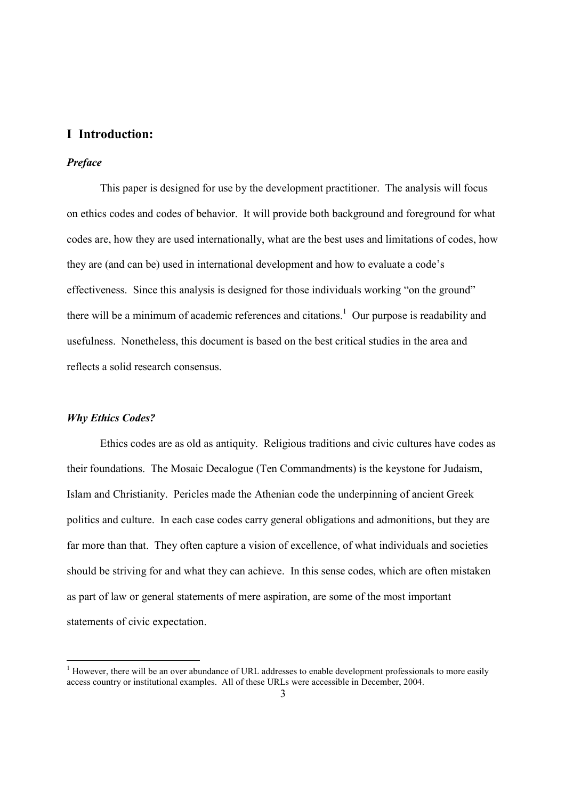## **I Introduction:**

### *Preface*

 This paper is designed for use by the development practitioner. The analysis will focus on ethics codes and codes of behavior. It will provide both background and foreground for what codes are, how they are used internationally, what are the best uses and limitations of codes, how they are (and can be) used in international development and how to evaluate a code's effectiveness. Since this analysis is designed for those individuals working "on the ground" there will be a minimum of academic references and citations.<sup>1</sup> Our purpose is readability and usefulness. Nonetheless, this document is based on the best critical studies in the area and reflects a solid research consensus.

#### *Why Ethics Codes?*

-

 Ethics codes are as old as antiquity. Religious traditions and civic cultures have codes as their foundations. The Mosaic Decalogue (Ten Commandments) is the keystone for Judaism, Islam and Christianity. Pericles made the Athenian code the underpinning of ancient Greek politics and culture. In each case codes carry general obligations and admonitions, but they are far more than that. They often capture a vision of excellence, of what individuals and societies should be striving for and what they can achieve. In this sense codes, which are often mistaken as part of law or general statements of mere aspiration, are some of the most important statements of civic expectation.

 $1$  However, there will be an over abundance of URL addresses to enable development professionals to more easily access country or institutional examples. All of these URLs were accessible in December, 2004.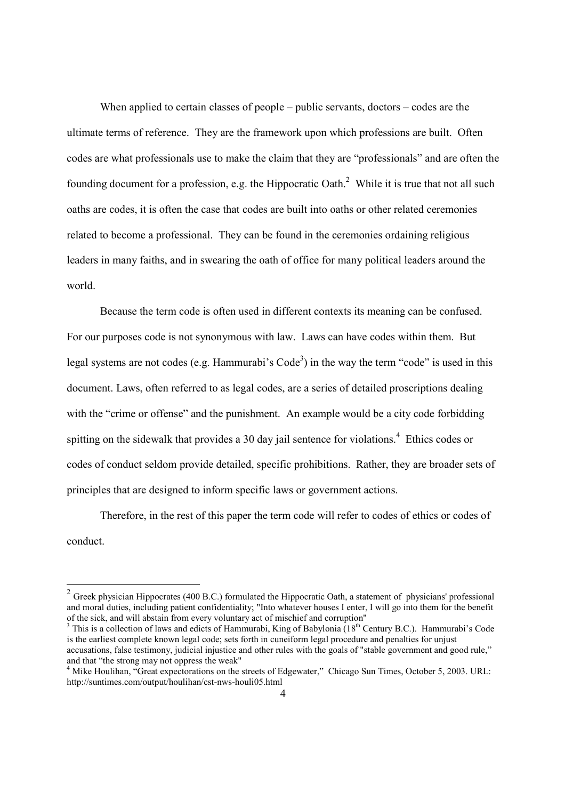When applied to certain classes of people – public servants, doctors – codes are the ultimate terms of reference. They are the framework upon which professions are built. Often codes are what professionals use to make the claim that they are "professionals" and are often the founding document for a profession, e.g. the Hippocratic Oath. $^2$  While it is true that not all such oaths are codes, it is often the case that codes are built into oaths or other related ceremonies related to become a professional. They can be found in the ceremonies ordaining religious leaders in many faiths, and in swearing the oath of office for many political leaders around the world.

 Because the term code is often used in different contexts its meaning can be confused. For our purposes code is not synonymous with law. Laws can have codes within them. But legal systems are not codes (e.g. Hammurabi's  $Code<sup>3</sup>$ ) in the way the term "code" is used in this document. Laws, often referred to as legal codes, are a series of detailed proscriptions dealing with the "crime or offense" and the punishment. An example would be a city code forbidding spitting on the sidewalk that provides a 30 day jail sentence for violations.<sup>4</sup> Ethics codes or codes of conduct seldom provide detailed, specific prohibitions. Rather, they are broader sets of principles that are designed to inform specific laws or government actions.

 Therefore, in the rest of this paper the term code will refer to codes of ethics or codes of conduct.

 $2$  Greek physician Hippocrates (400 B.C.) formulated the Hippocratic Oath, a statement of physicians' professional and moral duties, including patient confidentiality; "Into whatever houses I enter, I will go into them for the benefit of the sick, and will abstain from every voluntary act of mischief and corruption"

<sup>&</sup>lt;sup>3</sup> This is a collection of laws and edicts of Hammurabi, King of Babylonia  $(18<sup>th</sup>$  Century B.C.). Hammurabi's Code is the earliest complete known legal code; sets forth in cuneiform legal procedure and penalties for unjust accusations, false testimony, judicial injustice and other rules with the goals of "stable government and good rule," and that "the strong may not oppress the weak"

<sup>&</sup>lt;sup>4</sup> Mike Houlihan, "Great expectorations on the streets of Edgewater," Chicago Sun Times, October 5, 2003. URL: http://suntimes.com/output/houlihan/cst-nws-houli05.html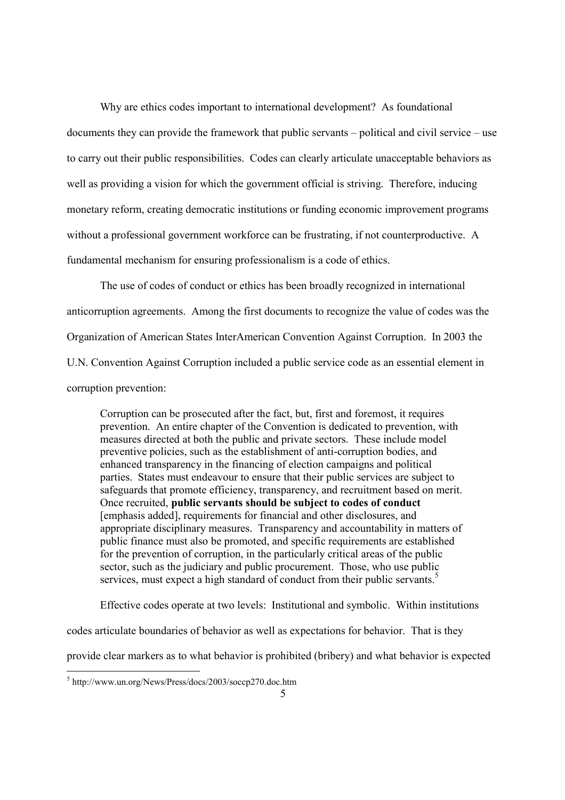Why are ethics codes important to international development? As foundational documents they can provide the framework that public servants – political and civil service – use to carry out their public responsibilities. Codes can clearly articulate unacceptable behaviors as well as providing a vision for which the government official is striving. Therefore, inducing monetary reform, creating democratic institutions or funding economic improvement programs without a professional government workforce can be frustrating, if not counterproductive. A fundamental mechanism for ensuring professionalism is a code of ethics.

 The use of codes of conduct or ethics has been broadly recognized in international anticorruption agreements. Among the first documents to recognize the value of codes was the Organization of American States InterAmerican Convention Against Corruption. In 2003 the U.N. Convention Against Corruption included a public service code as an essential element in corruption prevention:

Corruption can be prosecuted after the fact, but, first and foremost, it requires prevention. An entire chapter of the Convention is dedicated to prevention, with measures directed at both the public and private sectors. These include model preventive policies, such as the establishment of anti-corruption bodies, and enhanced transparency in the financing of election campaigns and political parties. States must endeavour to ensure that their public services are subject to safeguards that promote efficiency, transparency, and recruitment based on merit. Once recruited, **public servants should be subject to codes of conduct**  [emphasis added], requirements for financial and other disclosures, and appropriate disciplinary measures. Transparency and accountability in matters of public finance must also be promoted, and specific requirements are established for the prevention of corruption, in the particularly critical areas of the public sector, such as the judiciary and public procurement. Those, who use public services, must expect a high standard of conduct from their public servants.<sup>5</sup>

Effective codes operate at two levels: Institutional and symbolic. Within institutions

codes articulate boundaries of behavior as well as expectations for behavior. That is they

provide clear markers as to what behavior is prohibited (bribery) and what behavior is expected

 5 http://www.un.org/News/Press/docs/2003/soccp270.doc.htm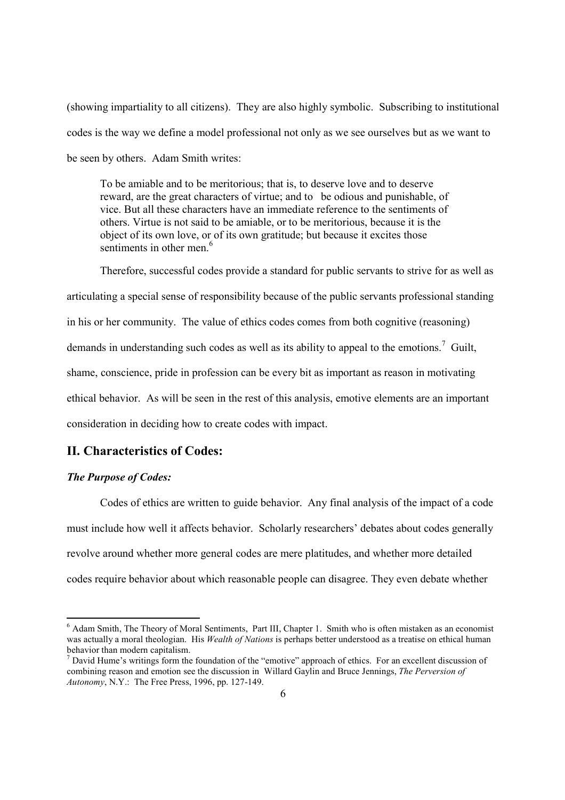(showing impartiality to all citizens). They are also highly symbolic. Subscribing to institutional codes is the way we define a model professional not only as we see ourselves but as we want to be seen by others. Adam Smith writes:

To be amiable and to be meritorious; that is, to deserve love and to deserve reward, are the great characters of virtue; and to be odious and punishable, of vice. But all these characters have an immediate reference to the sentiments of others. Virtue is not said to be amiable, or to be meritorious, because it is the object of its own love, or of its own gratitude; but because it excites those sentiments in other men $<sup>6</sup>$ </sup>

 Therefore, successful codes provide a standard for public servants to strive for as well as articulating a special sense of responsibility because of the public servants professional standing in his or her community. The value of ethics codes comes from both cognitive (reasoning) demands in understanding such codes as well as its ability to appeal to the emotions.<sup>7</sup> Guilt, shame, conscience, pride in profession can be every bit as important as reason in motivating ethical behavior. As will be seen in the rest of this analysis, emotive elements are an important consideration in deciding how to create codes with impact.

## **II. Characteristics of Codes:**

### *The Purpose of Codes:*

-

 Codes of ethics are written to guide behavior. Any final analysis of the impact of a code must include how well it affects behavior. Scholarly researchers' debates about codes generally revolve around whether more general codes are mere platitudes, and whether more detailed codes require behavior about which reasonable people can disagree. They even debate whether

<sup>&</sup>lt;sup>6</sup> Adam Smith, The Theory of Moral Sentiments, Part III, Chapter 1. Smith who is often mistaken as an economist was actually a moral theologian. His *Wealth of Nations* is perhaps better understood as a treatise on ethical human behavior than modern capitalism.

 $<sup>7</sup>$  David Hume's writings form the foundation of the "emotive" approach of ethics. For an excellent discussion of</sup> combining reason and emotion see the discussion in Willard Gaylin and Bruce Jennings, *The Perversion of Autonomy*, N.Y.: The Free Press, 1996, pp. 127-149.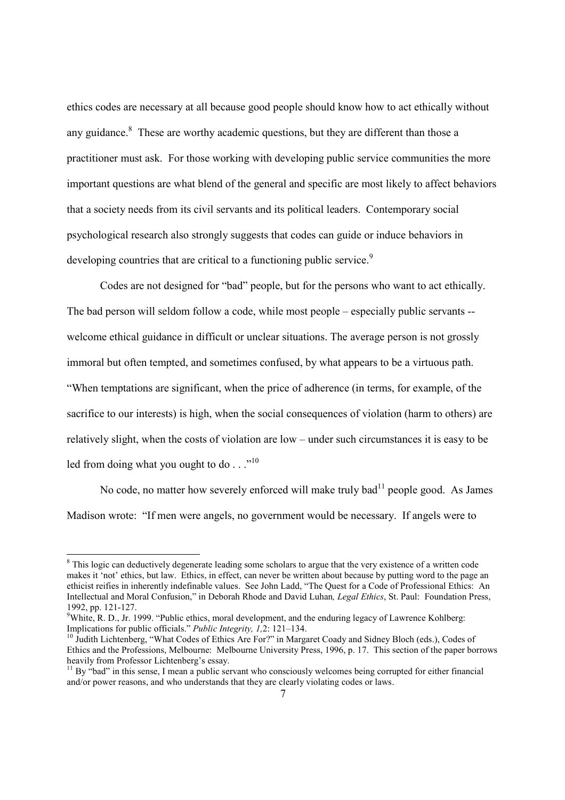ethics codes are necessary at all because good people should know how to act ethically without any guidance. $8$  These are worthy academic questions, but they are different than those a practitioner must ask. For those working with developing public service communities the more important questions are what blend of the general and specific are most likely to affect behaviors that a society needs from its civil servants and its political leaders. Contemporary social psychological research also strongly suggests that codes can guide or induce behaviors in developing countries that are critical to a functioning public service.<sup>9</sup>

 Codes are not designed for "bad" people, but for the persons who want to act ethically. The bad person will seldom follow a code, while most people – especially public servants - welcome ethical guidance in difficult or unclear situations. The average person is not grossly immoral but often tempted, and sometimes confused, by what appears to be a virtuous path. "When temptations are significant, when the price of adherence (in terms, for example, of the sacrifice to our interests) is high, when the social consequences of violation (harm to others) are relatively slight, when the costs of violation are low – under such circumstances it is easy to be led from doing what you ought to do . . ."<sup>10</sup>

No code, no matter how severely enforced will make truly bad $<sup>11</sup>$  people good. As James</sup> Madison wrote: "If men were angels, no government would be necessary. If angels were to

<sup>&</sup>lt;sup>8</sup> This logic can deductively degenerate leading some scholars to argue that the very existence of a written code makes it 'not' ethics, but law. Ethics, in effect, can never be written about because by putting word to the page an ethicist reifies in inherently indefinable values. See John Ladd, "The Quest for a Code of Professional Ethics: An Intellectual and Moral Confusion," in Deborah Rhode and David Luhan*, Legal Ethics*, St. Paul: Foundation Press, 1992, pp. 121-127.

<sup>&</sup>lt;sup>9</sup>White, R. D., Jr. 1999. "Public ethics, moral development, and the enduring legacy of Lawrence Kohlberg: Implications for public officials." *Public Integrity, 1,2*: 121–134.<br><sup>10</sup> Judith Lichtenberg, "What Codes of Ethics Are For?" in Margaret Coady and Sidney Bloch (eds.), Codes of

Ethics and the Professions, Melbourne: Melbourne University Press, 1996, p. 17. This section of the paper borrows heavily from Professor Lichtenberg's essay.

 $11$  By "bad" in this sense, I mean a public servant who consciously welcomes being corrupted for either financial and/or power reasons, and who understands that they are clearly violating codes or laws.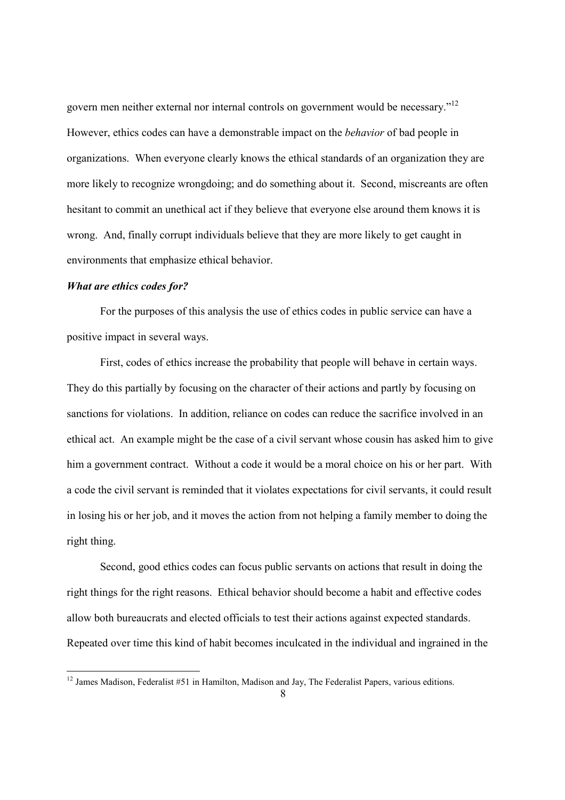govern men neither external nor internal controls on government would be necessary."<sup>12</sup> However, ethics codes can have a demonstrable impact on the *behavior* of bad people in organizations. When everyone clearly knows the ethical standards of an organization they are more likely to recognize wrongdoing; and do something about it. Second, miscreants are often hesitant to commit an unethical act if they believe that everyone else around them knows it is wrong. And, finally corrupt individuals believe that they are more likely to get caught in environments that emphasize ethical behavior.

### *What are ethics codes for?*

1

 For the purposes of this analysis the use of ethics codes in public service can have a positive impact in several ways.

 First, codes of ethics increase the probability that people will behave in certain ways. They do this partially by focusing on the character of their actions and partly by focusing on sanctions for violations. In addition, reliance on codes can reduce the sacrifice involved in an ethical act. An example might be the case of a civil servant whose cousin has asked him to give him a government contract. Without a code it would be a moral choice on his or her part. With a code the civil servant is reminded that it violates expectations for civil servants, it could result in losing his or her job, and it moves the action from not helping a family member to doing the right thing.

 Second, good ethics codes can focus public servants on actions that result in doing the right things for the right reasons. Ethical behavior should become a habit and effective codes allow both bureaucrats and elected officials to test their actions against expected standards. Repeated over time this kind of habit becomes inculcated in the individual and ingrained in the

 $12$  James Madison, Federalist #51 in Hamilton, Madison and Jay, The Federalist Papers, various editions.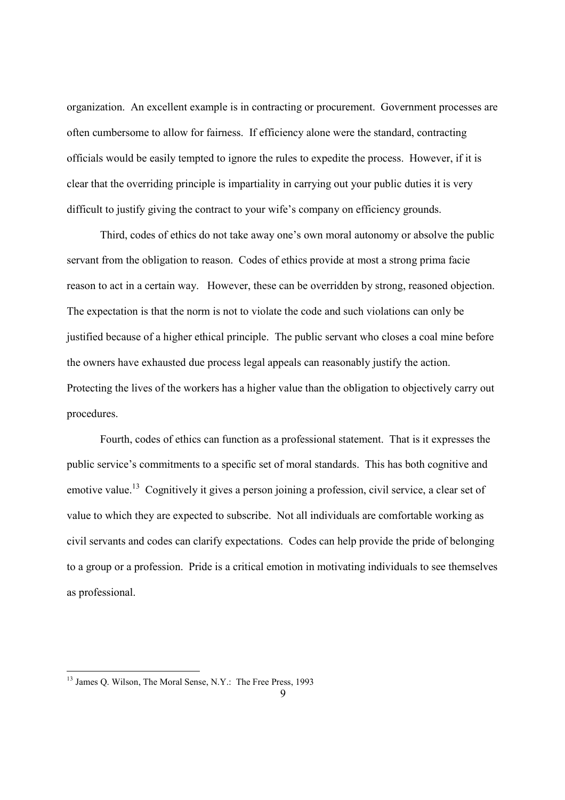organization. An excellent example is in contracting or procurement. Government processes are often cumbersome to allow for fairness. If efficiency alone were the standard, contracting officials would be easily tempted to ignore the rules to expedite the process. However, if it is clear that the overriding principle is impartiality in carrying out your public duties it is very difficult to justify giving the contract to your wife's company on efficiency grounds.

 Third, codes of ethics do not take away one's own moral autonomy or absolve the public servant from the obligation to reason. Codes of ethics provide at most a strong prima facie reason to act in a certain way. However, these can be overridden by strong, reasoned objection. The expectation is that the norm is not to violate the code and such violations can only be justified because of a higher ethical principle. The public servant who closes a coal mine before the owners have exhausted due process legal appeals can reasonably justify the action. Protecting the lives of the workers has a higher value than the obligation to objectively carry out procedures.

 Fourth, codes of ethics can function as a professional statement. That is it expresses the public service's commitments to a specific set of moral standards. This has both cognitive and emotive value.<sup>13</sup> Cognitively it gives a person joining a profession, civil service, a clear set of value to which they are expected to subscribe. Not all individuals are comfortable working as civil servants and codes can clarify expectations. Codes can help provide the pride of belonging to a group or a profession. Pride is a critical emotion in motivating individuals to see themselves as professional.

1

<sup>&</sup>lt;sup>13</sup> James Q. Wilson, The Moral Sense, N.Y.: The Free Press, 1993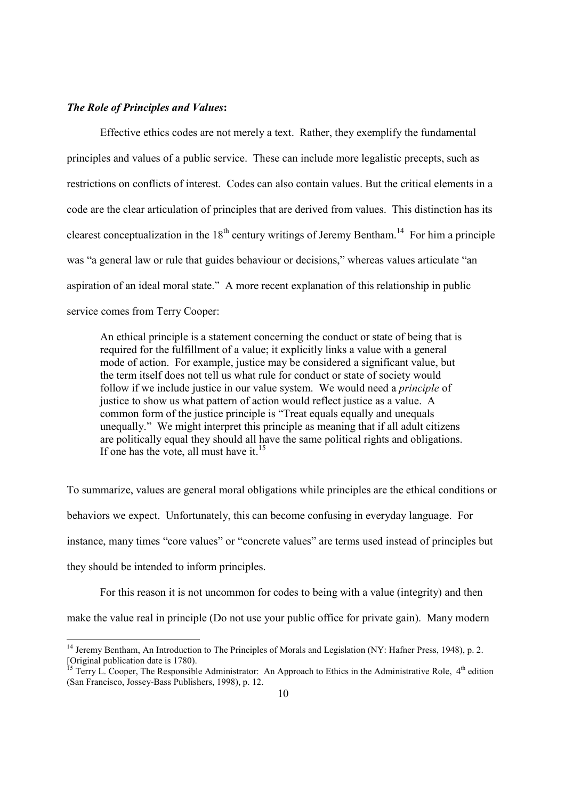#### *The Role of Principles and Values***:**

-

 Effective ethics codes are not merely a text. Rather, they exemplify the fundamental principles and values of a public service. These can include more legalistic precepts, such as restrictions on conflicts of interest. Codes can also contain values. But the critical elements in a code are the clear articulation of principles that are derived from values. This distinction has its clearest conceptualization in the  $18<sup>th</sup>$  century writings of Jeremy Bentham.<sup>14</sup> For him a principle was "a general law or rule that guides behaviour or decisions," whereas values articulate "an aspiration of an ideal moral state." A more recent explanation of this relationship in public service comes from Terry Cooper:

An ethical principle is a statement concerning the conduct or state of being that is required for the fulfillment of a value; it explicitly links a value with a general mode of action. For example, justice may be considered a significant value, but the term itself does not tell us what rule for conduct or state of society would follow if we include justice in our value system. We would need a *principle* of justice to show us what pattern of action would reflect justice as a value. A common form of the justice principle is "Treat equals equally and unequals unequally." We might interpret this principle as meaning that if all adult citizens are politically equal they should all have the same political rights and obligations. If one has the vote, all must have it. $15$ 

To summarize, values are general moral obligations while principles are the ethical conditions or behaviors we expect. Unfortunately, this can become confusing in everyday language. For instance, many times "core values" or "concrete values" are terms used instead of principles but they should be intended to inform principles.

 For this reason it is not uncommon for codes to being with a value (integrity) and then make the value real in principle (Do not use your public office for private gain). Many modern

<sup>&</sup>lt;sup>14</sup> Jeremy Bentham, An Introduction to The Principles of Morals and Legislation (NY: Hafner Press, 1948), p. 2. [Original publication date is 1780).

 $15$  Terry L. Cooper, The Responsible Administrator: An Approach to Ethics in the Administrative Role,  $4<sup>th</sup>$  edition (San Francisco, Jossey-Bass Publishers, 1998), p. 12.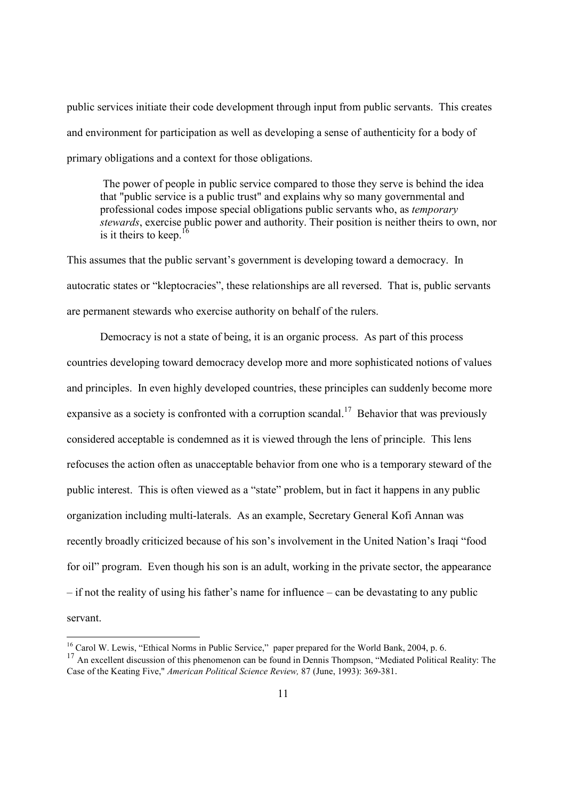public services initiate their code development through input from public servants. This creates and environment for participation as well as developing a sense of authenticity for a body of primary obligations and a context for those obligations.

 The power of people in public service compared to those they serve is behind the idea that "public service is a public trust" and explains why so many governmental and professional codes impose special obligations public servants who, as *temporary stewards*, exercise public power and authority. Their position is neither theirs to own, nor is it theirs to keep.<sup>16</sup>

This assumes that the public servant's government is developing toward a democracy. In autocratic states or "kleptocracies", these relationships are all reversed. That is, public servants are permanent stewards who exercise authority on behalf of the rulers.

 Democracy is not a state of being, it is an organic process. As part of this process countries developing toward democracy develop more and more sophisticated notions of values and principles. In even highly developed countries, these principles can suddenly become more expansive as a society is confronted with a corruption scandal.<sup>17</sup> Behavior that was previously considered acceptable is condemned as it is viewed through the lens of principle. This lens refocuses the action often as unacceptable behavior from one who is a temporary steward of the public interest. This is often viewed as a "state" problem, but in fact it happens in any public organization including multi-laterals. As an example, Secretary General Kofi Annan was recently broadly criticized because of his son's involvement in the United Nation's Iraqi "food for oil" program. Even though his son is an adult, working in the private sector, the appearance – if not the reality of using his father's name for influence – can be devastating to any public servant.

<sup>&</sup>lt;sup>16</sup> Carol W. Lewis, "Ethical Norms in Public Service," paper prepared for the World Bank, 2004, p. 6.

<sup>&</sup>lt;sup>17</sup> An excellent discussion of this phenomenon can be found in Dennis Thompson, "Mediated Political Reality: The Case of the Keating Five," *American Political Science Review,* 87 (June, 1993): 369-381.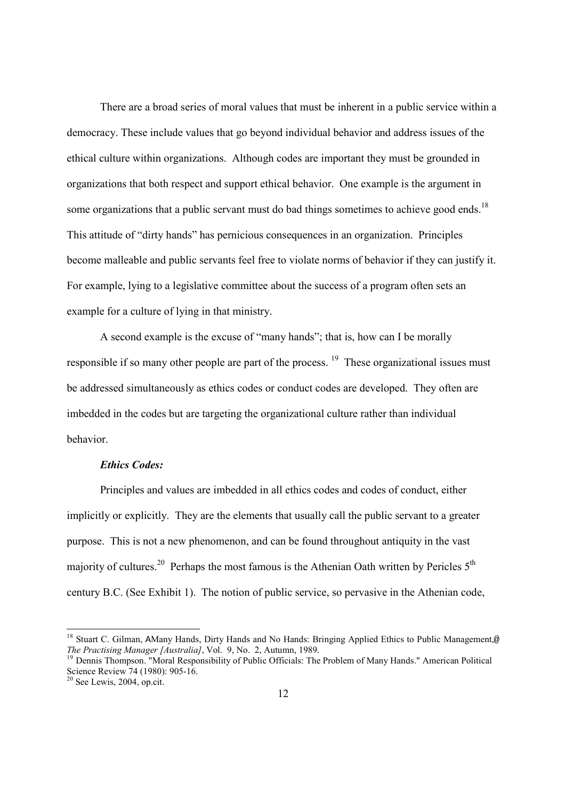There are a broad series of moral values that must be inherent in a public service within a democracy. These include values that go beyond individual behavior and address issues of the ethical culture within organizations. Although codes are important they must be grounded in organizations that both respect and support ethical behavior. One example is the argument in some organizations that a public servant must do bad things sometimes to achieve good ends.<sup>18</sup> This attitude of "dirty hands" has pernicious consequences in an organization. Principles become malleable and public servants feel free to violate norms of behavior if they can justify it. For example, lying to a legislative committee about the success of a program often sets an example for a culture of lying in that ministry.

A second example is the excuse of "many hands"; that is, how can I be morally responsible if so many other people are part of the process.  $19$  These organizational issues must be addressed simultaneously as ethics codes or conduct codes are developed. They often are imbedded in the codes but are targeting the organizational culture rather than individual behavior.

## *Ethics Codes:*

 Principles and values are imbedded in all ethics codes and codes of conduct, either implicitly or explicitly. They are the elements that usually call the public servant to a greater purpose. This is not a new phenomenon, and can be found throughout antiquity in the vast majority of cultures.<sup>20</sup> Perhaps the most famous is the Athenian Oath written by Pericles  $5<sup>th</sup>$ century B.C. (See Exhibit 1). The notion of public service, so pervasive in the Athenian code,

<sup>&</sup>lt;sup>18</sup> Stuart C. Gilman, AMany Hands, Dirty Hands and No Hands: Bringing Applied Ethics to Public Management,<sup>@</sup> *The Practising Manager [Australia]*, Vol. 9, No. 2, Autumn, 1989.

<sup>&</sup>lt;sup>19</sup> Dennis Thompson. "Moral Responsibility of Public Officials: The Problem of Many Hands." American Political Science Review 74 (1980): 905-16.

 $20$  See Lewis, 2004, op.cit.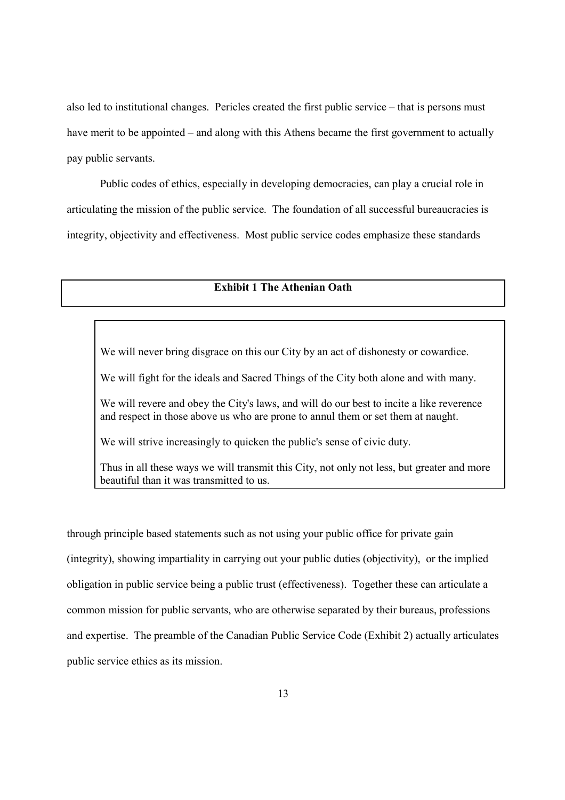also led to institutional changes. Pericles created the first public service – that is persons must have merit to be appointed – and along with this Athens became the first government to actually pay public servants.

 Public codes of ethics, especially in developing democracies, can play a crucial role in articulating the mission of the public service. The foundation of all successful bureaucracies is integrity, objectivity and effectiveness. Most public service codes emphasize these standards

## **Exhibit 1 The Athenian Oath**

We will never bring disgrace on this our City by an act of dishonesty or cowardice.

We will fight for the ideals and Sacred Things of the City both alone and with many.

We will revere and obey the City's laws, and will do our best to incite a like reverence and respect in those above us who are prone to annul them or set them at naught.

We will strive increasingly to quicken the public's sense of civic duty.

Thus in all these ways we will transmit this City, not only not less, but greater and more beautiful than it was transmitted to us.

through principle based statements such as not using your public office for private gain (integrity), showing impartiality in carrying out your public duties (objectivity), or the implied obligation in public service being a public trust (effectiveness). Together these can articulate a common mission for public servants, who are otherwise separated by their bureaus, professions and expertise. The preamble of the Canadian Public Service Code (Exhibit 2) actually articulates public service ethics as its mission.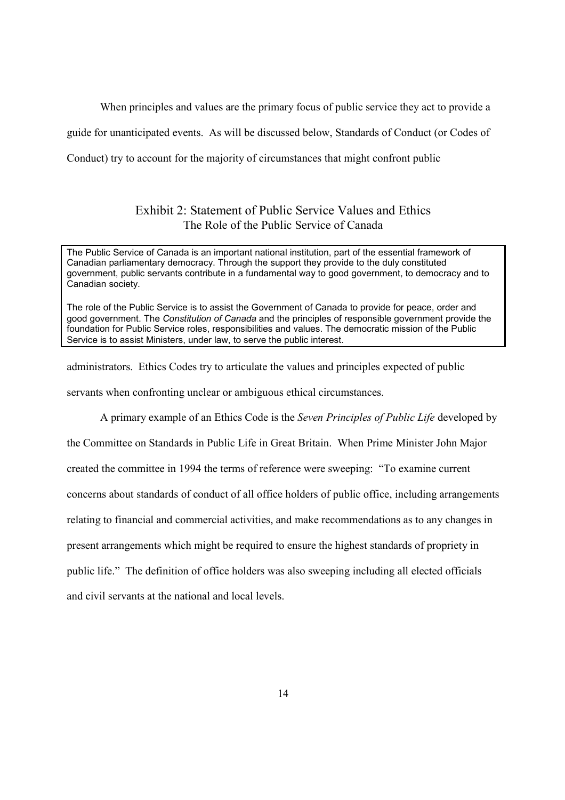When principles and values are the primary focus of public service they act to provide a

guide for unanticipated events. As will be discussed below, Standards of Conduct (or Codes of

Conduct) try to account for the majority of circumstances that might confront public

## Exhibit 2: Statement of Public Service Values and Ethics The Role of the Public Service of Canada

The Public Service of Canada is an important national institution, part of the essential framework of Canadian parliamentary democracy. Through the support they provide to the duly constituted government, public servants contribute in a fundamental way to good government, to democracy and to Canadian society.

The role of the Public Service is to assist the Government of Canada to provide for peace, order and good government. The *Constitution of Canada* and the principles of responsible government provide the foundation for Public Service roles, responsibilities and values. The democratic mission of the Public Service is to assist Ministers, under law, to serve the public interest.

administrators. Ethics Codes try to articulate the values and principles expected of public

servants when confronting unclear or ambiguous ethical circumstances.

A primary example of an Ethics Code is the *Seven Principles of Public Life* developed by

the Committee on Standards in Public Life in Great Britain. When Prime Minister John Major created the committee in 1994 the terms of reference were sweeping: "To examine current concerns about standards of conduct of all office holders of public office, including arrangements relating to financial and commercial activities, and make recommendations as to any changes in present arrangements which might be required to ensure the highest standards of propriety in public life." The definition of office holders was also sweeping including all elected officials and civil servants at the national and local levels.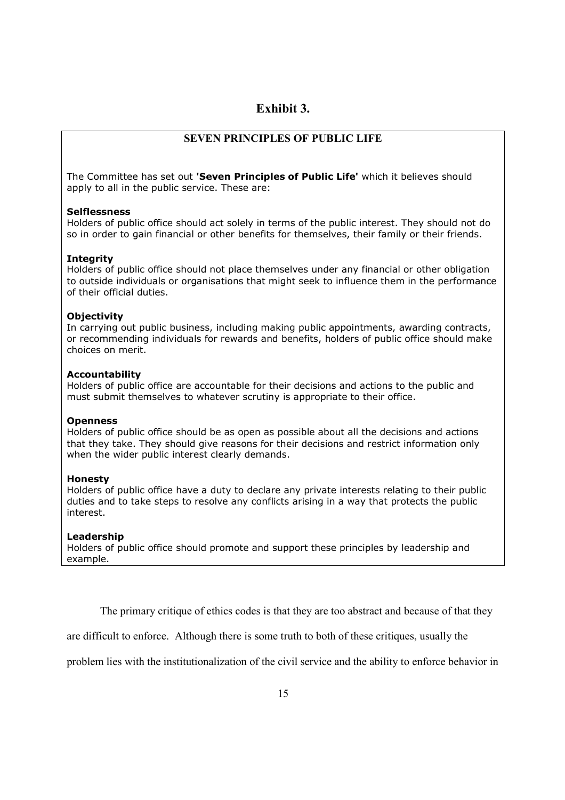## **Exhibit 3.**

## **SEVEN PRINCIPLES OF PUBLIC LIFE**

The Committee has set out **'Seven Principles of Public Life'** which it believes should apply to all in the public service. These are:

#### **Selflessness**

Holders of public office should act solely in terms of the public interest. They should not do so in order to gain financial or other benefits for themselves, their family or their friends.

#### **Integrity**

Holders of public office should not place themselves under any financial or other obligation to outside individuals or organisations that might seek to influence them in the performance of their official duties.

#### **Objectivity**

In carrying out public business, including making public appointments, awarding contracts, or recommending individuals for rewards and benefits, holders of public office should make choices on merit.

#### **Accountability**

Holders of public office are accountable for their decisions and actions to the public and must submit themselves to whatever scrutiny is appropriate to their office.

#### **Openness**

Holders of public office should be as open as possible about all the decisions and actions that they take. They should give reasons for their decisions and restrict information only when the wider public interest clearly demands.

#### **Honesty**

Holders of public office have a duty to declare any private interests relating to their public duties and to take steps to resolve any conflicts arising in a way that protects the public interest.

#### **Leadership**

Holders of public office should promote and support these principles by leadership and example.

The primary critique of ethics codes is that they are too abstract and because of that they

are difficult to enforce. Although there is some truth to both of these critiques, usually the

problem lies with the institutionalization of the civil service and the ability to enforce behavior in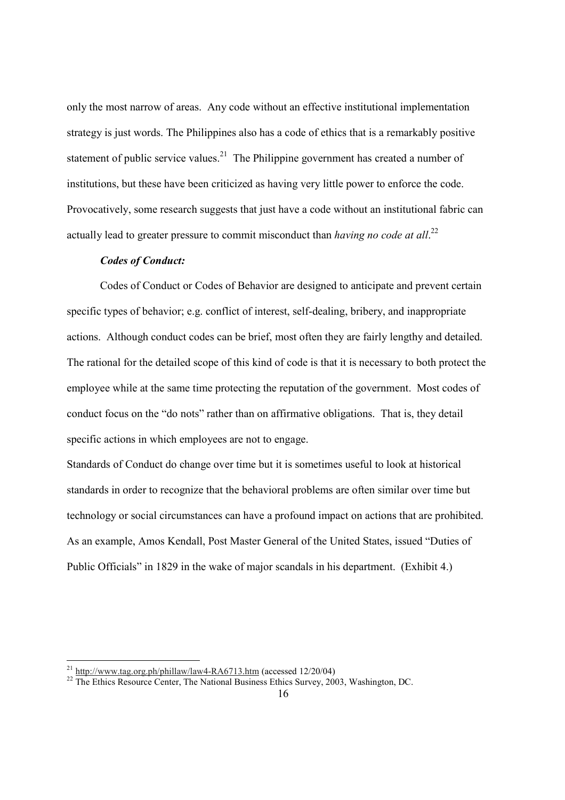only the most narrow of areas. Any code without an effective institutional implementation strategy is just words. The Philippines also has a code of ethics that is a remarkably positive statement of public service values.<sup>21</sup> The Philippine government has created a number of institutions, but these have been criticized as having very little power to enforce the code. Provocatively, some research suggests that just have a code without an institutional fabric can actually lead to greater pressure to commit misconduct than *having no code at all*.<sup>22</sup>

#### *Codes of Conduct:*

 Codes of Conduct or Codes of Behavior are designed to anticipate and prevent certain specific types of behavior; e.g. conflict of interest, self-dealing, bribery, and inappropriate actions. Although conduct codes can be brief, most often they are fairly lengthy and detailed. The rational for the detailed scope of this kind of code is that it is necessary to both protect the employee while at the same time protecting the reputation of the government. Most codes of conduct focus on the "do nots" rather than on affirmative obligations. That is, they detail specific actions in which employees are not to engage.

Standards of Conduct do change over time but it is sometimes useful to look at historical standards in order to recognize that the behavioral problems are often similar over time but technology or social circumstances can have a profound impact on actions that are prohibited. As an example, Amos Kendall, Post Master General of the United States, issued "Duties of Public Officials" in 1829 in the wake of major scandals in his department. (Exhibit 4.)

<sup>&</sup>lt;sup>21</sup> http://www.tag.org.ph/phillaw/law4-RA6713.htm (accessed 12/20/04)<br><sup>22</sup> The Ethics Resource Center, The National Business Ethics Survey, 2003, Washington, DC.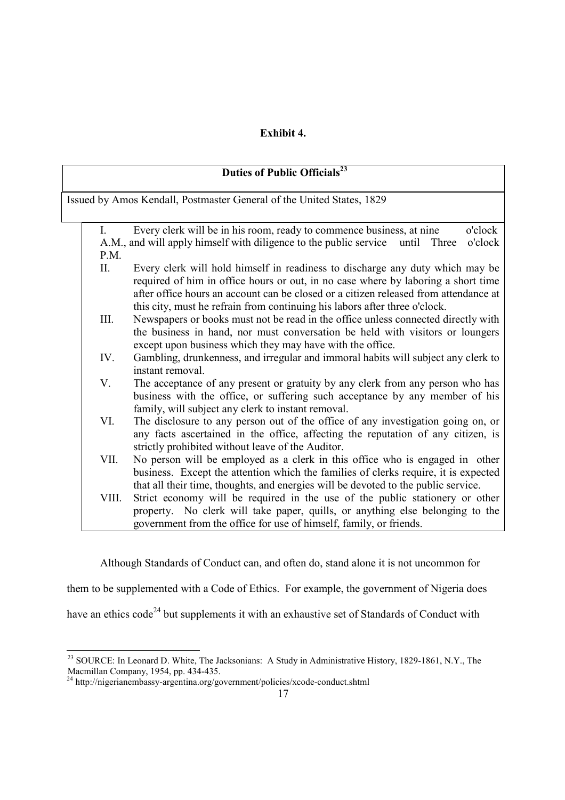## **Exhibit 4.**

| Duties of Public Officials <sup>23</sup>                              |                                                                                                                                                                           |  |  |  |  |  |  |
|-----------------------------------------------------------------------|---------------------------------------------------------------------------------------------------------------------------------------------------------------------------|--|--|--|--|--|--|
| Issued by Amos Kendall, Postmaster General of the United States, 1829 |                                                                                                                                                                           |  |  |  |  |  |  |
|                                                                       |                                                                                                                                                                           |  |  |  |  |  |  |
|                                                                       |                                                                                                                                                                           |  |  |  |  |  |  |
| $\mathbf{I}$ .                                                        | Every clerk will be in his room, ready to commence business, at nine<br>o'clock                                                                                           |  |  |  |  |  |  |
|                                                                       | A.M., and will apply himself with diligence to the public service<br>o'clock<br>until<br>Three                                                                            |  |  |  |  |  |  |
| P.M.                                                                  |                                                                                                                                                                           |  |  |  |  |  |  |
| Π.                                                                    | Every clerk will hold himself in readiness to discharge any duty which may be                                                                                             |  |  |  |  |  |  |
|                                                                       | required of him in office hours or out, in no case where by laboring a short time<br>after office hours an account can be closed or a citizen released from attendance at |  |  |  |  |  |  |
|                                                                       | this city, must he refrain from continuing his labors after three o'clock.                                                                                                |  |  |  |  |  |  |
| III.                                                                  | Newspapers or books must not be read in the office unless connected directly with                                                                                         |  |  |  |  |  |  |
|                                                                       | the business in hand, nor must conversation be held with visitors or loungers                                                                                             |  |  |  |  |  |  |
|                                                                       | except upon business which they may have with the office.                                                                                                                 |  |  |  |  |  |  |
| IV.                                                                   | Gambling, drunkenness, and irregular and immoral habits will subject any clerk to                                                                                         |  |  |  |  |  |  |
|                                                                       | instant removal.                                                                                                                                                          |  |  |  |  |  |  |
| V.                                                                    | The acceptance of any present or gratuity by any clerk from any person who has                                                                                            |  |  |  |  |  |  |
|                                                                       | business with the office, or suffering such acceptance by any member of his                                                                                               |  |  |  |  |  |  |
|                                                                       | family, will subject any clerk to instant removal.                                                                                                                        |  |  |  |  |  |  |
| VI.                                                                   | The disclosure to any person out of the office of any investigation going on, or                                                                                          |  |  |  |  |  |  |
|                                                                       | any facts ascertained in the office, affecting the reputation of any citizen, is                                                                                          |  |  |  |  |  |  |
|                                                                       | strictly prohibited without leave of the Auditor.                                                                                                                         |  |  |  |  |  |  |
| VII.                                                                  | No person will be employed as a clerk in this office who is engaged in other                                                                                              |  |  |  |  |  |  |
|                                                                       | business. Except the attention which the families of clerks require, it is expected                                                                                       |  |  |  |  |  |  |
|                                                                       | that all their time, thoughts, and energies will be devoted to the public service.                                                                                        |  |  |  |  |  |  |
| VIII.                                                                 | Strict economy will be required in the use of the public stationery or other                                                                                              |  |  |  |  |  |  |
|                                                                       | property. No clerk will take paper, quills, or anything else belonging to the                                                                                             |  |  |  |  |  |  |
|                                                                       | government from the office for use of himself, family, or friends.                                                                                                        |  |  |  |  |  |  |

Although Standards of Conduct can, and often do, stand alone it is not uncommon for

them to be supplemented with a Code of Ethics. For example, the government of Nigeria does

have an ethics code<sup>24</sup> but supplements it with an exhaustive set of Standards of Conduct with

<sup>&</sup>lt;sup>23</sup> SOURCE: In Leonard D. White, The Jacksonians: A Study in Administrative History, 1829-1861, N.Y., The Macmillan Company, 1954, pp. 434-435.

<sup>&</sup>lt;sup>24</sup> http://nigerianembassy-argentina.org/government/policies/xcode-conduct.shtml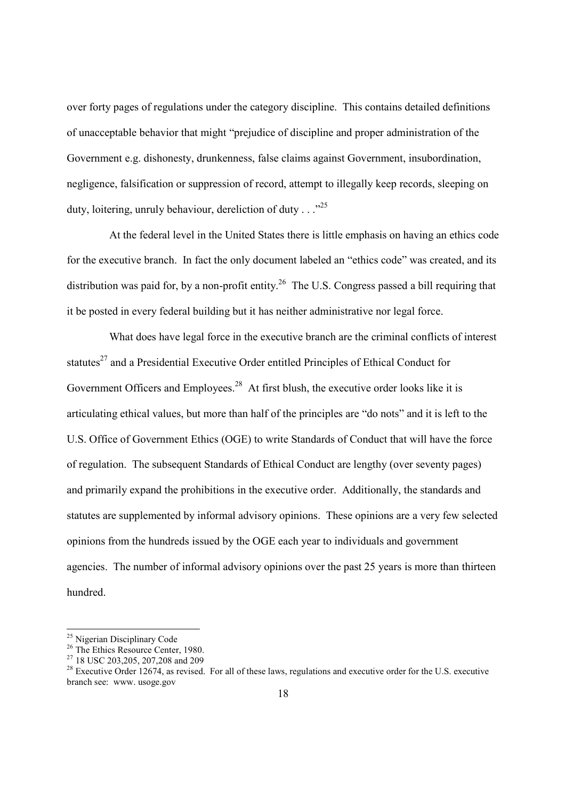over forty pages of regulations under the category discipline. This contains detailed definitions of unacceptable behavior that might "prejudice of discipline and proper administration of the Government e.g. dishonesty, drunkenness, false claims against Government, insubordination, negligence, falsification or suppression of record, attempt to illegally keep records, sleeping on duty, loitering, unruly behaviour, dereliction of duty  $\ldots$ <sup>25</sup>

At the federal level in the United States there is little emphasis on having an ethics code for the executive branch. In fact the only document labeled an "ethics code" was created, and its distribution was paid for, by a non-profit entity.<sup>26</sup> The U.S. Congress passed a bill requiring that it be posted in every federal building but it has neither administrative nor legal force.

 What does have legal force in the executive branch are the criminal conflicts of interest statutes<sup>27</sup> and a Presidential Executive Order entitled Principles of Ethical Conduct for Government Officers and Employees.<sup>28</sup> At first blush, the executive order looks like it is articulating ethical values, but more than half of the principles are "do nots" and it is left to the U.S. Office of Government Ethics (OGE) to write Standards of Conduct that will have the force of regulation. The subsequent Standards of Ethical Conduct are lengthy (over seventy pages) and primarily expand the prohibitions in the executive order. Additionally, the standards and statutes are supplemented by informal advisory opinions. These opinions are a very few selected opinions from the hundreds issued by the OGE each year to individuals and government agencies. The number of informal advisory opinions over the past 25 years is more than thirteen hundred.

<sup>25</sup> Nigerian Disciplinary Code

<sup>&</sup>lt;sup>26</sup> The Ethics Resource Center, 1980.

<sup>27 18</sup> USC 203,205, 207,208 and 209

 $28$  Executive Order 12674, as revised. For all of these laws, regulations and executive order for the U.S. executive branch see: www. usoge.gov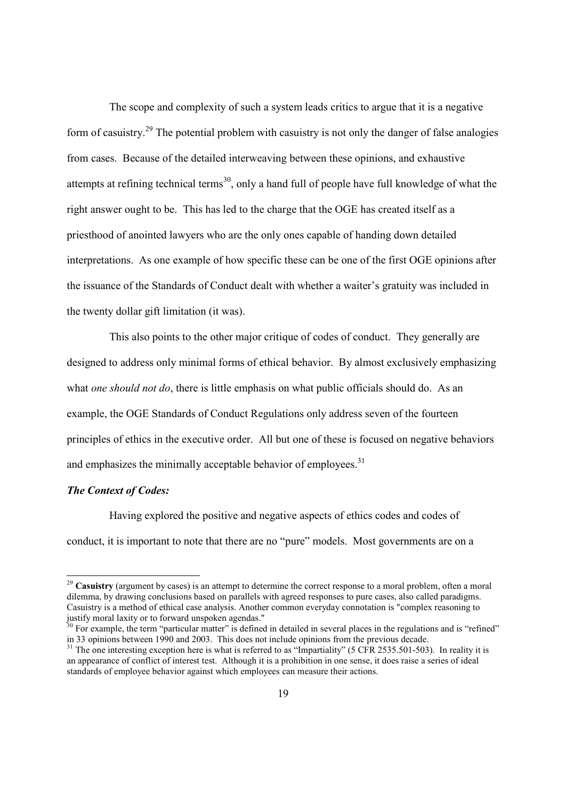The scope and complexity of such a system leads critics to argue that it is a negative form of casuistry.29 The potential problem with casuistry is not only the danger of false analogies from cases. Because of the detailed interweaving between these opinions, and exhaustive attempts at refining technical terms<sup>30</sup>, only a hand full of people have full knowledge of what the right answer ought to be. This has led to the charge that the OGE has created itself as a priesthood of anointed lawyers who are the only ones capable of handing down detailed interpretations. As one example of how specific these can be one of the first OGE opinions after the issuance of the Standards of Conduct dealt with whether a waiter's gratuity was included in the twenty dollar gift limitation (it was).

 This also points to the other major critique of codes of conduct. They generally are designed to address only minimal forms of ethical behavior. By almost exclusively emphasizing what *one should not do*, there is little emphasis on what public officials should do. As an example, the OGE Standards of Conduct Regulations only address seven of the fourteen principles of ethics in the executive order. All but one of these is focused on negative behaviors and emphasizes the minimally acceptable behavior of employees. $31$ 

#### *The Context of Codes:*

-

 Having explored the positive and negative aspects of ethics codes and codes of conduct, it is important to note that there are no "pure" models. Most governments are on a

<sup>&</sup>lt;sup>29</sup> Casuistry (argument by cases) is an attempt to determine the correct response to a moral problem, often a moral dilemma, by drawing conclusions based on parallels with agreed responses to pure cases, also called paradigms. Casuistry is a method of ethical case analysis. Another common everyday connotation is "complex reasoning to justify moral laxity or to forward unspoken agendas."

 $30$  For example, the term "particular matter" is defined in detailed in several places in the regulations and is "refined" in 33 opinions between 1990 and 2003. This does not include opinions from the previous decade.

 $31$  The one interesting exception here is what is referred to as "Impartiality" (5 CFR 2535.501-503). In reality it is an appearance of conflict of interest test. Although it is a prohibition in one sense, it does raise a series of ideal standards of employee behavior against which employees can measure their actions.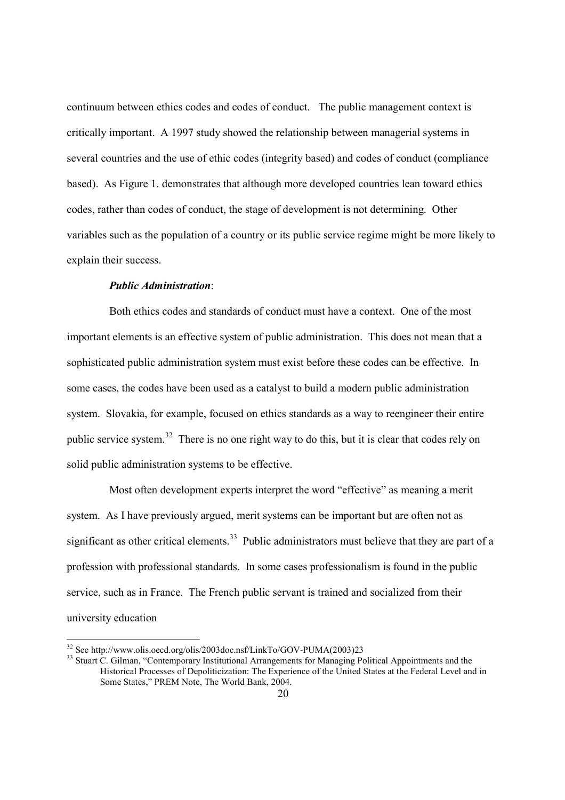continuum between ethics codes and codes of conduct. The public management context is critically important. A 1997 study showed the relationship between managerial systems in several countries and the use of ethic codes (integrity based) and codes of conduct (compliance based). As Figure 1. demonstrates that although more developed countries lean toward ethics codes, rather than codes of conduct, the stage of development is not determining. Other variables such as the population of a country or its public service regime might be more likely to explain their success.

### *Public Administration*:

 Both ethics codes and standards of conduct must have a context. One of the most important elements is an effective system of public administration. This does not mean that a sophisticated public administration system must exist before these codes can be effective. In some cases, the codes have been used as a catalyst to build a modern public administration system. Slovakia, for example, focused on ethics standards as a way to reengineer their entire public service system.<sup>32</sup> There is no one right way to do this, but it is clear that codes rely on solid public administration systems to be effective.

 Most often development experts interpret the word "effective" as meaning a merit system. As I have previously argued, merit systems can be important but are often not as significant as other critical elements.<sup>33</sup> Public administrators must believe that they are part of a profession with professional standards. In some cases professionalism is found in the public service, such as in France. The French public servant is trained and socialized from their university education

<sup>32</sup> See http://www.olis.oecd.org/olis/2003doc.nsf/LinkTo/GOV-PUMA(2003)23

<sup>&</sup>lt;sup>33</sup> Stuart C. Gilman, "Contemporary Institutional Arrangements for Managing Political Appointments and the Historical Processes of Depoliticization: The Experience of the United States at the Federal Level and in Some States," PREM Note, The World Bank, 2004.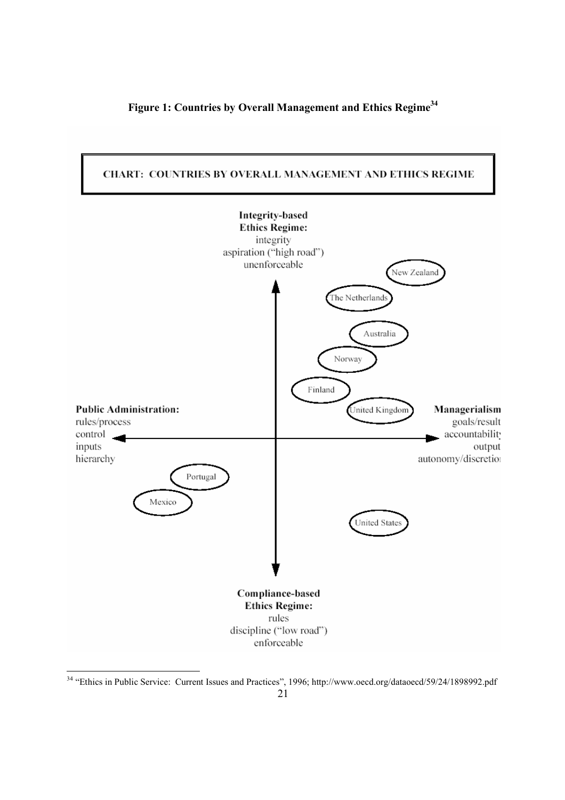





<sup>&</sup>lt;sup>34</sup> "Ethics in Public Service: Current Issues and Practices", 1996; http://www.oecd.org/dataoecd/59/24/1898992.pdf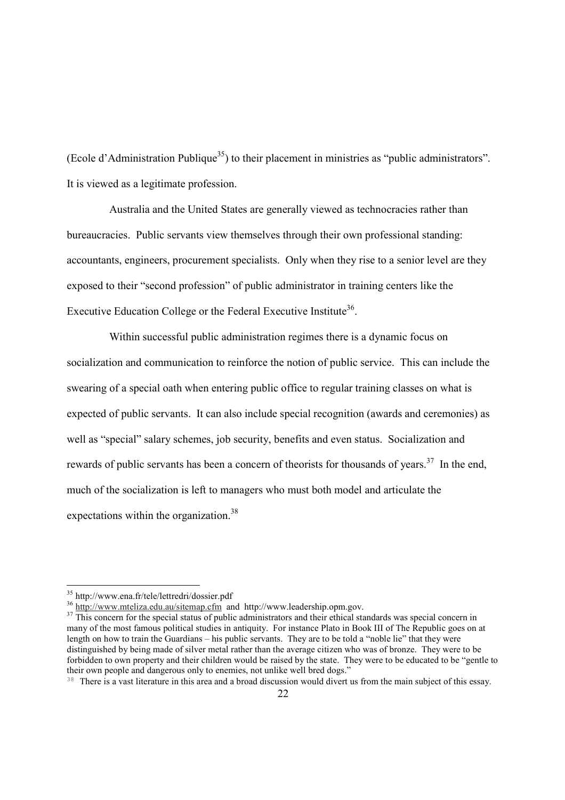(Ecole d'Administration Publique<sup>35</sup>) to their placement in ministries as "public administrators". It is viewed as a legitimate profession.

 Australia and the United States are generally viewed as technocracies rather than bureaucracies. Public servants view themselves through their own professional standing: accountants, engineers, procurement specialists. Only when they rise to a senior level are they exposed to their "second profession" of public administrator in training centers like the Executive Education College or the Federal Executive Institute<sup>36</sup>.

 Within successful public administration regimes there is a dynamic focus on socialization and communication to reinforce the notion of public service. This can include the swearing of a special oath when entering public office to regular training classes on what is expected of public servants. It can also include special recognition (awards and ceremonies) as well as "special" salary schemes, job security, benefits and even status. Socialization and rewards of public servants has been a concern of theorists for thousands of years.<sup>37</sup> In the end. much of the socialization is left to managers who must both model and articulate the expectations within the organization.<sup>38</sup>

 $35 \text{ http://www.ena.fr/tele/letteredri/dossier.pdf}$ <br>36 http://www.mteliza.edu.au/sitemap.cfm and http://www.leadership.opm.gov.

 $37$  This concern for the special status of public administrators and their ethical standards was special concern in many of the most famous political studies in antiquity. For instance Plato in Book III of The Republic goes on at length on how to train the Guardians – his public servants. They are to be told a "noble lie" that they were distinguished by being made of silver metal rather than the average citizen who was of bronze. They were to be forbidden to own property and their children would be raised by the state. They were to be educated to be "gentle to their own people and dangerous only to enemies, not unlike well bred dogs."

<sup>&</sup>lt;sup>38</sup> There is a vast literature in this area and a broad discussion would divert us from the main subject of this essay.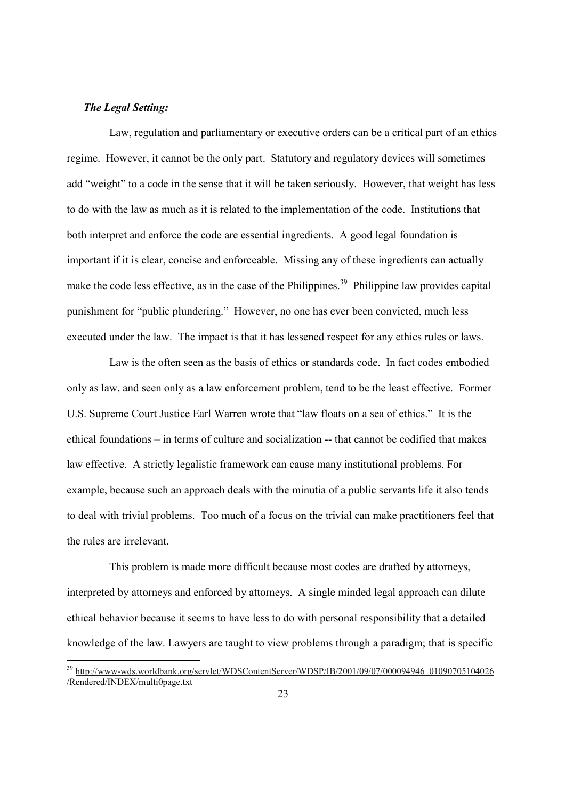### *The Legal Setting:*

-

 Law, regulation and parliamentary or executive orders can be a critical part of an ethics regime. However, it cannot be the only part. Statutory and regulatory devices will sometimes add "weight" to a code in the sense that it will be taken seriously. However, that weight has less to do with the law as much as it is related to the implementation of the code. Institutions that both interpret and enforce the code are essential ingredients. A good legal foundation is important if it is clear, concise and enforceable. Missing any of these ingredients can actually make the code less effective, as in the case of the Philippines.<sup>39</sup> Philippine law provides capital punishment for "public plundering." However, no one has ever been convicted, much less executed under the law. The impact is that it has lessened respect for any ethics rules or laws.

 Law is the often seen as the basis of ethics or standards code. In fact codes embodied only as law, and seen only as a law enforcement problem, tend to be the least effective. Former U.S. Supreme Court Justice Earl Warren wrote that "law floats on a sea of ethics." It is the ethical foundations – in terms of culture and socialization -- that cannot be codified that makes law effective. A strictly legalistic framework can cause many institutional problems. For example, because such an approach deals with the minutia of a public servants life it also tends to deal with trivial problems. Too much of a focus on the trivial can make practitioners feel that the rules are irrelevant.

 This problem is made more difficult because most codes are drafted by attorneys, interpreted by attorneys and enforced by attorneys. A single minded legal approach can dilute ethical behavior because it seems to have less to do with personal responsibility that a detailed knowledge of the law. Lawyers are taught to view problems through a paradigm; that is specific

<sup>39</sup> http://www-wds.worldbank.org/servlet/WDSContentServer/WDSP/IB/2001/09/07/000094946\_01090705104026 /Rendered/INDEX/multi0page.txt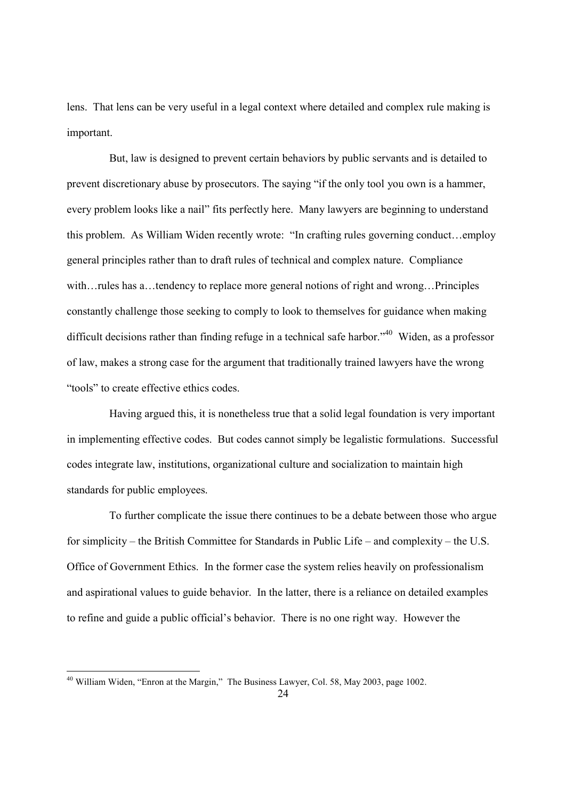lens. That lens can be very useful in a legal context where detailed and complex rule making is important.

 But, law is designed to prevent certain behaviors by public servants and is detailed to prevent discretionary abuse by prosecutors. The saying "if the only tool you own is a hammer, every problem looks like a nail" fits perfectly here. Many lawyers are beginning to understand this problem. As William Widen recently wrote: "In crafting rules governing conduct…employ general principles rather than to draft rules of technical and complex nature. Compliance with... rules has a... tendency to replace more general notions of right and wrong... Principles constantly challenge those seeking to comply to look to themselves for guidance when making difficult decisions rather than finding refuge in a technical safe harbor.<sup>40</sup> Widen, as a professor of law, makes a strong case for the argument that traditionally trained lawyers have the wrong "tools" to create effective ethics codes.

 Having argued this, it is nonetheless true that a solid legal foundation is very important in implementing effective codes. But codes cannot simply be legalistic formulations. Successful codes integrate law, institutions, organizational culture and socialization to maintain high standards for public employees.

 To further complicate the issue there continues to be a debate between those who argue for simplicity – the British Committee for Standards in Public Life – and complexity – the U.S. Office of Government Ethics. In the former case the system relies heavily on professionalism and aspirational values to guide behavior. In the latter, there is a reliance on detailed examples to refine and guide a public official's behavior. There is no one right way. However the

1

 $40$  William Widen, "Enron at the Margin," The Business Lawyer, Col. 58, May 2003, page 1002.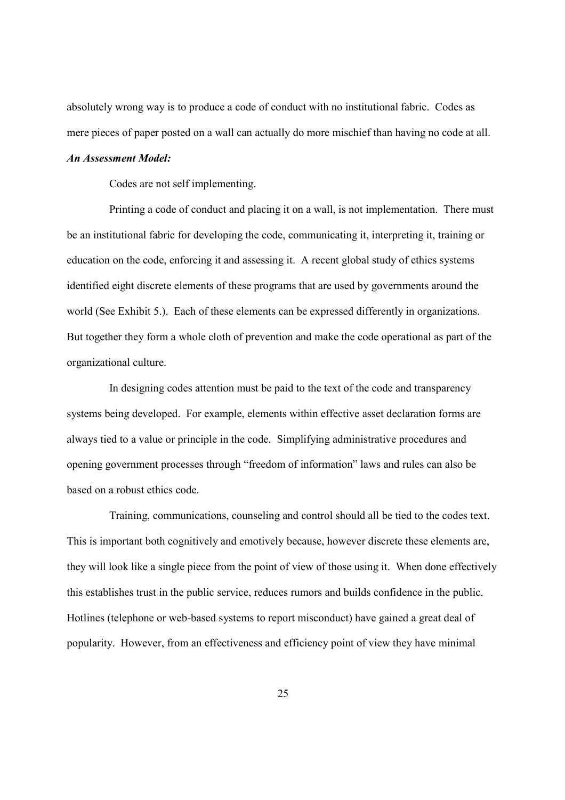absolutely wrong way is to produce a code of conduct with no institutional fabric. Codes as mere pieces of paper posted on a wall can actually do more mischief than having no code at all.

### *An Assessment Model:*

Codes are not self implementing.

 Printing a code of conduct and placing it on a wall, is not implementation. There must be an institutional fabric for developing the code, communicating it, interpreting it, training or education on the code, enforcing it and assessing it. A recent global study of ethics systems identified eight discrete elements of these programs that are used by governments around the world (See Exhibit 5.). Each of these elements can be expressed differently in organizations. But together they form a whole cloth of prevention and make the code operational as part of the organizational culture.

 In designing codes attention must be paid to the text of the code and transparency systems being developed. For example, elements within effective asset declaration forms are always tied to a value or principle in the code. Simplifying administrative procedures and opening government processes through "freedom of information" laws and rules can also be based on a robust ethics code.

 Training, communications, counseling and control should all be tied to the codes text. This is important both cognitively and emotively because, however discrete these elements are, they will look like a single piece from the point of view of those using it. When done effectively this establishes trust in the public service, reduces rumors and builds confidence in the public. Hotlines (telephone or web-based systems to report misconduct) have gained a great deal of popularity. However, from an effectiveness and efficiency point of view they have minimal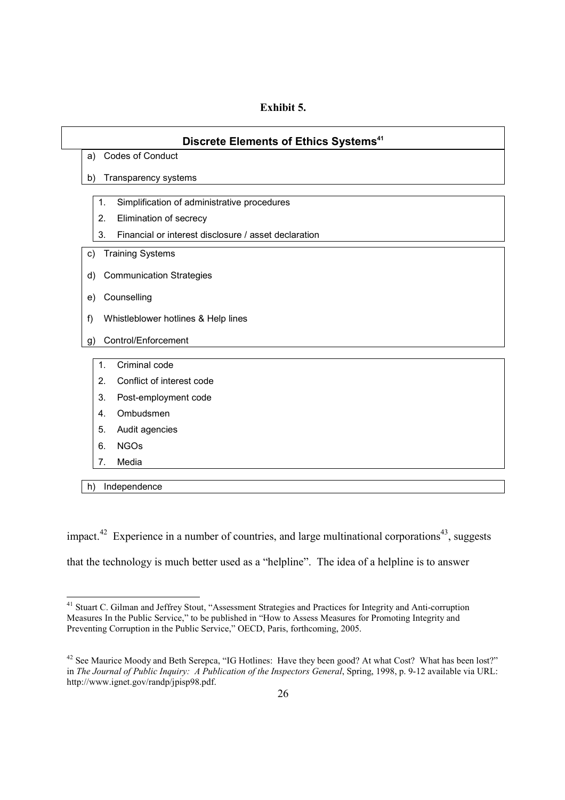## **Exhibit 5.**

| Discrete Elements of Ethics Systems <sup>41</sup>          |  |  |  |  |  |
|------------------------------------------------------------|--|--|--|--|--|
| <b>Codes of Conduct</b><br>a)                              |  |  |  |  |  |
| Transparency systems<br>b)                                 |  |  |  |  |  |
| 1.<br>Simplification of administrative procedures          |  |  |  |  |  |
| 2.<br>Elimination of secrecy                               |  |  |  |  |  |
| 3.<br>Financial or interest disclosure / asset declaration |  |  |  |  |  |
| <b>Training Systems</b><br>C)                              |  |  |  |  |  |
| <b>Communication Strategies</b><br>d)                      |  |  |  |  |  |
| Counselling<br>e)                                          |  |  |  |  |  |
|                                                            |  |  |  |  |  |
| f)<br>Whistleblower hotlines & Help lines                  |  |  |  |  |  |
| Control/Enforcement<br>g)                                  |  |  |  |  |  |
| Criminal code<br>$\mathbf{1}$ .                            |  |  |  |  |  |
| 2.<br>Conflict of interest code                            |  |  |  |  |  |
| 3.<br>Post-employment code                                 |  |  |  |  |  |
| Ombudsmen<br>4.                                            |  |  |  |  |  |
| 5.<br>Audit agencies                                       |  |  |  |  |  |
| <b>NGOs</b><br>6.                                          |  |  |  |  |  |
| 7.<br>Media                                                |  |  |  |  |  |

h) Independence

1

impact.<sup>42</sup> Experience in a number of countries, and large multinational corporations<sup>43</sup>, suggests that the technology is much better used as a "helpline". The idea of a helpline is to answer

<sup>&</sup>lt;sup>41</sup> Stuart C. Gilman and Jeffrey Stout, "Assessment Strategies and Practices for Integrity and Anti-corruption Measures In the Public Service," to be published in "How to Assess Measures for Promoting Integrity and Preventing Corruption in the Public Service," OECD, Paris, forthcoming, 2005.

<sup>&</sup>lt;sup>42</sup> See Maurice Moody and Beth Serepca, "IG Hotlines: Have they been good? At what Cost? What has been lost?" in *The Journal of Public Inquiry: A Publication of the Inspectors General*, Spring, 1998, p. 9-12 available via URL: http://www.ignet.gov/randp/jpisp98.pdf.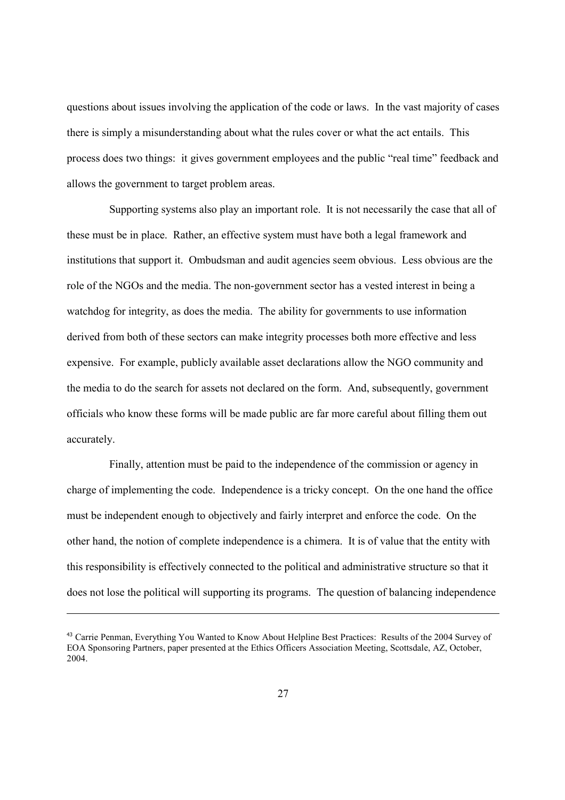questions about issues involving the application of the code or laws. In the vast majority of cases there is simply a misunderstanding about what the rules cover or what the act entails. This process does two things: it gives government employees and the public "real time" feedback and allows the government to target problem areas.

 Supporting systems also play an important role. It is not necessarily the case that all of these must be in place. Rather, an effective system must have both a legal framework and institutions that support it. Ombudsman and audit agencies seem obvious. Less obvious are the role of the NGOs and the media. The non-government sector has a vested interest in being a watchdog for integrity, as does the media. The ability for governments to use information derived from both of these sectors can make integrity processes both more effective and less expensive. For example, publicly available asset declarations allow the NGO community and the media to do the search for assets not declared on the form. And, subsequently, government officials who know these forms will be made public are far more careful about filling them out accurately.

 Finally, attention must be paid to the independence of the commission or agency in charge of implementing the code. Independence is a tricky concept. On the one hand the office must be independent enough to objectively and fairly interpret and enforce the code. On the other hand, the notion of complete independence is a chimera. It is of value that the entity with this responsibility is effectively connected to the political and administrative structure so that it does not lose the political will supporting its programs. The question of balancing independence

<sup>&</sup>lt;sup>43</sup> Carrie Penman, Everything You Wanted to Know About Helpline Best Practices: Results of the 2004 Survey of EOA Sponsoring Partners, paper presented at the Ethics Officers Association Meeting, Scottsdale, AZ, October, 2004.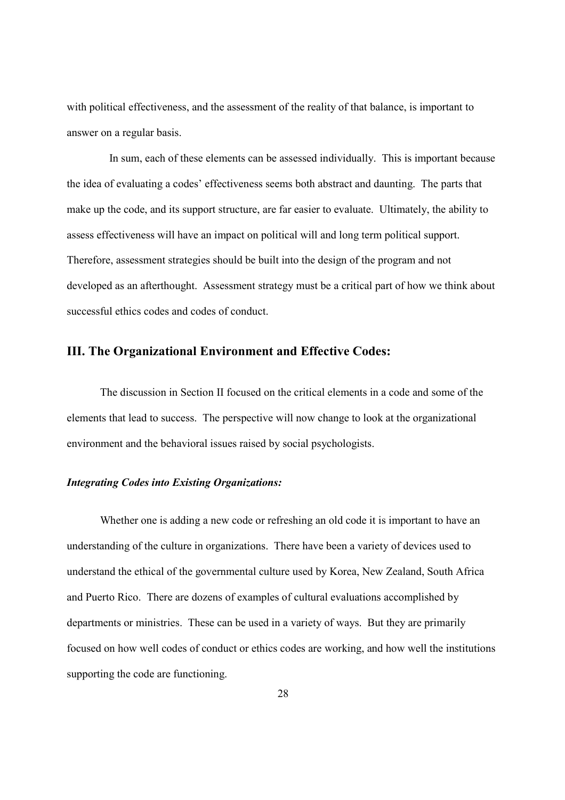with political effectiveness, and the assessment of the reality of that balance, is important to answer on a regular basis.

 In sum, each of these elements can be assessed individually. This is important because the idea of evaluating a codes' effectiveness seems both abstract and daunting. The parts that make up the code, and its support structure, are far easier to evaluate. Ultimately, the ability to assess effectiveness will have an impact on political will and long term political support. Therefore, assessment strategies should be built into the design of the program and not developed as an afterthought. Assessment strategy must be a critical part of how we think about successful ethics codes and codes of conduct.

## **III. The Organizational Environment and Effective Codes:**

The discussion in Section II focused on the critical elements in a code and some of the elements that lead to success. The perspective will now change to look at the organizational environment and the behavioral issues raised by social psychologists.

### *Integrating Codes into Existing Organizations:*

 Whether one is adding a new code or refreshing an old code it is important to have an understanding of the culture in organizations. There have been a variety of devices used to understand the ethical of the governmental culture used by Korea, New Zealand, South Africa and Puerto Rico. There are dozens of examples of cultural evaluations accomplished by departments or ministries. These can be used in a variety of ways. But they are primarily focused on how well codes of conduct or ethics codes are working, and how well the institutions supporting the code are functioning.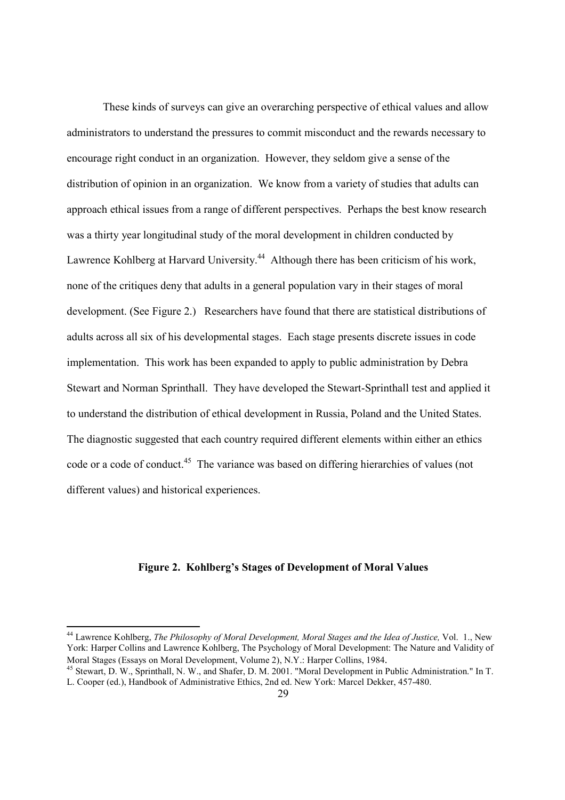These kinds of surveys can give an overarching perspective of ethical values and allow administrators to understand the pressures to commit misconduct and the rewards necessary to encourage right conduct in an organization. However, they seldom give a sense of the distribution of opinion in an organization. We know from a variety of studies that adults can approach ethical issues from a range of different perspectives. Perhaps the best know research was a thirty year longitudinal study of the moral development in children conducted by Lawrence Kohlberg at Harvard University.<sup>44</sup> Although there has been criticism of his work, none of the critiques deny that adults in a general population vary in their stages of moral development. (See Figure 2.) Researchers have found that there are statistical distributions of adults across all six of his developmental stages. Each stage presents discrete issues in code implementation. This work has been expanded to apply to public administration by Debra Stewart and Norman Sprinthall. They have developed the Stewart-Sprinthall test and applied it to understand the distribution of ethical development in Russia, Poland and the United States. The diagnostic suggested that each country required different elements within either an ethics code or a code of conduct.<sup>45</sup> The variance was based on differing hierarchies of values (not different values) and historical experiences.

## **Figure 2. Kohlberg's Stages of Development of Moral Values**

<sup>44</sup> Lawrence Kohlberg, *The Philosophy of Moral Development, Moral Stages and the Idea of Justice,* Vol. 1., New York: Harper Collins and Lawrence Kohlberg, The Psychology of Moral Development: The Nature and Validity of Moral Stages (Essays on Moral Development, Volume 2), N.Y.: Harper Collins, 1984.<br><sup>45</sup> Stewart, D. W., Sprinthall, N. W., and Shafer, D. M. 2001. "Moral Development in Public Administration." In T.

L. Cooper (ed.), Handbook of Administrative Ethics, 2nd ed. New York: Marcel Dekker, 457-480.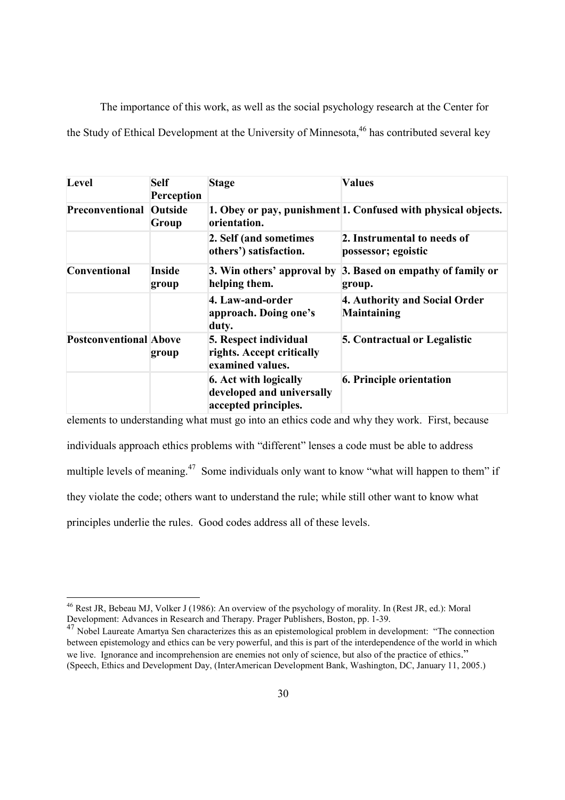The importance of this work, as well as the social psychology research at the Center for the Study of Ethical Development at the University of Minnesota.<sup>46</sup> has contributed several key

| Level                          | <b>Self</b><br>Perception | <b>Stage</b>                                                               | <b>Values</b>                                                 |
|--------------------------------|---------------------------|----------------------------------------------------------------------------|---------------------------------------------------------------|
| <b>Preconventional Outside</b> | Group                     | orientation.                                                               | 1. Obey or pay, punishment 1. Confused with physical objects. |
|                                |                           | 2. Self (and sometimes<br>others') satisfaction.                           | 2. Instrumental to needs of<br>possessor; egoistic            |
| Conventional                   | <b>Inside</b><br>group    | 3. Win others' approval by<br>helping them.                                | 3. Based on empathy of family or<br>group.                    |
|                                |                           | 4. Law-and-order<br>approach. Doing one's<br>duty.                         | 4. Authority and Social Order<br><b>Maintaining</b>           |
| <b>Postconventional Above</b>  | group                     | 5. Respect individual<br>rights. Accept critically<br>examined values.     | <b>5. Contractual or Legalistic</b>                           |
|                                |                           | 6. Act with logically<br>developed and universally<br>accepted principles. | <b>6. Principle orientation</b>                               |

elements to understanding what must go into an ethics code and why they work. First, because individuals approach ethics problems with "different" lenses a code must be able to address multiple levels of meaning.<sup>47</sup> Some individuals only want to know "what will happen to them" if they violate the code; others want to understand the rule; while still other want to know what principles underlie the rules. Good codes address all of these levels.

<sup>&</sup>lt;sup>46</sup> Rest JR, Bebeau MJ, Volker J (1986): An overview of the psychology of morality. In (Rest JR, ed.): Moral Development: Advances in Research and Therapy. Prager Publishers, Boston, pp. 1-39.

<sup>47</sup> Nobel Laureate Amartya Sen characterizes this as an epistemological problem in development: "The connection between epistemology and ethics can be very powerful, and this is part of the interdependence of the world in which we live. Ignorance and incomprehension are enemies not only of science, but also of the practice of ethics." (Speech, Ethics and Development Day, (InterAmerican Development Bank, Washington, DC, January 11, 2005.)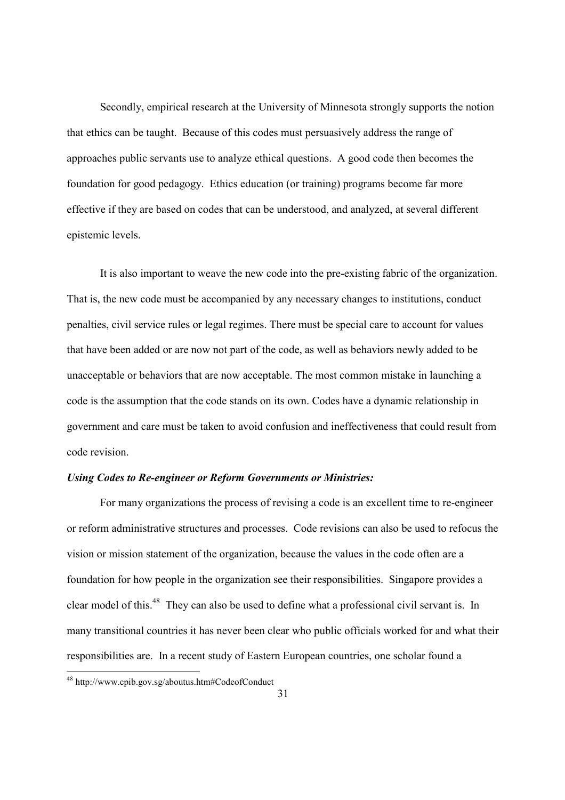Secondly, empirical research at the University of Minnesota strongly supports the notion that ethics can be taught. Because of this codes must persuasively address the range of approaches public servants use to analyze ethical questions. A good code then becomes the foundation for good pedagogy. Ethics education (or training) programs become far more effective if they are based on codes that can be understood, and analyzed, at several different epistemic levels.

 It is also important to weave the new code into the pre-existing fabric of the organization. That is, the new code must be accompanied by any necessary changes to institutions, conduct penalties, civil service rules or legal regimes. There must be special care to account for values that have been added or are now not part of the code, as well as behaviors newly added to be unacceptable or behaviors that are now acceptable. The most common mistake in launching a code is the assumption that the code stands on its own. Codes have a dynamic relationship in government and care must be taken to avoid confusion and ineffectiveness that could result from code revision.

#### *Using Codes to Re-engineer or Reform Governments or Ministries:*

 For many organizations the process of revising a code is an excellent time to re-engineer or reform administrative structures and processes. Code revisions can also be used to refocus the vision or mission statement of the organization, because the values in the code often are a foundation for how people in the organization see their responsibilities. Singapore provides a clear model of this.48 They can also be used to define what a professional civil servant is. In many transitional countries it has never been clear who public officials worked for and what their responsibilities are. In a recent study of Eastern European countries, one scholar found a

<sup>48</sup> http://www.cpib.gov.sg/aboutus.htm#CodeofConduct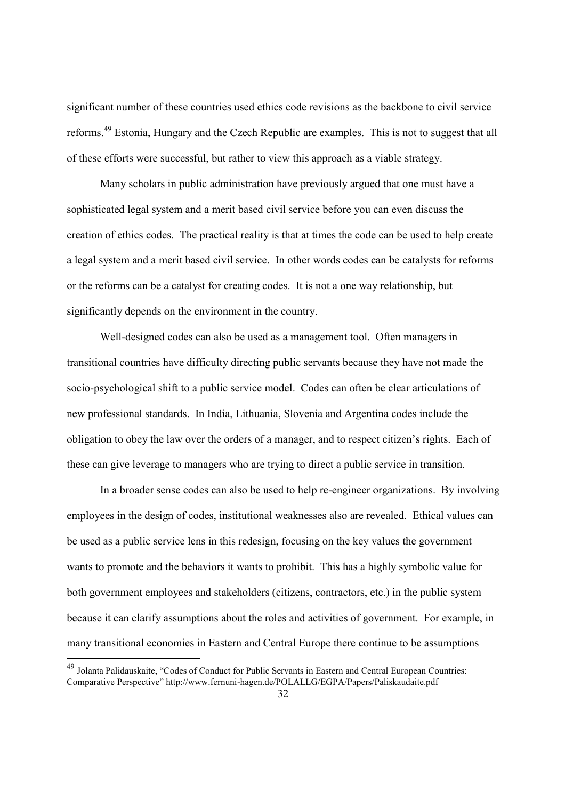significant number of these countries used ethics code revisions as the backbone to civil service reforms.49 Estonia, Hungary and the Czech Republic are examples. This is not to suggest that all of these efforts were successful, but rather to view this approach as a viable strategy.

 Many scholars in public administration have previously argued that one must have a sophisticated legal system and a merit based civil service before you can even discuss the creation of ethics codes. The practical reality is that at times the code can be used to help create a legal system and a merit based civil service. In other words codes can be catalysts for reforms or the reforms can be a catalyst for creating codes. It is not a one way relationship, but significantly depends on the environment in the country.

 Well-designed codes can also be used as a management tool. Often managers in transitional countries have difficulty directing public servants because they have not made the socio-psychological shift to a public service model. Codes can often be clear articulations of new professional standards. In India, Lithuania, Slovenia and Argentina codes include the obligation to obey the law over the orders of a manager, and to respect citizen's rights. Each of these can give leverage to managers who are trying to direct a public service in transition.

 In a broader sense codes can also be used to help re-engineer organizations. By involving employees in the design of codes, institutional weaknesses also are revealed. Ethical values can be used as a public service lens in this redesign, focusing on the key values the government wants to promote and the behaviors it wants to prohibit. This has a highly symbolic value for both government employees and stakeholders (citizens, contractors, etc.) in the public system because it can clarify assumptions about the roles and activities of government. For example, in many transitional economies in Eastern and Central Europe there continue to be assumptions

<sup>&</sup>lt;sup>49</sup> Jolanta Palidauskaite, "Codes of Conduct for Public Servants in Eastern and Central European Countries: Comparative Perspective" http://www.fernuni-hagen.de/POLALLG/EGPA/Papers/Paliskaudaite.pdf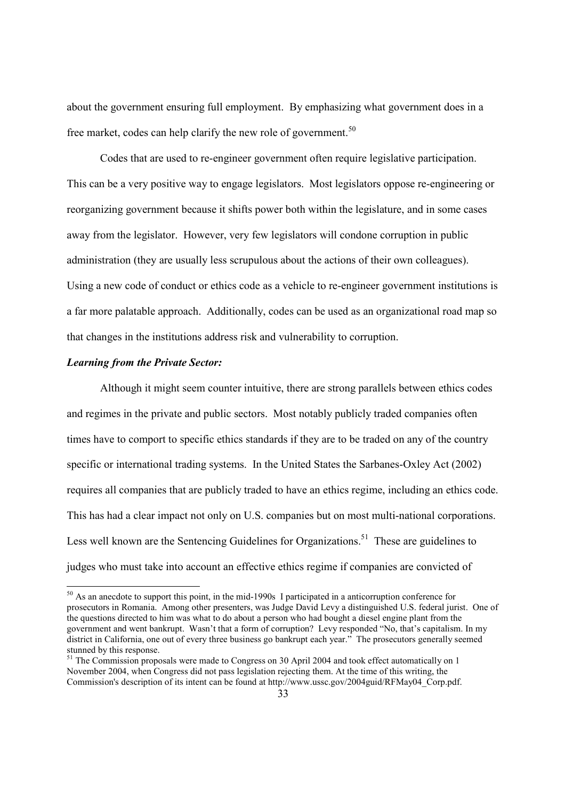about the government ensuring full employment. By emphasizing what government does in a free market, codes can help clarify the new role of government.<sup>50</sup>

 Codes that are used to re-engineer government often require legislative participation. This can be a very positive way to engage legislators. Most legislators oppose re-engineering or reorganizing government because it shifts power both within the legislature, and in some cases away from the legislator. However, very few legislators will condone corruption in public administration (they are usually less scrupulous about the actions of their own colleagues). Using a new code of conduct or ethics code as a vehicle to re-engineer government institutions is a far more palatable approach. Additionally, codes can be used as an organizational road map so that changes in the institutions address risk and vulnerability to corruption.

### *Learning from the Private Sector:*

-

 Although it might seem counter intuitive, there are strong parallels between ethics codes and regimes in the private and public sectors. Most notably publicly traded companies often times have to comport to specific ethics standards if they are to be traded on any of the country specific or international trading systems. In the United States the Sarbanes-Oxley Act (2002) requires all companies that are publicly traded to have an ethics regime, including an ethics code. This has had a clear impact not only on U.S. companies but on most multi-national corporations. Less well known are the Sentencing Guidelines for Organizations.<sup>51</sup> These are guidelines to judges who must take into account an effective ethics regime if companies are convicted of

<sup>&</sup>lt;sup>50</sup> As an anecdote to support this point, in the mid-1990s I participated in a anticorruption conference for prosecutors in Romania. Among other presenters, was Judge David Levy a distinguished U.S. federal jurist. One of the questions directed to him was what to do about a person who had bought a diesel engine plant from the government and went bankrupt. Wasn't that a form of corruption? Levy responded "No, that's capitalism. In my district in California, one out of every three business go bankrupt each year." The prosecutors generally seemed stunned by this response.

<sup>&</sup>lt;sup>51</sup> The Commission proposals were made to Congress on 30 April 2004 and took effect automatically on 1 November 2004, when Congress did not pass legislation rejecting them. At the time of this writing, the Commission's description of its intent can be found at http://www.ussc.gov/2004guid/RFMay04\_Corp.pdf.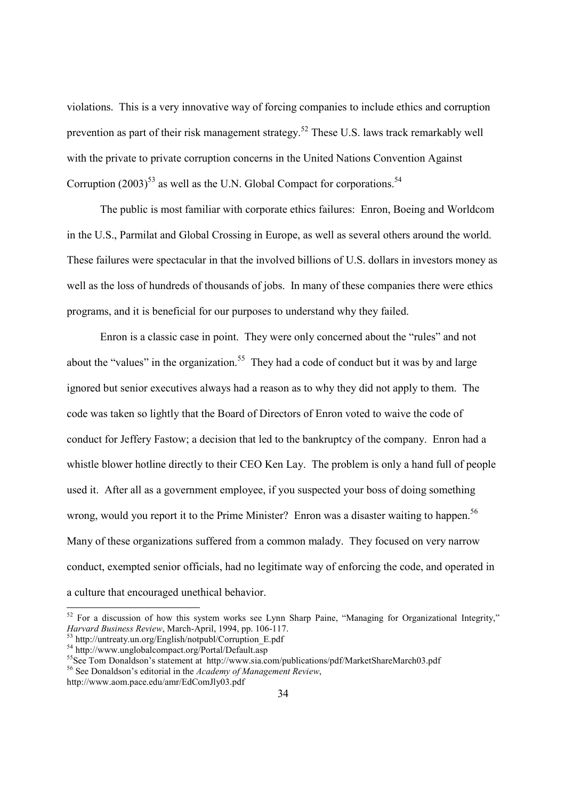violations. This is a very innovative way of forcing companies to include ethics and corruption prevention as part of their risk management strategy.52 These U.S. laws track remarkably well with the private to private corruption concerns in the United Nations Convention Against Corruption (2003)<sup>53</sup> as well as the U.N. Global Compact for corporations.<sup>54</sup>

 The public is most familiar with corporate ethics failures: Enron, Boeing and Worldcom in the U.S., Parmilat and Global Crossing in Europe, as well as several others around the world. These failures were spectacular in that the involved billions of U.S. dollars in investors money as well as the loss of hundreds of thousands of jobs. In many of these companies there were ethics programs, and it is beneficial for our purposes to understand why they failed.

 Enron is a classic case in point. They were only concerned about the "rules" and not about the "values" in the organization.<sup>55</sup> They had a code of conduct but it was by and large ignored but senior executives always had a reason as to why they did not apply to them. The code was taken so lightly that the Board of Directors of Enron voted to waive the code of conduct for Jeffery Fastow; a decision that led to the bankruptcy of the company. Enron had a whistle blower hotline directly to their CEO Ken Lay. The problem is only a hand full of people used it. After all as a government employee, if you suspected your boss of doing something wrong, would you report it to the Prime Minister? Enron was a disaster waiting to happen.<sup>56</sup> Many of these organizations suffered from a common malady. They focused on very narrow conduct, exempted senior officials, had no legitimate way of enforcing the code, and operated in a culture that encouraged unethical behavior.

http://www.aom.pace.edu/amr/EdComJly03.pdf

 $\overline{a}$ 

 $52$  For a discussion of how this system works see Lynn Sharp Paine, "Managing for Organizational Integrity," *Harvard Business Review*, March-April, 1994, pp. 106-117.

<sup>&</sup>lt;sup>53</sup> http://untreaty.un.org/English/notpubl/Corruption\_E.pdf

 $54 \text{ http://www.unglobalcompact.org/Portal/Default.asp}$ 

<sup>&</sup>lt;sup>55</sup>See Tom Donaldson's statement at http://www.sia.com/publications/pdf/MarketShareMarch03.pdf

<sup>56</sup> See Donaldson's editorial in the *Academy of Management Review*,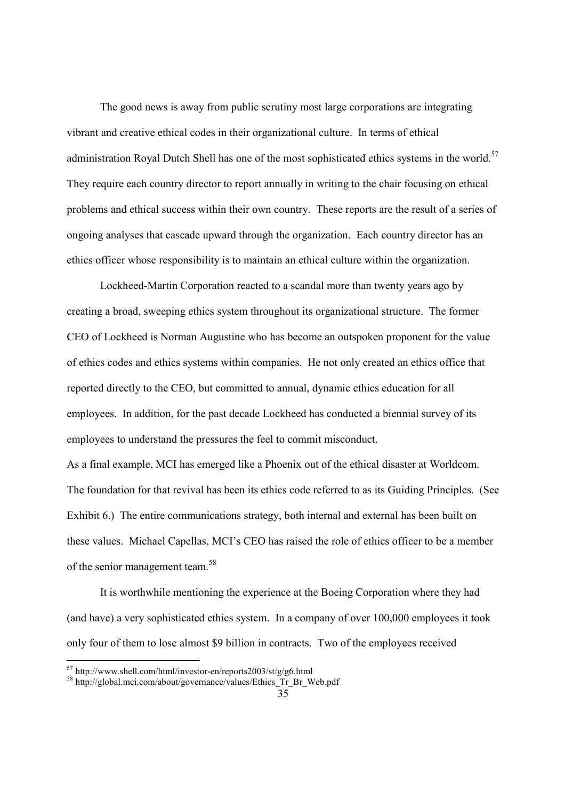The good news is away from public scrutiny most large corporations are integrating vibrant and creative ethical codes in their organizational culture. In terms of ethical administration Royal Dutch Shell has one of the most sophisticated ethics systems in the world.<sup>57</sup> They require each country director to report annually in writing to the chair focusing on ethical problems and ethical success within their own country. These reports are the result of a series of ongoing analyses that cascade upward through the organization. Each country director has an ethics officer whose responsibility is to maintain an ethical culture within the organization.

 Lockheed-Martin Corporation reacted to a scandal more than twenty years ago by creating a broad, sweeping ethics system throughout its organizational structure. The former CEO of Lockheed is Norman Augustine who has become an outspoken proponent for the value of ethics codes and ethics systems within companies. He not only created an ethics office that reported directly to the CEO, but committed to annual, dynamic ethics education for all employees. In addition, for the past decade Lockheed has conducted a biennial survey of its employees to understand the pressures the feel to commit misconduct.

As a final example, MCI has emerged like a Phoenix out of the ethical disaster at Worldcom. The foundation for that revival has been its ethics code referred to as its Guiding Principles. (See Exhibit 6.) The entire communications strategy, both internal and external has been built on these values. Michael Capellas, MCI's CEO has raised the role of ethics officer to be a member of the senior management team.<sup>58</sup>

 It is worthwhile mentioning the experience at the Boeing Corporation where they had (and have) a very sophisticated ethics system. In a company of over 100,000 employees it took only four of them to lose almost \$9 billion in contracts. Two of the employees received

 $57$  http://www.shell.com/html/investor-en/reports2003/st/g/g6.html

<sup>&</sup>lt;sup>58</sup> http://global.mci.com/about/governance/values/Ethics\_Tr\_Br\_Web.pdf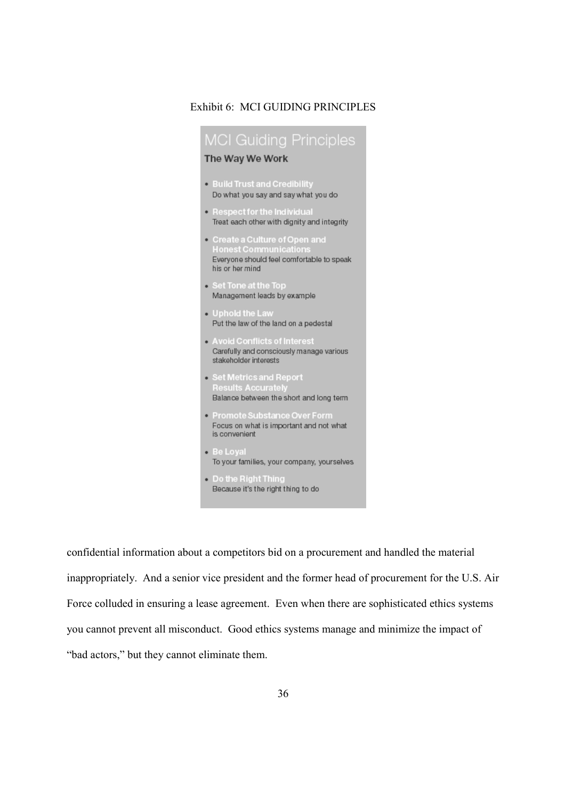## Exhibit 6: MCI GUIDING PRINCIPLES

| <b>MCI Guiding Principles</b>                                                                                                  |
|--------------------------------------------------------------------------------------------------------------------------------|
| The Way We Work                                                                                                                |
| . Build Trust and Credibility<br>Do what you say and say what you do                                                           |
| • Respect for the Individual<br>Treat each other with dignity and integrity                                                    |
| • Create a Culture of Open and<br><b>Honest Communications</b><br>Everyone should feel comfortable to speak<br>his or her mind |
| • Set Tone at the Top<br>Management leads by example                                                                           |
| $\bullet$ Uphold the Law<br>Put the law of the land on a pedestal                                                              |
| . Avoid Conflicts of Interest<br>Carefully and consciously manage various<br>stakeholder interests                             |
| • Set Metrics and Report<br><b>Results Accurately</b><br>Balance between the short and long term                               |
| • Promote Substance Over Form<br>Focus on what is important and not what<br>is convenient                                      |
| • Be Loval<br>To your families, your company, yourselves                                                                       |
| <b>Do the Right Thing</b><br>Because it's the right thing to do                                                                |

confidential information about a competitors bid on a procurement and handled the material inappropriately. And a senior vice president and the former head of procurement for the U.S. Air Force colluded in ensuring a lease agreement. Even when there are sophisticated ethics systems you cannot prevent all misconduct. Good ethics systems manage and minimize the impact of "bad actors," but they cannot eliminate them.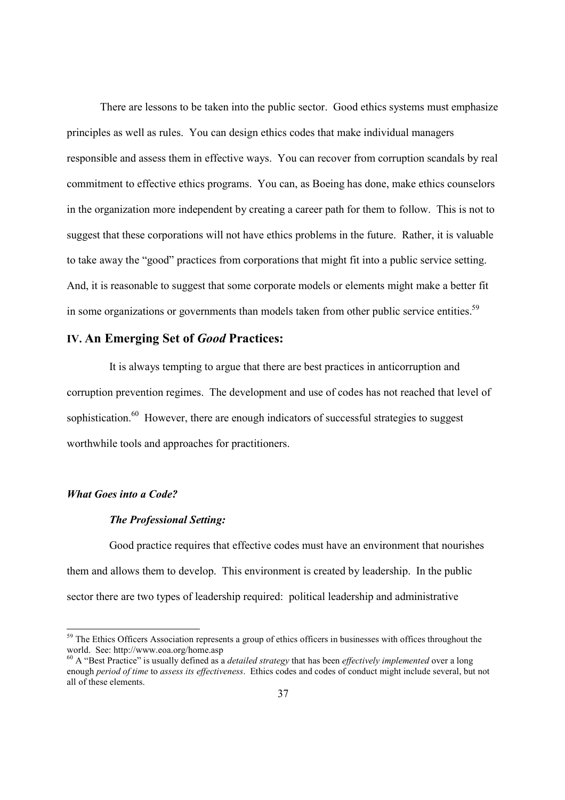There are lessons to be taken into the public sector. Good ethics systems must emphasize principles as well as rules. You can design ethics codes that make individual managers responsible and assess them in effective ways. You can recover from corruption scandals by real commitment to effective ethics programs. You can, as Boeing has done, make ethics counselors in the organization more independent by creating a career path for them to follow. This is not to suggest that these corporations will not have ethics problems in the future. Rather, it is valuable to take away the "good" practices from corporations that might fit into a public service setting. And, it is reasonable to suggest that some corporate models or elements might make a better fit in some organizations or governments than models taken from other public service entities.<sup>59</sup>

# **IV. An Emerging Set of** *Good* **Practices:**

It is always tempting to argue that there are best practices in anticorruption and corruption prevention regimes. The development and use of codes has not reached that level of sophistication.<sup>60</sup> However, there are enough indicators of successful strategies to suggest worthwhile tools and approaches for practitioners.

## *What Goes into a Code?*

-

## *The Professional Setting:*

 Good practice requires that effective codes must have an environment that nourishes them and allows them to develop. This environment is created by leadership. In the public sector there are two types of leadership required: political leadership and administrative

<sup>&</sup>lt;sup>59</sup> The Ethics Officers Association represents a group of ethics officers in businesses with offices throughout the world. See: http://www.eoa.org/home.asp

<sup>60</sup> A "Best Practice" is usually defined as a *detailed strategy* that has been *effectively implemented* over a long enough *period of time* to *assess its effectiveness*. Ethics codes and codes of conduct might include several, but not all of these elements.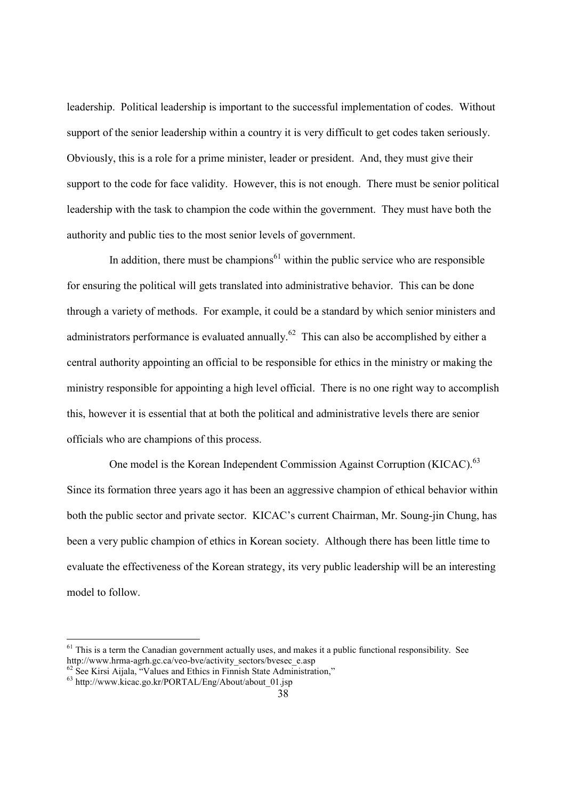leadership. Political leadership is important to the successful implementation of codes. Without support of the senior leadership within a country it is very difficult to get codes taken seriously. Obviously, this is a role for a prime minister, leader or president. And, they must give their support to the code for face validity. However, this is not enough. There must be senior political leadership with the task to champion the code within the government. They must have both the authority and public ties to the most senior levels of government.

In addition, there must be champions<sup> $61$ </sup> within the public service who are responsible for ensuring the political will gets translated into administrative behavior. This can be done through a variety of methods. For example, it could be a standard by which senior ministers and administrators performance is evaluated annually.<sup>62</sup> This can also be accomplished by either a central authority appointing an official to be responsible for ethics in the ministry or making the ministry responsible for appointing a high level official. There is no one right way to accomplish this, however it is essential that at both the political and administrative levels there are senior officials who are champions of this process.

One model is the Korean Independent Commission Against Corruption (KICAC).<sup>63</sup> Since its formation three years ago it has been an aggressive champion of ethical behavior within both the public sector and private sector. KICAC's current Chairman, Mr. Soung-jin Chung, has been a very public champion of ethics in Korean society. Although there has been little time to evaluate the effectiveness of the Korean strategy, its very public leadership will be an interesting model to follow.

 $<sup>61</sup>$  This is a term the Canadian government actually uses, and makes it a public functional responsibility. See</sup> http://www.hrma-agrh.gc.ca/veo-bve/activity\_sectors/bvesec\_e.asp

<sup>&</sup>lt;sup>62</sup> See Kirsi Aijala, "Values and Ethics in Finnish State Administration,"

 $^{63}$  http://www.kicac.go.kr/PORTAL/Eng/About/about 01.jsp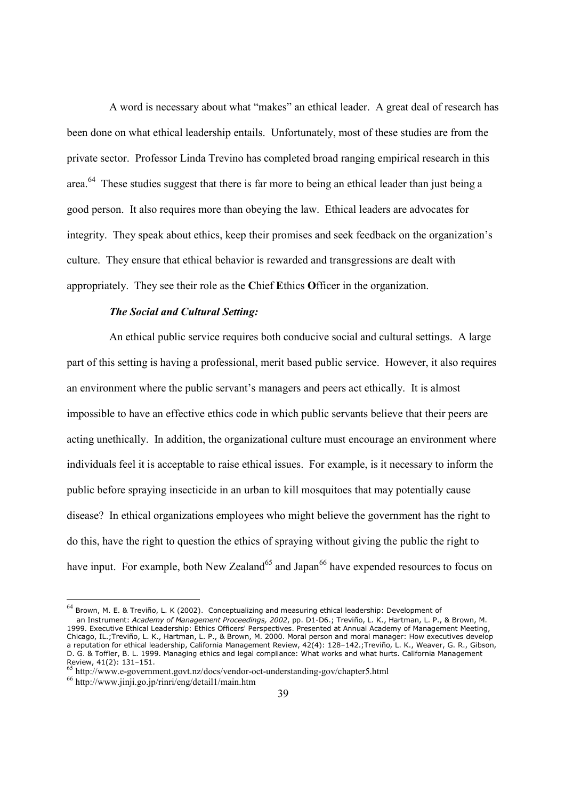A word is necessary about what "makes" an ethical leader. A great deal of research has been done on what ethical leadership entails. Unfortunately, most of these studies are from the private sector. Professor Linda Trevino has completed broad ranging empirical research in this area.64 These studies suggest that there is far more to being an ethical leader than just being a good person. It also requires more than obeying the law. Ethical leaders are advocates for integrity. They speak about ethics, keep their promises and seek feedback on the organization's culture. They ensure that ethical behavior is rewarded and transgressions are dealt with appropriately. They see their role as the **C**hief **E**thics **O**fficer in the organization.

#### *The Social and Cultural Setting:*

 An ethical public service requires both conducive social and cultural settings. A large part of this setting is having a professional, merit based public service. However, it also requires an environment where the public servant's managers and peers act ethically. It is almost impossible to have an effective ethics code in which public servants believe that their peers are acting unethically. In addition, the organizational culture must encourage an environment where individuals feel it is acceptable to raise ethical issues. For example, is it necessary to inform the public before spraying insecticide in an urban to kill mosquitoes that may potentially cause disease? In ethical organizations employees who might believe the government has the right to do this, have the right to question the ethics of spraying without giving the public the right to have input. For example, both New Zealand<sup>65</sup> and Japan<sup>66</sup> have expended resources to focus on

<sup>&</sup>lt;sup>64</sup> Brown, M. E. & Treviño, L. K (2002). Conceptualizing and measuring ethical leadership: Development of

an Instrument: *Academy of Management Proceedings, 2002*, pp. D1-D6.; Treviño, L. K., Hartman, L. P., & Brown, M. 1999. Executive Ethical Leadership: Ethics Officers' Perspectives. Presented at Annual Academy of Management Meeting, Chicago, IL.;Treviño, L. K., Hartman, L. P., & Brown, M. 2000. Moral person and moral manager: How executives develop a reputation for ethical leadership, California Management Review, 42(4): 128–142.;Treviño, L. K., Weaver, G. R., Gibson, D. G. & Toffler, B. L. 1999. Managing ethics and legal compliance: What works and what hurts. California Management Review, 41(2): 131–151.

<sup>65</sup> http://www.e-government.govt.nz/docs/vendor-oct-understanding-gov/chapter5.html<br>66 http://www.jinji.go.jp/rinri/eng/detail1/main.htm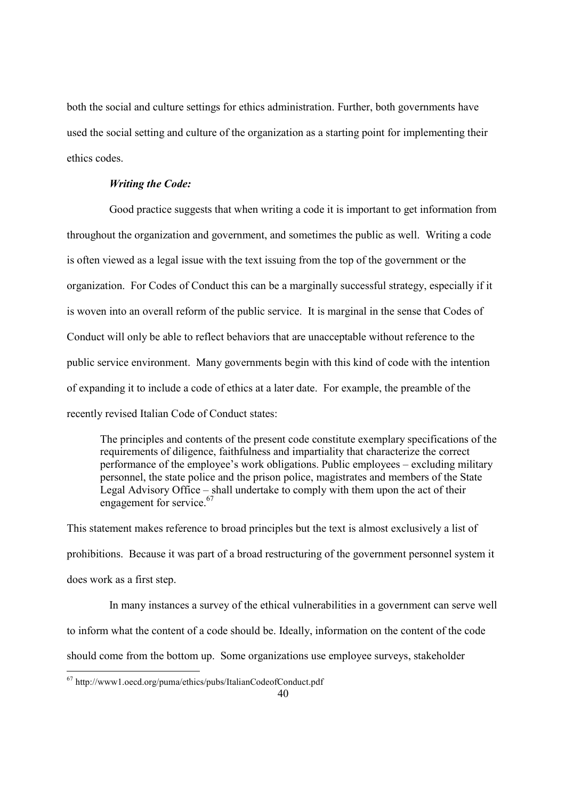both the social and culture settings for ethics administration. Further, both governments have used the social setting and culture of the organization as a starting point for implementing their ethics codes.

#### *Writing the Code:*

 Good practice suggests that when writing a code it is important to get information from throughout the organization and government, and sometimes the public as well. Writing a code is often viewed as a legal issue with the text issuing from the top of the government or the organization. For Codes of Conduct this can be a marginally successful strategy, especially if it is woven into an overall reform of the public service. It is marginal in the sense that Codes of Conduct will only be able to reflect behaviors that are unacceptable without reference to the public service environment. Many governments begin with this kind of code with the intention of expanding it to include a code of ethics at a later date. For example, the preamble of the recently revised Italian Code of Conduct states:

 The principles and contents of the present code constitute exemplary specifications of the requirements of diligence, faithfulness and impartiality that characterize the correct performance of the employee's work obligations. Public employees – excluding military personnel, the state police and the prison police, magistrates and members of the State Legal Advisory Office – shall undertake to comply with them upon the act of their engagement for service.<sup>67</sup>

This statement makes reference to broad principles but the text is almost exclusively a list of prohibitions. Because it was part of a broad restructuring of the government personnel system it does work as a first step.

 In many instances a survey of the ethical vulnerabilities in a government can serve well to inform what the content of a code should be. Ideally, information on the content of the code should come from the bottom up. Some organizations use employee surveys, stakeholder

1

 $67$  http://www1.oecd.org/puma/ethics/pubs/ItalianCodeofConduct.pdf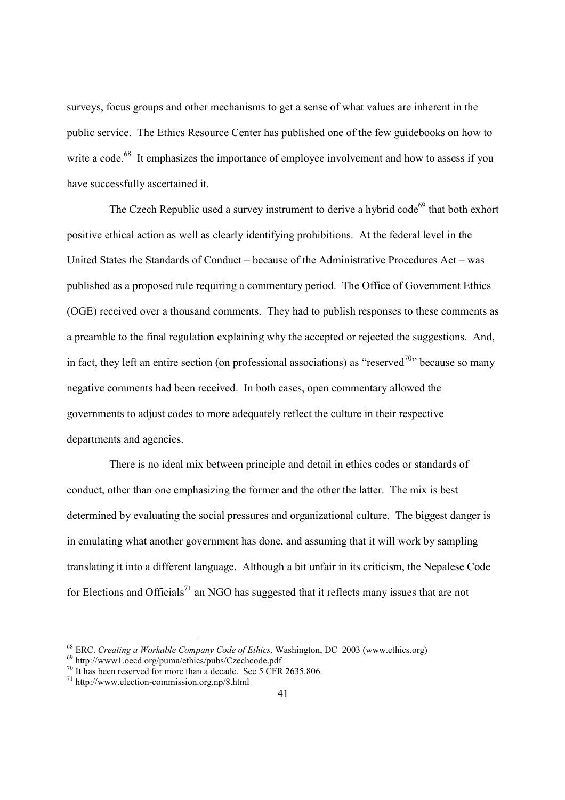surveys, focus groups and other mechanisms to get a sense of what values are inherent in the public service. The Ethics Resource Center has published one of the few guidebooks on how to write a code.<sup>68</sup> It emphasizes the importance of employee involvement and how to assess if you have successfully ascertained it.

The Czech Republic used a survey instrument to derive a hybrid code<sup>69</sup> that both exhort positive ethical action as well as clearly identifying prohibitions. At the federal level in the United States the Standards of Conduct – because of the Administrative Procedures Act – was published as a proposed rule requiring a commentary period. The Office of Government Ethics (OGE) received over a thousand comments. They had to publish responses to these comments as a preamble to the final regulation explaining why the accepted or rejected the suggestions. And, in fact, they left an entire section (on professional associations) as "reserved<sup>70</sup>" because so many negative comments had been received. In both cases, open commentary allowed the governments to adjust codes to more adequately reflect the culture in their respective departments and agencies.

 There is no ideal mix between principle and detail in ethics codes or standards of conduct, other than one emphasizing the former and the other the latter. The mix is best determined by evaluating the social pressures and organizational culture. The biggest danger is in emulating what another government has done, and assuming that it will work by sampling translating it into a different language. Although a bit unfair in its criticism, the Nepalese Code for Elections and Officials<sup>71</sup> an NGO has suggested that it reflects many issues that are not

<sup>&</sup>lt;sup>68</sup> ERC. *Creating a Workable Company Code of Ethics*, Washington, DC 2003 (www.ethics.org) 69 http://www1.oecd.org/puma/ethics/pubs/Czechcode.pdf

<sup>&</sup>lt;sup>70</sup> It has been reserved for more than a decade. See 5 CFR 2635.806.

<sup>71</sup> http://www.election-commission.org.np/8.html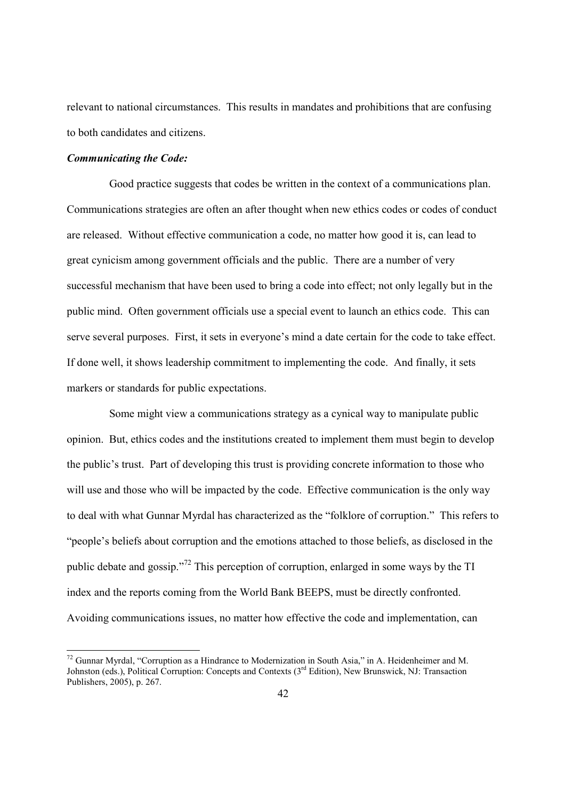relevant to national circumstances. This results in mandates and prohibitions that are confusing to both candidates and citizens.

#### *Communicating the Code:*

-

 Good practice suggests that codes be written in the context of a communications plan. Communications strategies are often an after thought when new ethics codes or codes of conduct are released. Without effective communication a code, no matter how good it is, can lead to great cynicism among government officials and the public. There are a number of very successful mechanism that have been used to bring a code into effect; not only legally but in the public mind. Often government officials use a special event to launch an ethics code. This can serve several purposes. First, it sets in everyone's mind a date certain for the code to take effect. If done well, it shows leadership commitment to implementing the code. And finally, it sets markers or standards for public expectations.

 Some might view a communications strategy as a cynical way to manipulate public opinion. But, ethics codes and the institutions created to implement them must begin to develop the public's trust. Part of developing this trust is providing concrete information to those who will use and those who will be impacted by the code. Effective communication is the only way to deal with what Gunnar Myrdal has characterized as the "folklore of corruption." This refers to "people's beliefs about corruption and the emotions attached to those beliefs, as disclosed in the public debate and gossip."72 This perception of corruption, enlarged in some ways by the TI index and the reports coming from the World Bank BEEPS, must be directly confronted. Avoiding communications issues, no matter how effective the code and implementation, can

<sup>72</sup> Gunnar Myrdal, "Corruption as a Hindrance to Modernization in South Asia," in A. Heidenheimer and M. Johnston (eds.), Political Corruption: Concepts and Contexts (3<sup>rd</sup> Edition), New Brunswick, NJ: Transaction Publishers, 2005), p. 267.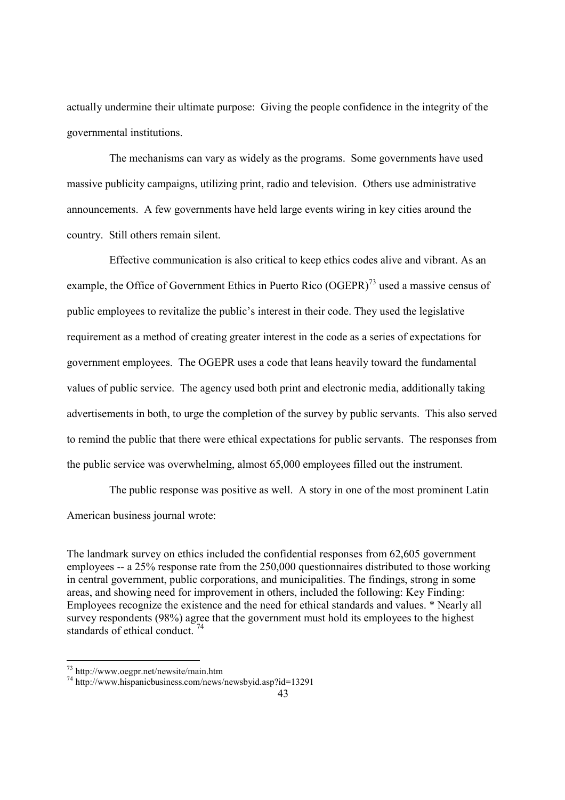actually undermine their ultimate purpose: Giving the people confidence in the integrity of the governmental institutions.

 The mechanisms can vary as widely as the programs. Some governments have used massive publicity campaigns, utilizing print, radio and television. Others use administrative announcements. A few governments have held large events wiring in key cities around the country. Still others remain silent.

 Effective communication is also critical to keep ethics codes alive and vibrant. As an example, the Office of Government Ethics in Puerto Rico (OGEPR)<sup>73</sup> used a massive census of public employees to revitalize the public's interest in their code. They used the legislative requirement as a method of creating greater interest in the code as a series of expectations for government employees. The OGEPR uses a code that leans heavily toward the fundamental values of public service. The agency used both print and electronic media, additionally taking advertisements in both, to urge the completion of the survey by public servants. This also served to remind the public that there were ethical expectations for public servants. The responses from the public service was overwhelming, almost 65,000 employees filled out the instrument.

 The public response was positive as well. A story in one of the most prominent Latin American business journal wrote:

The landmark survey on ethics included the confidential responses from 62,605 government employees -- a 25% response rate from the 250,000 questionnaires distributed to those working in central government, public corporations, and municipalities. The findings, strong in some areas, and showing need for improvement in others, included the following: Key Finding: Employees recognize the existence and the need for ethical standards and values. \* Nearly all survey respondents (98%) agree that the government must hold its employees to the highest standards of ethical conduct.<sup>74</sup>

<sup>73</sup> http://www.oegpr.net/newsite/main.htm

<sup>74</sup> http://www.hispanicbusiness.com/news/newsbyid.asp?id=13291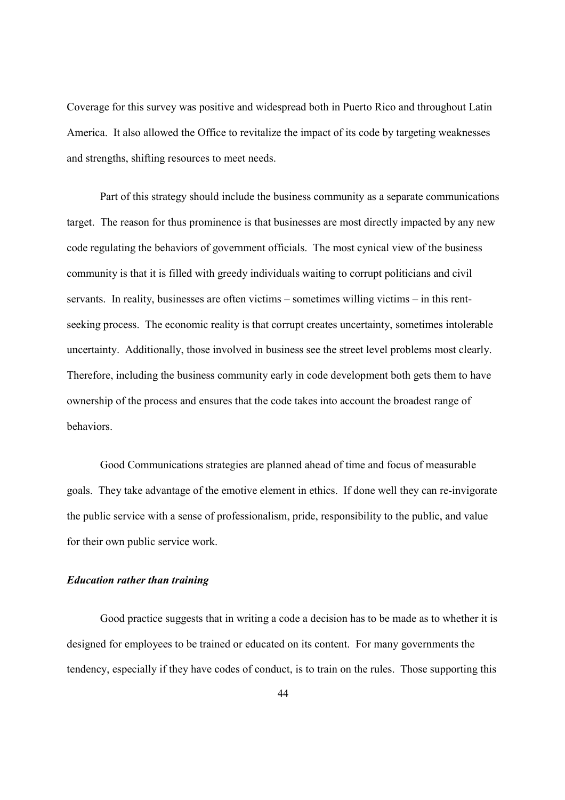Coverage for this survey was positive and widespread both in Puerto Rico and throughout Latin America. It also allowed the Office to revitalize the impact of its code by targeting weaknesses and strengths, shifting resources to meet needs.

 Part of this strategy should include the business community as a separate communications target. The reason for thus prominence is that businesses are most directly impacted by any new code regulating the behaviors of government officials. The most cynical view of the business community is that it is filled with greedy individuals waiting to corrupt politicians and civil servants. In reality, businesses are often victims – sometimes willing victims – in this rentseeking process. The economic reality is that corrupt creates uncertainty, sometimes intolerable uncertainty. Additionally, those involved in business see the street level problems most clearly. Therefore, including the business community early in code development both gets them to have ownership of the process and ensures that the code takes into account the broadest range of behaviors.

 Good Communications strategies are planned ahead of time and focus of measurable goals. They take advantage of the emotive element in ethics. If done well they can re-invigorate the public service with a sense of professionalism, pride, responsibility to the public, and value for their own public service work.

## *Education rather than training*

 Good practice suggests that in writing a code a decision has to be made as to whether it is designed for employees to be trained or educated on its content. For many governments the tendency, especially if they have codes of conduct, is to train on the rules. Those supporting this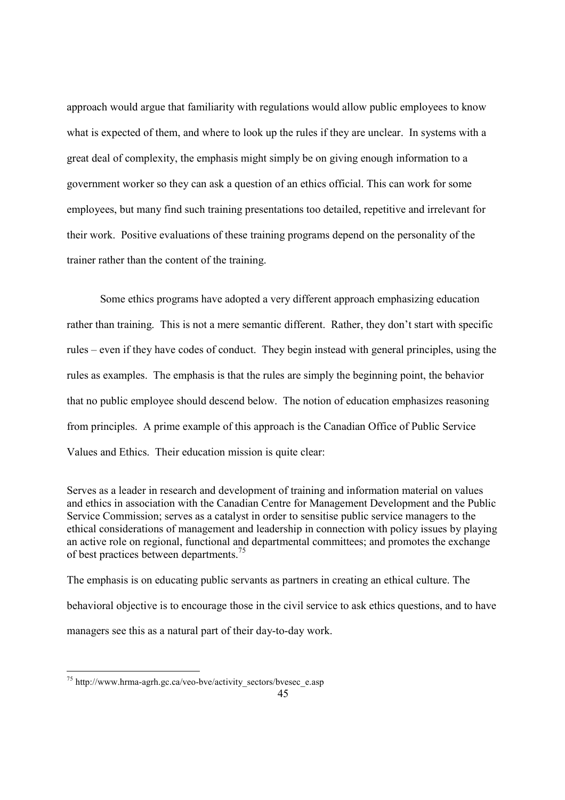approach would argue that familiarity with regulations would allow public employees to know what is expected of them, and where to look up the rules if they are unclear. In systems with a great deal of complexity, the emphasis might simply be on giving enough information to a government worker so they can ask a question of an ethics official. This can work for some employees, but many find such training presentations too detailed, repetitive and irrelevant for their work. Positive evaluations of these training programs depend on the personality of the trainer rather than the content of the training.

 Some ethics programs have adopted a very different approach emphasizing education rather than training. This is not a mere semantic different. Rather, they don't start with specific rules – even if they have codes of conduct. They begin instead with general principles, using the rules as examples. The emphasis is that the rules are simply the beginning point, the behavior that no public employee should descend below. The notion of education emphasizes reasoning from principles. A prime example of this approach is the Canadian Office of Public Service Values and Ethics. Their education mission is quite clear:

Serves as a leader in research and development of training and information material on values and ethics in association with the Canadian Centre for Management Development and the Public Service Commission; serves as a catalyst in order to sensitise public service managers to the ethical considerations of management and leadership in connection with policy issues by playing an active role on regional, functional and departmental committees; and promotes the exchange of best practices between departments.<sup>75</sup>

The emphasis is on educating public servants as partners in creating an ethical culture. The behavioral objective is to encourage those in the civil service to ask ethics questions, and to have managers see this as a natural part of their day-to-day work.

1

<sup>&</sup>lt;sup>75</sup> http://www.hrma-agrh.gc.ca/veo-bve/activity\_sectors/bvesec\_e.asp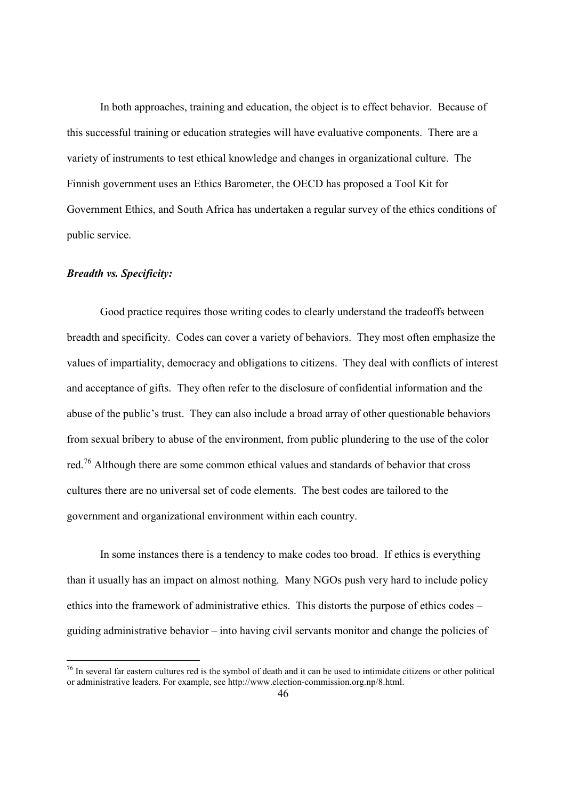In both approaches, training and education, the object is to effect behavior. Because of this successful training or education strategies will have evaluative components. There are a variety of instruments to test ethical knowledge and changes in organizational culture. The Finnish government uses an Ethics Barometer, the OECD has proposed a Tool Kit for Government Ethics, and South Africa has undertaken a regular survey of the ethics conditions of public service.

#### *Breadth vs. Specificity:*

-

 Good practice requires those writing codes to clearly understand the tradeoffs between breadth and specificity. Codes can cover a variety of behaviors. They most often emphasize the values of impartiality, democracy and obligations to citizens. They deal with conflicts of interest and acceptance of gifts. They often refer to the disclosure of confidential information and the abuse of the public's trust. They can also include a broad array of other questionable behaviors from sexual bribery to abuse of the environment, from public plundering to the use of the color red.<sup>76</sup> Although there are some common ethical values and standards of behavior that cross cultures there are no universal set of code elements. The best codes are tailored to the government and organizational environment within each country.

 In some instances there is a tendency to make codes too broad. If ethics is everything than it usually has an impact on almost nothing. Many NGOs push very hard to include policy ethics into the framework of administrative ethics. This distorts the purpose of ethics codes – guiding administrative behavior – into having civil servants monitor and change the policies of

<sup>&</sup>lt;sup>76</sup> In several far eastern cultures red is the symbol of death and it can be used to intimidate citizens or other political or administrative leaders. For example, see http://www.election-commission.org.np/8.html.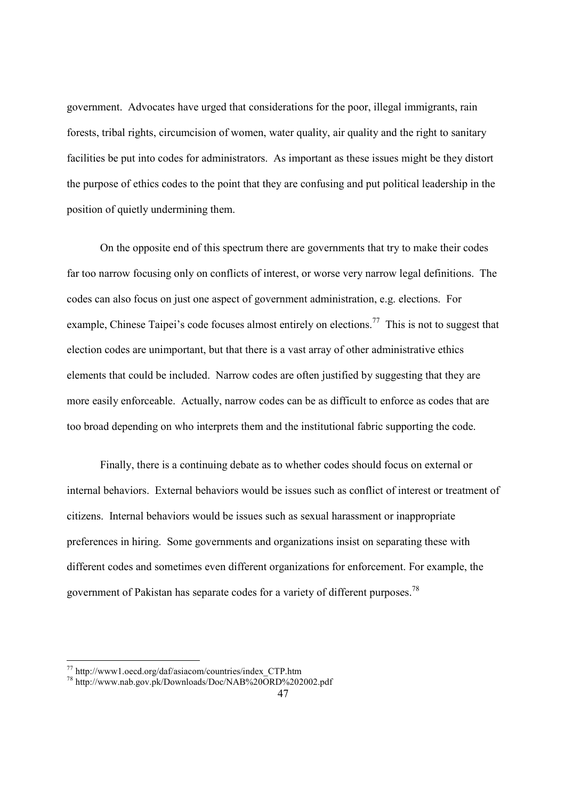government. Advocates have urged that considerations for the poor, illegal immigrants, rain forests, tribal rights, circumcision of women, water quality, air quality and the right to sanitary facilities be put into codes for administrators. As important as these issues might be they distort the purpose of ethics codes to the point that they are confusing and put political leadership in the position of quietly undermining them.

 On the opposite end of this spectrum there are governments that try to make their codes far too narrow focusing only on conflicts of interest, or worse very narrow legal definitions. The codes can also focus on just one aspect of government administration, e.g. elections. For example, Chinese Taipei's code focuses almost entirely on elections.<sup>77</sup> This is not to suggest that election codes are unimportant, but that there is a vast array of other administrative ethics elements that could be included. Narrow codes are often justified by suggesting that they are more easily enforceable. Actually, narrow codes can be as difficult to enforce as codes that are too broad depending on who interprets them and the institutional fabric supporting the code.

 Finally, there is a continuing debate as to whether codes should focus on external or internal behaviors. External behaviors would be issues such as conflict of interest or treatment of citizens. Internal behaviors would be issues such as sexual harassment or inappropriate preferences in hiring. Some governments and organizations insist on separating these with different codes and sometimes even different organizations for enforcement. For example, the government of Pakistan has separate codes for a variety of different purposes.<sup>78</sup>

<sup>77</sup> http://www1.oecd.org/daf/asiacom/countries/index\_CTP.htm

<sup>&</sup>lt;sup>78</sup> http://www.nab.gov.pk/Downloads/Doc/NAB%20ORD%202002.pdf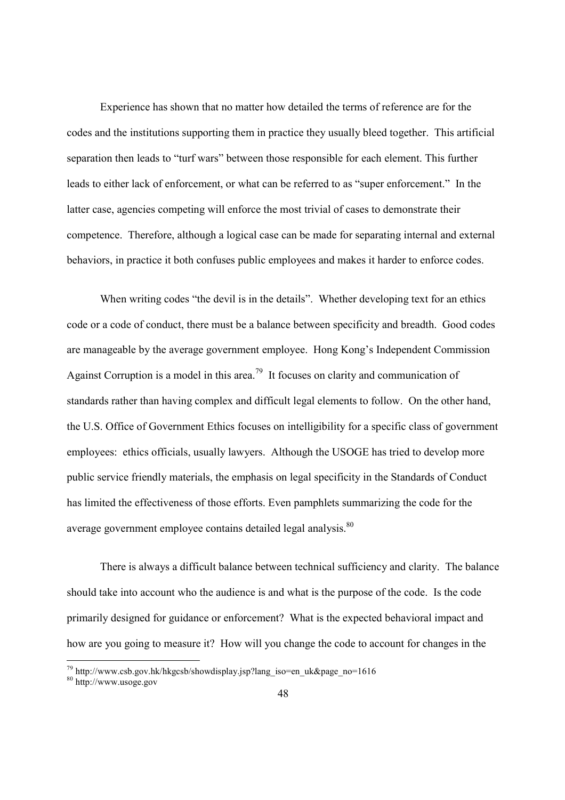Experience has shown that no matter how detailed the terms of reference are for the codes and the institutions supporting them in practice they usually bleed together. This artificial separation then leads to "turf wars" between those responsible for each element. This further leads to either lack of enforcement, or what can be referred to as "super enforcement." In the latter case, agencies competing will enforce the most trivial of cases to demonstrate their competence. Therefore, although a logical case can be made for separating internal and external behaviors, in practice it both confuses public employees and makes it harder to enforce codes.

When writing codes "the devil is in the details". Whether developing text for an ethics code or a code of conduct, there must be a balance between specificity and breadth. Good codes are manageable by the average government employee. Hong Kong's Independent Commission Against Corruption is a model in this area.<sup>79</sup> It focuses on clarity and communication of standards rather than having complex and difficult legal elements to follow. On the other hand, the U.S. Office of Government Ethics focuses on intelligibility for a specific class of government employees: ethics officials, usually lawyers. Although the USOGE has tried to develop more public service friendly materials, the emphasis on legal specificity in the Standards of Conduct has limited the effectiveness of those efforts. Even pamphlets summarizing the code for the average government employee contains detailed legal analysis.<sup>80</sup>

 There is always a difficult balance between technical sufficiency and clarity. The balance should take into account who the audience is and what is the purpose of the code. Is the code primarily designed for guidance or enforcement? What is the expected behavioral impact and how are you going to measure it? How will you change the code to account for changes in the

 $79$  http://www.csb.gov.hk/hkgcsb/showdisplay.jsp?lang\_iso=en\_uk&page\_no=1616

<sup>80</sup> http://www.usoge.gov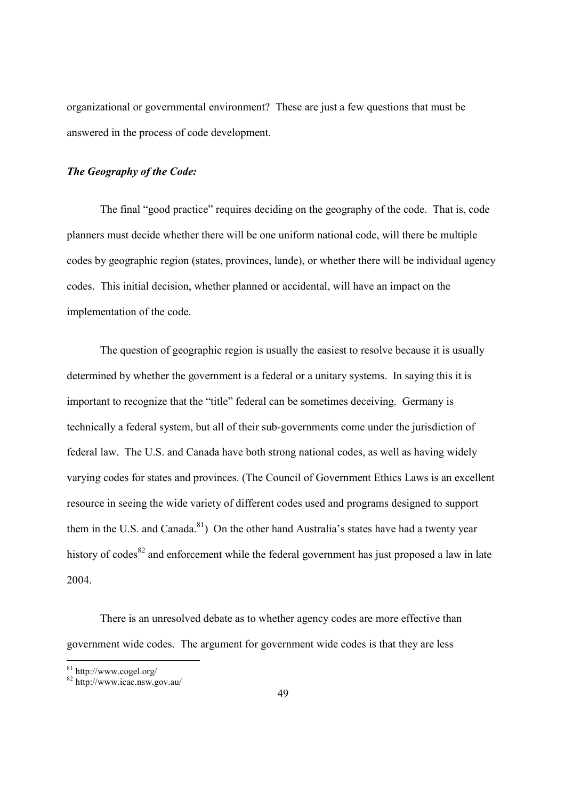organizational or governmental environment? These are just a few questions that must be answered in the process of code development.

# *The Geography of the Code:*

 The final "good practice" requires deciding on the geography of the code. That is, code planners must decide whether there will be one uniform national code, will there be multiple codes by geographic region (states, provinces, lande), or whether there will be individual agency codes. This initial decision, whether planned or accidental, will have an impact on the implementation of the code.

 The question of geographic region is usually the easiest to resolve because it is usually determined by whether the government is a federal or a unitary systems. In saying this it is important to recognize that the "title" federal can be sometimes deceiving. Germany is technically a federal system, but all of their sub-governments come under the jurisdiction of federal law. The U.S. and Canada have both strong national codes, as well as having widely varying codes for states and provinces. (The Council of Government Ethics Laws is an excellent resource in seeing the wide variety of different codes used and programs designed to support them in the U.S. and Canada.<sup>81</sup>) On the other hand Australia's states have had a twenty year history of codes<sup>82</sup> and enforcement while the federal government has just proposed a law in late 2004.

 There is an unresolved debate as to whether agency codes are more effective than government wide codes. The argument for government wide codes is that they are less

<sup>81</sup> http://www.cogel.org/

<sup>82</sup> http://www.icac.nsw.gov.au/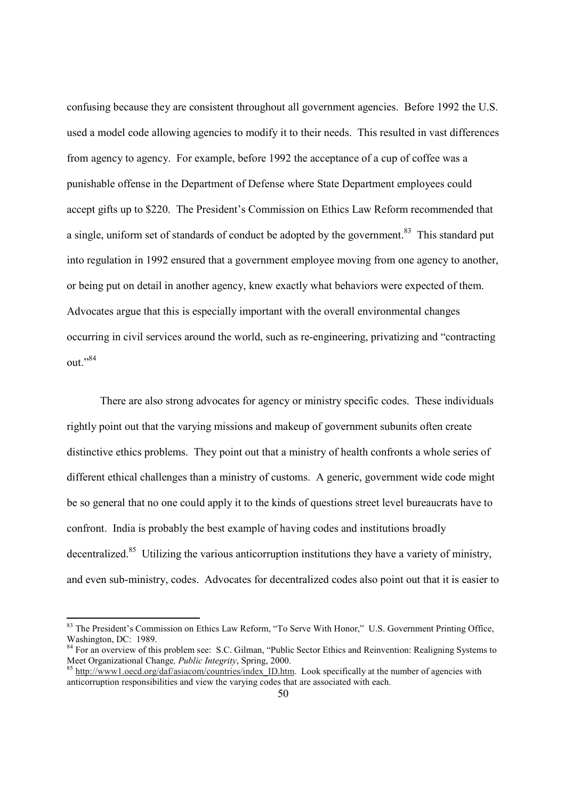confusing because they are consistent throughout all government agencies. Before 1992 the U.S. used a model code allowing agencies to modify it to their needs. This resulted in vast differences from agency to agency. For example, before 1992 the acceptance of a cup of coffee was a punishable offense in the Department of Defense where State Department employees could accept gifts up to \$220. The President's Commission on Ethics Law Reform recommended that a single, uniform set of standards of conduct be adopted by the government.<sup>83</sup> This standard put into regulation in 1992 ensured that a government employee moving from one agency to another, or being put on detail in another agency, knew exactly what behaviors were expected of them. Advocates argue that this is especially important with the overall environmental changes occurring in civil services around the world, such as re-engineering, privatizing and "contracting out."84

 There are also strong advocates for agency or ministry specific codes. These individuals rightly point out that the varying missions and makeup of government subunits often create distinctive ethics problems. They point out that a ministry of health confronts a whole series of different ethical challenges than a ministry of customs. A generic, government wide code might be so general that no one could apply it to the kinds of questions street level bureaucrats have to confront. India is probably the best example of having codes and institutions broadly decentralized.<sup>85</sup> Utilizing the various anticorruption institutions they have a variety of ministry, and even sub-ministry, codes. Advocates for decentralized codes also point out that it is easier to

<sup>&</sup>lt;sup>83</sup> The President's Commission on Ethics Law Reform, "To Serve With Honor," U.S. Government Printing Office, Washington, DC: 1989.

 $84$  For an overview of this problem see: S.C. Gilman, "Public Sector Ethics and Reinvention: Realigning Systems to Meet Organizational Change, *Public Integrity*, Spring, 2000.

<sup>&</sup>lt;sup>85</sup> http://www1.oecd.org/daf/asiacom/countries/index\_ID.htm. Look specifically at the number of agencies with anticorruption responsibilities and view the varying codes that are associated with each.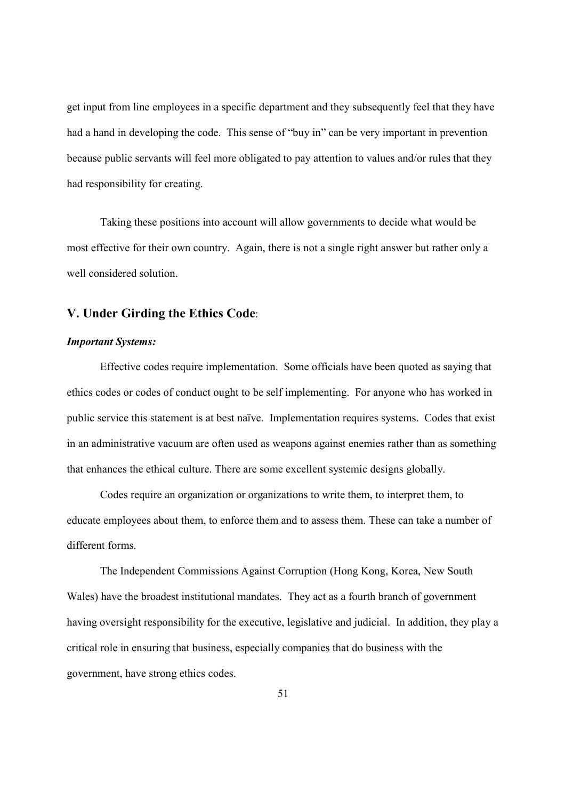get input from line employees in a specific department and they subsequently feel that they have had a hand in developing the code. This sense of "buy in" can be very important in prevention because public servants will feel more obligated to pay attention to values and/or rules that they had responsibility for creating.

 Taking these positions into account will allow governments to decide what would be most effective for their own country. Again, there is not a single right answer but rather only a well considered solution.

# **V. Under Girding the Ethics Code**:

## *Important Systems:*

 Effective codes require implementation. Some officials have been quoted as saying that ethics codes or codes of conduct ought to be self implementing. For anyone who has worked in public service this statement is at best naïve. Implementation requires systems. Codes that exist in an administrative vacuum are often used as weapons against enemies rather than as something that enhances the ethical culture. There are some excellent systemic designs globally.

 Codes require an organization or organizations to write them, to interpret them, to educate employees about them, to enforce them and to assess them. These can take a number of different forms.

 The Independent Commissions Against Corruption (Hong Kong, Korea, New South Wales) have the broadest institutional mandates. They act as a fourth branch of government having oversight responsibility for the executive, legislative and judicial. In addition, they play a critical role in ensuring that business, especially companies that do business with the government, have strong ethics codes.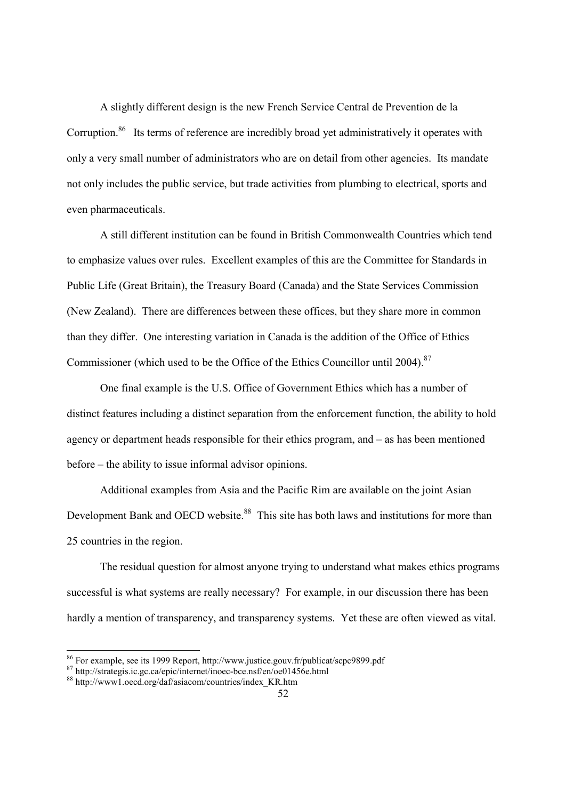A slightly different design is the new French Service Central de Prevention de la Corruption.<sup>86</sup> Its terms of reference are incredibly broad yet administratively it operates with only a very small number of administrators who are on detail from other agencies. Its mandate not only includes the public service, but trade activities from plumbing to electrical, sports and even pharmaceuticals.

 A still different institution can be found in British Commonwealth Countries which tend to emphasize values over rules. Excellent examples of this are the Committee for Standards in Public Life (Great Britain), the Treasury Board (Canada) and the State Services Commission (New Zealand). There are differences between these offices, but they share more in common than they differ. One interesting variation in Canada is the addition of the Office of Ethics Commissioner (which used to be the Office of the Ethics Councillor until 2004).<sup>87</sup>

 One final example is the U.S. Office of Government Ethics which has a number of distinct features including a distinct separation from the enforcement function, the ability to hold agency or department heads responsible for their ethics program, and – as has been mentioned before – the ability to issue informal advisor opinions.

 Additional examples from Asia and the Pacific Rim are available on the joint Asian Development Bank and OECD website.<sup>88</sup> This site has both laws and institutions for more than 25 countries in the region.

 The residual question for almost anyone trying to understand what makes ethics programs successful is what systems are really necessary? For example, in our discussion there has been hardly a mention of transparency, and transparency systems. Yet these are often viewed as vital.

<sup>86</sup> For example, see its 1999 Report, http://www.justice.gouv.fr/publicat/scpc9899.pdf

<sup>87</sup> http://strategis.ic.gc.ca/epic/internet/inoec-bce.nsf/en/oe01456e.html

<sup>88</sup> http://www1.oecd.org/daf/asiacom/countries/index\_KR.htm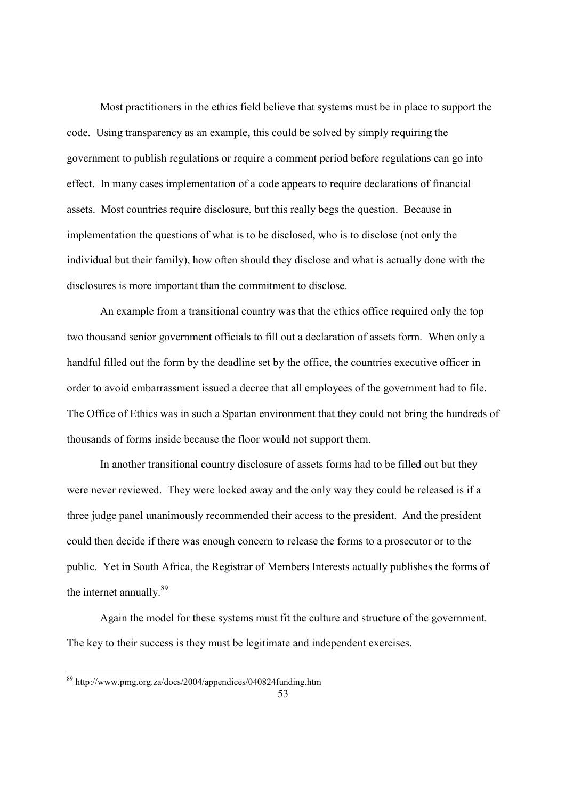Most practitioners in the ethics field believe that systems must be in place to support the code. Using transparency as an example, this could be solved by simply requiring the government to publish regulations or require a comment period before regulations can go into effect. In many cases implementation of a code appears to require declarations of financial assets. Most countries require disclosure, but this really begs the question. Because in implementation the questions of what is to be disclosed, who is to disclose (not only the individual but their family), how often should they disclose and what is actually done with the disclosures is more important than the commitment to disclose.

 An example from a transitional country was that the ethics office required only the top two thousand senior government officials to fill out a declaration of assets form. When only a handful filled out the form by the deadline set by the office, the countries executive officer in order to avoid embarrassment issued a decree that all employees of the government had to file. The Office of Ethics was in such a Spartan environment that they could not bring the hundreds of thousands of forms inside because the floor would not support them.

 In another transitional country disclosure of assets forms had to be filled out but they were never reviewed. They were locked away and the only way they could be released is if a three judge panel unanimously recommended their access to the president. And the president could then decide if there was enough concern to release the forms to a prosecutor or to the public. Yet in South Africa, the Registrar of Members Interests actually publishes the forms of the internet annually.<sup>89</sup>

 Again the model for these systems must fit the culture and structure of the government. The key to their success is they must be legitimate and independent exercises.

1

<sup>89</sup> http://www.pmg.org.za/docs/2004/appendices/040824funding.htm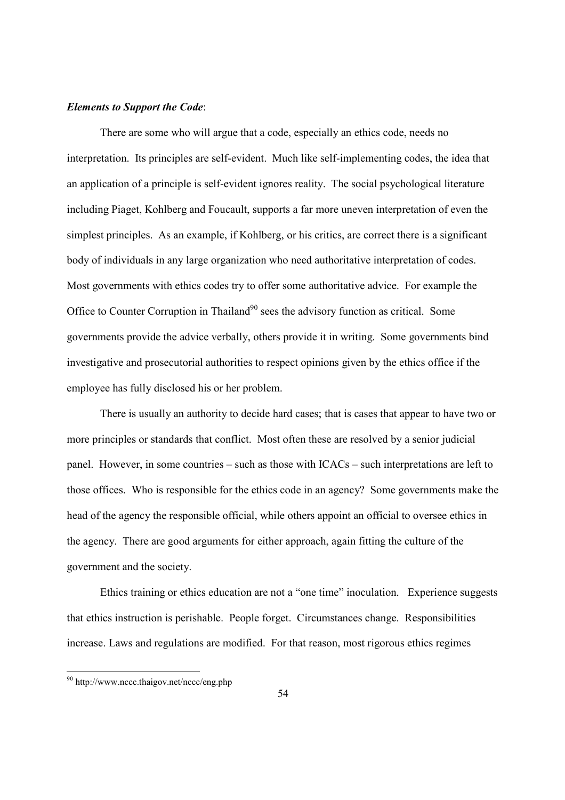#### *Elements to Support the Code*:

 There are some who will argue that a code, especially an ethics code, needs no interpretation. Its principles are self-evident. Much like self-implementing codes, the idea that an application of a principle is self-evident ignores reality. The social psychological literature including Piaget, Kohlberg and Foucault, supports a far more uneven interpretation of even the simplest principles. As an example, if Kohlberg, or his critics, are correct there is a significant body of individuals in any large organization who need authoritative interpretation of codes. Most governments with ethics codes try to offer some authoritative advice. For example the Office to Counter Corruption in Thailand<sup>90</sup> sees the advisory function as critical. Some governments provide the advice verbally, others provide it in writing. Some governments bind investigative and prosecutorial authorities to respect opinions given by the ethics office if the employee has fully disclosed his or her problem.

 There is usually an authority to decide hard cases; that is cases that appear to have two or more principles or standards that conflict. Most often these are resolved by a senior judicial panel. However, in some countries – such as those with ICACs – such interpretations are left to those offices. Who is responsible for the ethics code in an agency? Some governments make the head of the agency the responsible official, while others appoint an official to oversee ethics in the agency. There are good arguments for either approach, again fitting the culture of the government and the society.

 Ethics training or ethics education are not a "one time" inoculation. Experience suggests that ethics instruction is perishable. People forget. Circumstances change. Responsibilities increase. Laws and regulations are modified. For that reason, most rigorous ethics regimes

1

<sup>&</sup>lt;sup>90</sup> http://www.nccc.thaigov.net/nccc/eng.php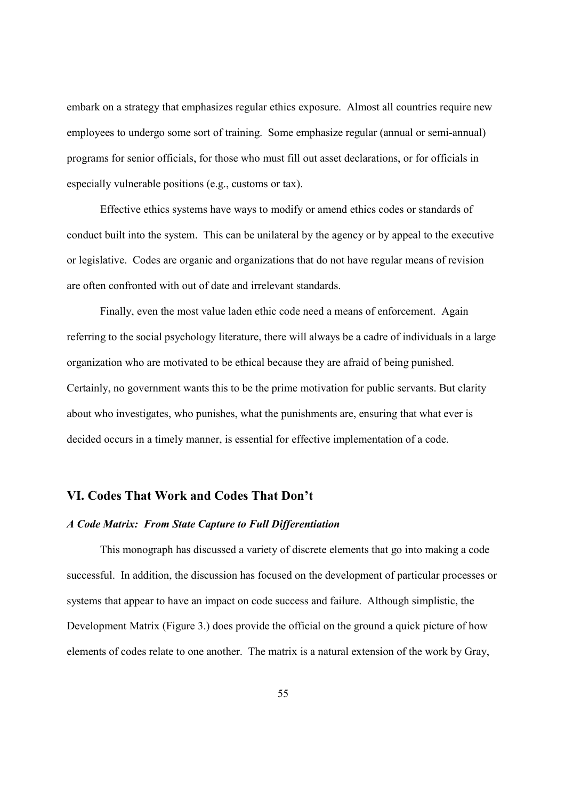embark on a strategy that emphasizes regular ethics exposure. Almost all countries require new employees to undergo some sort of training. Some emphasize regular (annual or semi-annual) programs for senior officials, for those who must fill out asset declarations, or for officials in especially vulnerable positions (e.g., customs or tax).

 Effective ethics systems have ways to modify or amend ethics codes or standards of conduct built into the system. This can be unilateral by the agency or by appeal to the executive or legislative. Codes are organic and organizations that do not have regular means of revision are often confronted with out of date and irrelevant standards.

 Finally, even the most value laden ethic code need a means of enforcement. Again referring to the social psychology literature, there will always be a cadre of individuals in a large organization who are motivated to be ethical because they are afraid of being punished. Certainly, no government wants this to be the prime motivation for public servants. But clarity about who investigates, who punishes, what the punishments are, ensuring that what ever is decided occurs in a timely manner, is essential for effective implementation of a code.

# **VI. Codes That Work and Codes That Don't**

#### *A Code Matrix: From State Capture to Full Differentiation*

 This monograph has discussed a variety of discrete elements that go into making a code successful. In addition, the discussion has focused on the development of particular processes or systems that appear to have an impact on code success and failure. Although simplistic, the Development Matrix (Figure 3.) does provide the official on the ground a quick picture of how elements of codes relate to one another. The matrix is a natural extension of the work by Gray,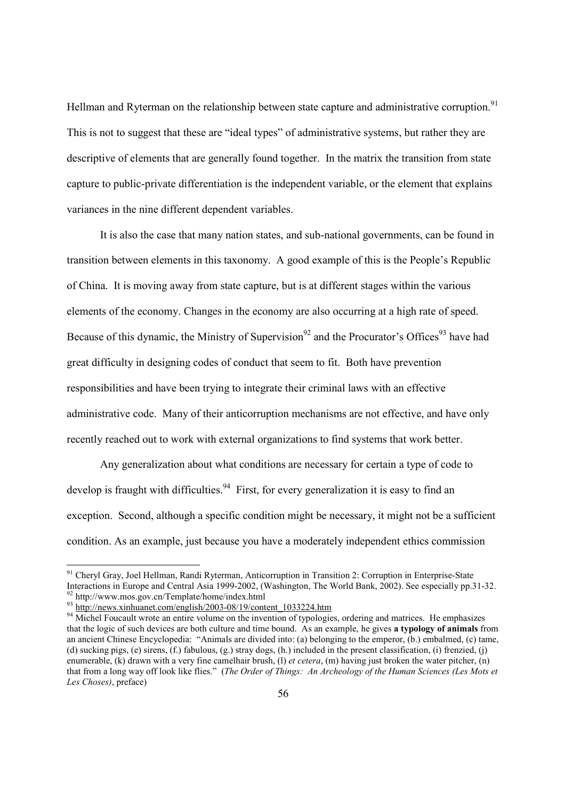Hellman and Ryterman on the relationship between state capture and administrative corruption.<sup>91</sup> This is not to suggest that these are "ideal types" of administrative systems, but rather they are descriptive of elements that are generally found together. In the matrix the transition from state capture to public-private differentiation is the independent variable, or the element that explains variances in the nine different dependent variables.

 It is also the case that many nation states, and sub-national governments, can be found in transition between elements in this taxonomy. A good example of this is the People's Republic of China. It is moving away from state capture, but is at different stages within the various elements of the economy. Changes in the economy are also occurring at a high rate of speed. Because of this dynamic, the Ministry of Supervision<sup>92</sup> and the Procurator's Offices<sup>93</sup> have had great difficulty in designing codes of conduct that seem to fit. Both have prevention responsibilities and have been trying to integrate their criminal laws with an effective administrative code. Many of their anticorruption mechanisms are not effective, and have only recently reached out to work with external organizations to find systems that work better.

 Any generalization about what conditions are necessary for certain a type of code to develop is fraught with difficulties.<sup>94</sup> First, for every generalization it is easy to find an exception. Second, although a specific condition might be necessary, it might not be a sufficient condition. As an example, just because you have a moderately independent ethics commission

<sup>&</sup>lt;sup>91</sup> Cheryl Gray, Joel Hellman, Randi Ryterman, Anticorruption in Transition 2: Corruption in Enterprise-State Interactions in Europe and Central Asia 1999-2002, (Washington, The World Bank, 2002). See especially pp.31-32. 92 http://www.mos.gov.cn/Template/home/index.html

<sup>&</sup>lt;sup>93</sup> http://<u>news.xinhuanet.com/english/2003-08/19/content\_1033224.htm</u>

<sup>&</sup>lt;sup>94</sup> Michel Foucault wrote an entire volume on the invention of typologies, ordering and matrices. He emphasizes that the logic of such devices are both culture and time bound. As an example, he gives **a typology of animals** from an ancient Chinese Encyclopedia: "Animals are divided into: (a) belonging to the emperor, (b.) embalmed, (c) tame, (d) sucking pigs, (e) sirens, (f.) fabulous, (g.) stray dogs, (h.) included in the present classification, (i) frenzied, (j) enumerable, (k) drawn with a very fine camelhair brush, (l) *et cetera*, (m) having just broken the water pitcher, (n) that from a long way off look like flies." (*The Order of Things: An Archeology of the Human Sciences (Les Mots et Les Choses)*, preface)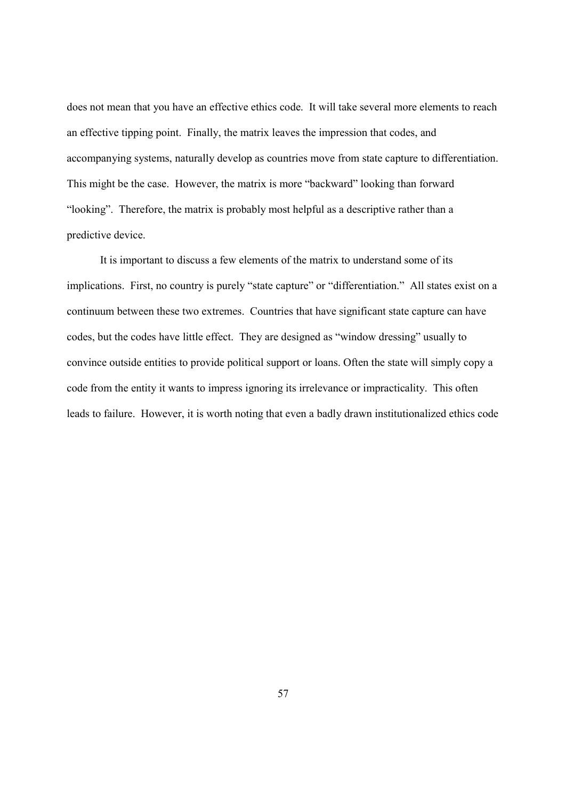does not mean that you have an effective ethics code. It will take several more elements to reach an effective tipping point. Finally, the matrix leaves the impression that codes, and accompanying systems, naturally develop as countries move from state capture to differentiation. This might be the case. However, the matrix is more "backward" looking than forward "looking". Therefore, the matrix is probably most helpful as a descriptive rather than a predictive device.

 It is important to discuss a few elements of the matrix to understand some of its implications. First, no country is purely "state capture" or "differentiation." All states exist on a continuum between these two extremes. Countries that have significant state capture can have codes, but the codes have little effect. They are designed as "window dressing" usually to convince outside entities to provide political support or loans. Often the state will simply copy a code from the entity it wants to impress ignoring its irrelevance or impracticality. This often leads to failure. However, it is worth noting that even a badly drawn institutionalized ethics code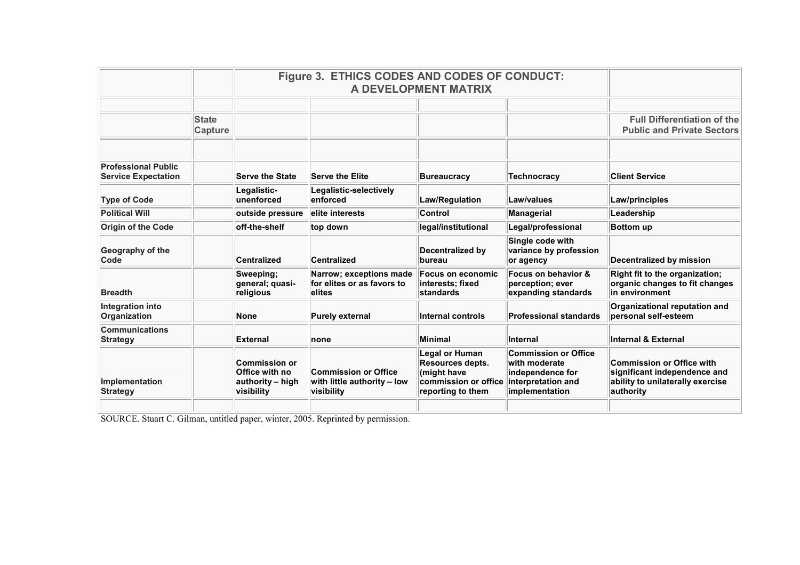|                                                          |                         | Figure 3. ETHICS CODES AND CODES OF CONDUCT:<br>A DEVELOPMENT MATRIX     |                                                                          |                                                                                                              |                                                                                                          |                                                                                                            |
|----------------------------------------------------------|-------------------------|--------------------------------------------------------------------------|--------------------------------------------------------------------------|--------------------------------------------------------------------------------------------------------------|----------------------------------------------------------------------------------------------------------|------------------------------------------------------------------------------------------------------------|
|                                                          | <b>State</b><br>Capture |                                                                          |                                                                          |                                                                                                              |                                                                                                          | <b>Full Differentiation of the</b><br><b>Public and Private Sectors</b>                                    |
| <b>Professional Public</b><br><b>Service Expectation</b> |                         | <b>Serve the State</b>                                                   | <b>Serve the Elite</b>                                                   | <b>Bureaucracy</b>                                                                                           | <b>Technocracy</b>                                                                                       | <b>Client Service</b>                                                                                      |
| <b>Type of Code</b>                                      |                         | Legalistic-<br>unenforced                                                | Legalistic-selectively<br>enforced                                       | Law/Regulation                                                                                               | Law/values                                                                                               | Law/principles                                                                                             |
| <b>Political Will</b>                                    |                         | outside pressure                                                         | elite interests                                                          | Control                                                                                                      | Managerial                                                                                               | Leadership                                                                                                 |
| Origin of the Code                                       |                         | off-the-shelf                                                            | top down                                                                 | legal/institutional                                                                                          | Legal/professional                                                                                       | <b>Bottom up</b>                                                                                           |
| Geography of the<br>Code                                 |                         | <b>Centralized</b>                                                       | Centralized                                                              | <b>Decentralized by</b><br><b>bureau</b>                                                                     | Single code with<br>variance by profession<br>or agency                                                  | <b>Decentralized by mission</b>                                                                            |
| <b>Breadth</b>                                           |                         | Sweeping:<br>general; quasi-<br>religious                                | Narrow; exceptions made<br>for elites or as favors to<br>elites          | <b>Focus on economic</b><br>interests: fixed<br><b>standards</b>                                             | Focus on behavior &<br>perception; ever<br>expanding standards                                           | <b>Right fit to the organization:</b><br>organic changes to fit changes<br>in environment                  |
| Integration into<br><b>Organization</b>                  |                         | <b>None</b>                                                              | <b>Purely external</b>                                                   | Internal controls                                                                                            | <b>Professional standards</b>                                                                            | Organizational reputation and<br>personal self-esteem                                                      |
| <b>Communications</b><br><b>Strategy</b>                 |                         | <b>External</b>                                                          | none                                                                     | Minimal                                                                                                      | <b>Internal</b>                                                                                          | <b>Internal &amp; External</b>                                                                             |
| Implementation<br><b>Strategy</b>                        |                         | <b>Commission or</b><br>Office with no<br>authority - high<br>visibility | <b>Commission or Office</b><br>with little authority - low<br>visibility | <b>Legal or Human</b><br><b>Resources depts.</b><br>(might have<br>commission or office<br>reporting to them | <b>Commission or Office</b><br>with moderate<br>independence for<br>interpretation and<br>implementation | Commission or Office with<br>significant independence and<br>ability to unilaterally exercise<br>authority |
|                                                          |                         |                                                                          |                                                                          |                                                                                                              |                                                                                                          |                                                                                                            |

SOURCE. Stuart C. Gilman, untitled paper, winter, 2005. Reprinted by permission.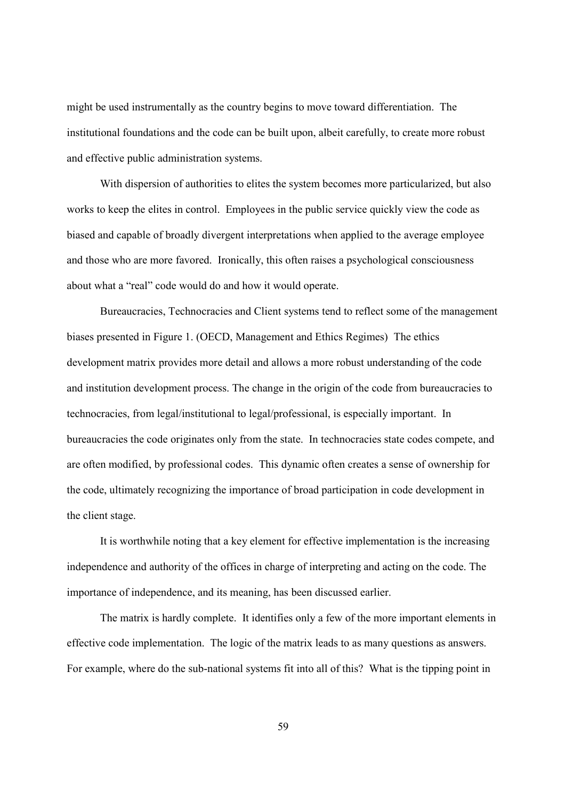might be used instrumentally as the country begins to move toward differentiation. The institutional foundations and the code can be built upon, albeit carefully, to create more robust and effective public administration systems.

 With dispersion of authorities to elites the system becomes more particularized, but also works to keep the elites in control. Employees in the public service quickly view the code as biased and capable of broadly divergent interpretations when applied to the average employee and those who are more favored. Ironically, this often raises a psychological consciousness about what a "real" code would do and how it would operate.

 Bureaucracies, Technocracies and Client systems tend to reflect some of the management biases presented in Figure 1. (OECD, Management and Ethics Regimes) The ethics development matrix provides more detail and allows a more robust understanding of the code and institution development process. The change in the origin of the code from bureaucracies to technocracies, from legal/institutional to legal/professional, is especially important. In bureaucracies the code originates only from the state. In technocracies state codes compete, and are often modified, by professional codes. This dynamic often creates a sense of ownership for the code, ultimately recognizing the importance of broad participation in code development in the client stage.

 It is worthwhile noting that a key element for effective implementation is the increasing independence and authority of the offices in charge of interpreting and acting on the code. The importance of independence, and its meaning, has been discussed earlier.

 The matrix is hardly complete. It identifies only a few of the more important elements in effective code implementation. The logic of the matrix leads to as many questions as answers. For example, where do the sub-national systems fit into all of this? What is the tipping point in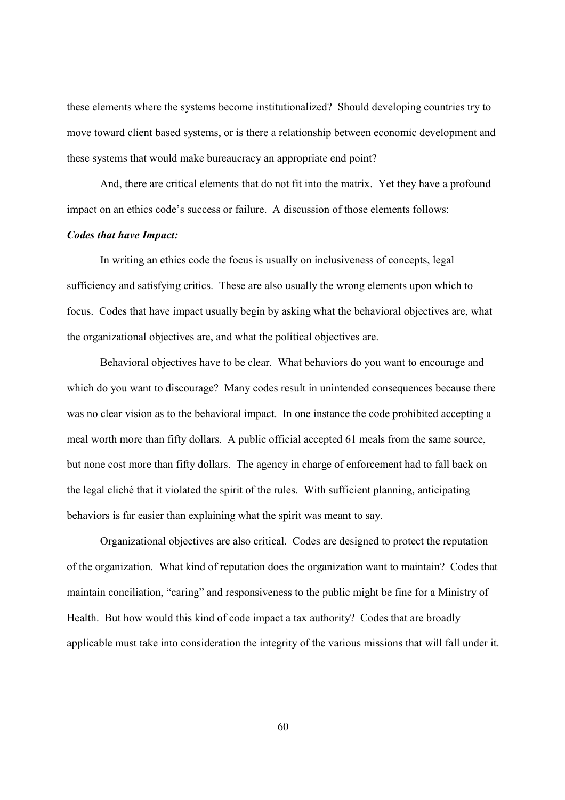these elements where the systems become institutionalized? Should developing countries try to move toward client based systems, or is there a relationship between economic development and these systems that would make bureaucracy an appropriate end point?

 And, there are critical elements that do not fit into the matrix. Yet they have a profound impact on an ethics code's success or failure. A discussion of those elements follows:

## *Codes that have Impact:*

 In writing an ethics code the focus is usually on inclusiveness of concepts, legal sufficiency and satisfying critics. These are also usually the wrong elements upon which to focus. Codes that have impact usually begin by asking what the behavioral objectives are, what the organizational objectives are, and what the political objectives are.

 Behavioral objectives have to be clear. What behaviors do you want to encourage and which do you want to discourage? Many codes result in unintended consequences because there was no clear vision as to the behavioral impact. In one instance the code prohibited accepting a meal worth more than fifty dollars. A public official accepted 61 meals from the same source, but none cost more than fifty dollars. The agency in charge of enforcement had to fall back on the legal cliché that it violated the spirit of the rules. With sufficient planning, anticipating behaviors is far easier than explaining what the spirit was meant to say.

 Organizational objectives are also critical. Codes are designed to protect the reputation of the organization. What kind of reputation does the organization want to maintain? Codes that maintain conciliation, "caring" and responsiveness to the public might be fine for a Ministry of Health. But how would this kind of code impact a tax authority? Codes that are broadly applicable must take into consideration the integrity of the various missions that will fall under it.

60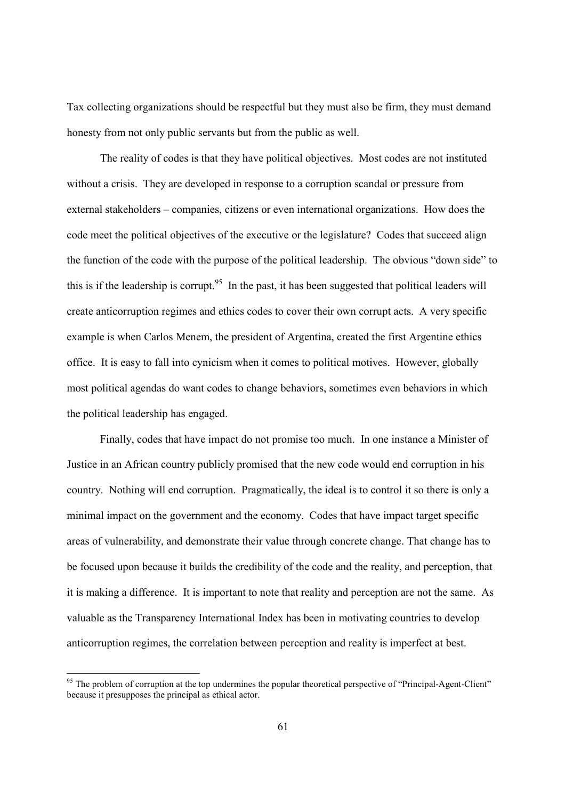Tax collecting organizations should be respectful but they must also be firm, they must demand honesty from not only public servants but from the public as well.

 The reality of codes is that they have political objectives. Most codes are not instituted without a crisis. They are developed in response to a corruption scandal or pressure from external stakeholders – companies, citizens or even international organizations. How does the code meet the political objectives of the executive or the legislature? Codes that succeed align the function of the code with the purpose of the political leadership. The obvious "down side" to this is if the leadership is corrupt.<sup>95</sup> In the past, it has been suggested that political leaders will create anticorruption regimes and ethics codes to cover their own corrupt acts. A very specific example is when Carlos Menem, the president of Argentina, created the first Argentine ethics office. It is easy to fall into cynicism when it comes to political motives. However, globally most political agendas do want codes to change behaviors, sometimes even behaviors in which the political leadership has engaged.

 Finally, codes that have impact do not promise too much. In one instance a Minister of Justice in an African country publicly promised that the new code would end corruption in his country. Nothing will end corruption. Pragmatically, the ideal is to control it so there is only a minimal impact on the government and the economy. Codes that have impact target specific areas of vulnerability, and demonstrate their value through concrete change. That change has to be focused upon because it builds the credibility of the code and the reality, and perception, that it is making a difference. It is important to note that reality and perception are not the same. As valuable as the Transparency International Index has been in motivating countries to develop anticorruption regimes, the correlation between perception and reality is imperfect at best.

 $\overline{a}$ 

 $95$  The problem of corruption at the top undermines the popular theoretical perspective of "Principal-Agent-Client" because it presupposes the principal as ethical actor.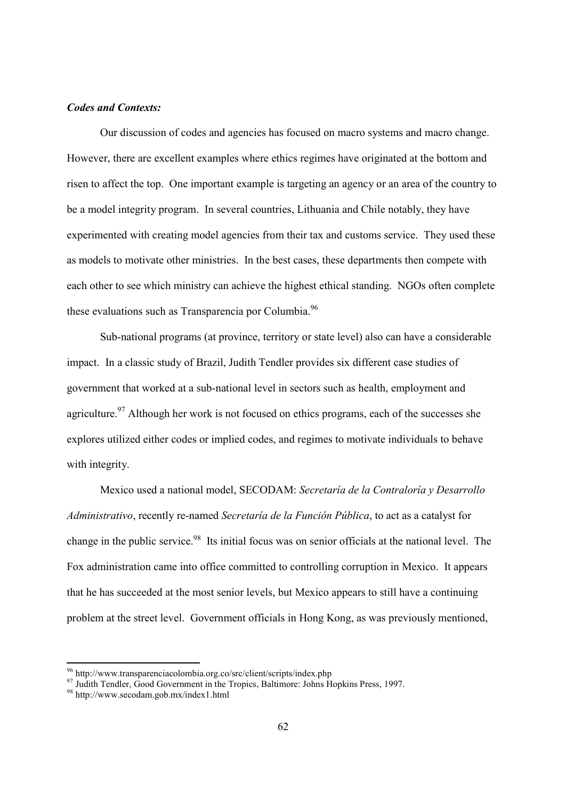## *Codes and Contexts:*

 Our discussion of codes and agencies has focused on macro systems and macro change. However, there are excellent examples where ethics regimes have originated at the bottom and risen to affect the top. One important example is targeting an agency or an area of the country to be a model integrity program. In several countries, Lithuania and Chile notably, they have experimented with creating model agencies from their tax and customs service. They used these as models to motivate other ministries. In the best cases, these departments then compete with each other to see which ministry can achieve the highest ethical standing. NGOs often complete these evaluations such as Transparencia por Columbia.<sup>96</sup>

 Sub-national programs (at province, territory or state level) also can have a considerable impact. In a classic study of Brazil, Judith Tendler provides six different case studies of government that worked at a sub-national level in sectors such as health, employment and agriculture.<sup>97</sup> Although her work is not focused on ethics programs, each of the successes she explores utilized either codes or implied codes, and regimes to motivate individuals to behave with integrity.

 Mexico used a national model, SECODAM: *Secretaría de la Contraloría y Desarrollo Administrativo*, recently re-named *Secretaría de la Función Pública*, to act as a catalyst for change in the public service.98 Its initial focus was on senior officials at the national level. The Fox administration came into office committed to controlling corruption in Mexico. It appears that he has succeeded at the most senior levels, but Mexico appears to still have a continuing problem at the street level. Government officials in Hong Kong, as was previously mentioned,

<sup>96</sup> http://www.transparenciacolombia.org.co/src/client/scripts/index.php

<sup>&</sup>lt;sup>97</sup> Judith Tendler, Good Government in the Tropics, Baltimore: Johns Hopkins Press, 1997.

<sup>98</sup> http://www.secodam.gob.mx/index1.html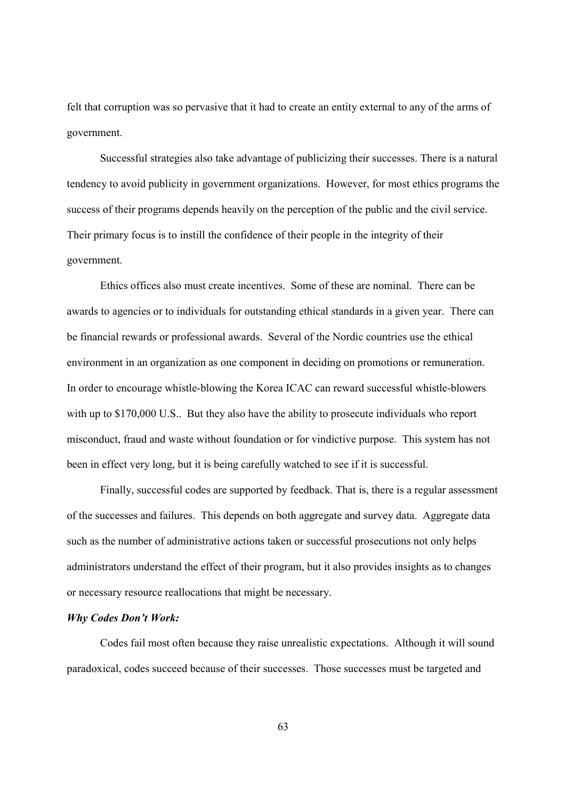felt that corruption was so pervasive that it had to create an entity external to any of the arms of government.

 Successful strategies also take advantage of publicizing their successes. There is a natural tendency to avoid publicity in government organizations. However, for most ethics programs the success of their programs depends heavily on the perception of the public and the civil service. Their primary focus is to instill the confidence of their people in the integrity of their government.

 Ethics offices also must create incentives. Some of these are nominal. There can be awards to agencies or to individuals for outstanding ethical standards in a given year. There can be financial rewards or professional awards. Several of the Nordic countries use the ethical environment in an organization as one component in deciding on promotions or remuneration. In order to encourage whistle-blowing the Korea ICAC can reward successful whistle-blowers with up to \$170,000 U.S.. But they also have the ability to prosecute individuals who report misconduct, fraud and waste without foundation or for vindictive purpose. This system has not been in effect very long, but it is being carefully watched to see if it is successful.

 Finally, successful codes are supported by feedback. That is, there is a regular assessment of the successes and failures. This depends on both aggregate and survey data. Aggregate data such as the number of administrative actions taken or successful prosecutions not only helps administrators understand the effect of their program, but it also provides insights as to changes or necessary resource reallocations that might be necessary.

## *Why Codes Don't Work:*

 Codes fail most often because they raise unrealistic expectations. Although it will sound paradoxical, codes succeed because of their successes. Those successes must be targeted and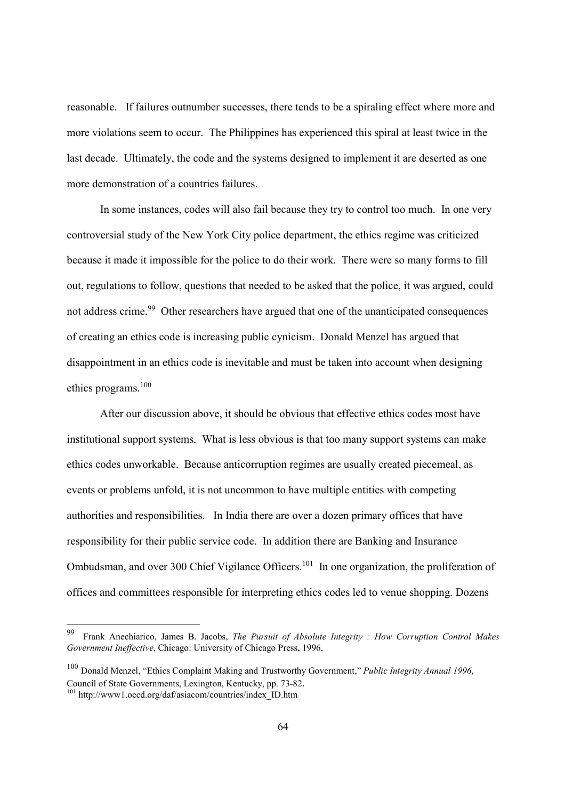reasonable. If failures outnumber successes, there tends to be a spiraling effect where more and more violations seem to occur. The Philippines has experienced this spiral at least twice in the last decade. Ultimately, the code and the systems designed to implement it are deserted as one more demonstration of a countries failures.

 In some instances, codes will also fail because they try to control too much. In one very controversial study of the New York City police department, the ethics regime was criticized because it made it impossible for the police to do their work. There were so many forms to fill out, regulations to follow, questions that needed to be asked that the police, it was argued, could not address crime.<sup>99</sup> Other researchers have argued that one of the unanticipated consequences of creating an ethics code is increasing public cynicism. Donald Menzel has argued that disappointment in an ethics code is inevitable and must be taken into account when designing ethics programs.<sup>100</sup>

 After our discussion above, it should be obvious that effective ethics codes most have institutional support systems. What is less obvious is that too many support systems can make ethics codes unworkable. Because anticorruption regimes are usually created piecemeal, as events or problems unfold, it is not uncommon to have multiple entities with competing authorities and responsibilities. In India there are over a dozen primary offices that have responsibility for their public service code. In addition there are Banking and Insurance Ombudsman, and over 300 Chief Vigilance Officers.<sup>101</sup> In one organization, the proliferation of offices and committees responsible for interpreting ethics codes led to venue shopping. Dozens

 $\overline{a}$ 

<sup>99</sup> Frank Anechiarico, James B. Jacobs, *The Pursuit of Absolute Integrity : How Corruption Control Makes Government Ineffective*, Chicago: University of Chicago Press, 1996.

<sup>100</sup> Donald Menzel, "Ethics Complaint Making and Trustworthy Government," *Public Integrity Annual 1996*, Council of State Governments, Lexington, Kentucky, pp. 73-82. 101 http://www1.oecd.org/daf/asiacom/countries/index\_ID.htm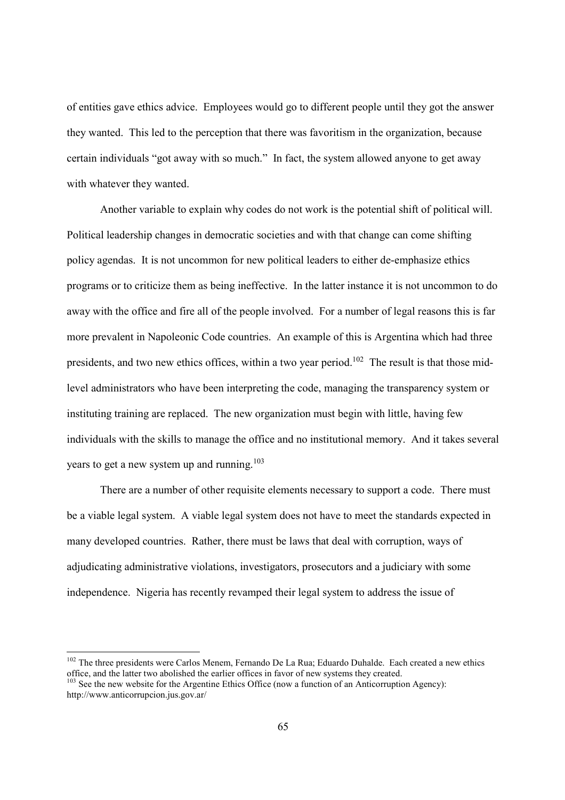of entities gave ethics advice. Employees would go to different people until they got the answer they wanted. This led to the perception that there was favoritism in the organization, because certain individuals "got away with so much." In fact, the system allowed anyone to get away with whatever they wanted.

 Another variable to explain why codes do not work is the potential shift of political will. Political leadership changes in democratic societies and with that change can come shifting policy agendas. It is not uncommon for new political leaders to either de-emphasize ethics programs or to criticize them as being ineffective. In the latter instance it is not uncommon to do away with the office and fire all of the people involved. For a number of legal reasons this is far more prevalent in Napoleonic Code countries. An example of this is Argentina which had three presidents, and two new ethics offices, within a two year period.<sup>102</sup> The result is that those midlevel administrators who have been interpreting the code, managing the transparency system or instituting training are replaced. The new organization must begin with little, having few individuals with the skills to manage the office and no institutional memory. And it takes several years to get a new system up and running.<sup>103</sup>

 There are a number of other requisite elements necessary to support a code. There must be a viable legal system. A viable legal system does not have to meet the standards expected in many developed countries. Rather, there must be laws that deal with corruption, ways of adjudicating administrative violations, investigators, prosecutors and a judiciary with some independence. Nigeria has recently revamped their legal system to address the issue of

<sup>&</sup>lt;sup>102</sup> The three presidents were Carlos Menem, Fernando De La Rua; Eduardo Duhalde. Each created a new ethics office, and the latter two abolished the earlier offices in favor of new systems they created.  $103$  See the new website for the Argentine Ethics Office (now a function of an Anticorruption Agency):

http://www.anticorrupcion.jus.gov.ar/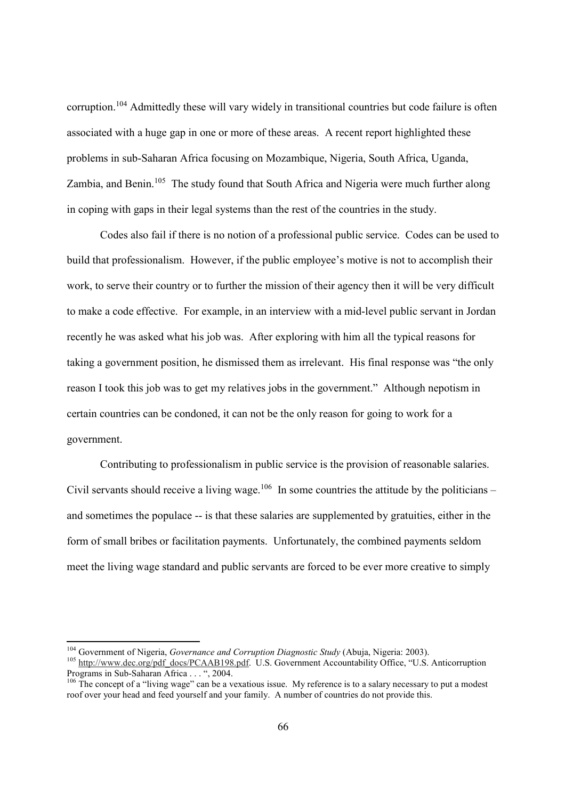corruption.104 Admittedly these will vary widely in transitional countries but code failure is often associated with a huge gap in one or more of these areas. A recent report highlighted these problems in sub-Saharan Africa focusing on Mozambique, Nigeria, South Africa, Uganda, Zambia, and Benin.<sup>105</sup> The study found that South Africa and Nigeria were much further along in coping with gaps in their legal systems than the rest of the countries in the study.

 Codes also fail if there is no notion of a professional public service. Codes can be used to build that professionalism. However, if the public employee's motive is not to accomplish their work, to serve their country or to further the mission of their agency then it will be very difficult to make a code effective. For example, in an interview with a mid-level public servant in Jordan recently he was asked what his job was. After exploring with him all the typical reasons for taking a government position, he dismissed them as irrelevant. His final response was "the only reason I took this job was to get my relatives jobs in the government." Although nepotism in certain countries can be condoned, it can not be the only reason for going to work for a government.

 Contributing to professionalism in public service is the provision of reasonable salaries. Civil servants should receive a living wage.<sup>106</sup> In some countries the attitude by the politicians – and sometimes the populace -- is that these salaries are supplemented by gratuities, either in the form of small bribes or facilitation payments. Unfortunately, the combined payments seldom meet the living wage standard and public servants are forced to be ever more creative to simply

<sup>&</sup>lt;sup>104</sup> Government of Nigeria, Governance and Corruption Diagnostic Study (Abuja, Nigeria: 2003).

<sup>&</sup>lt;sup>105</sup> http://www.dec.org/pdf\_docs/PCAAB198.pdf. U.S. Government Accountability Office, "U.S. Anticorruption Programs in Sub-Saharan Africa . . . ", 2004.

 $106$  The concept of a "living wage" can be a vexatious issue. My reference is to a salary necessary to put a modest roof over your head and feed yourself and your family. A number of countries do not provide this.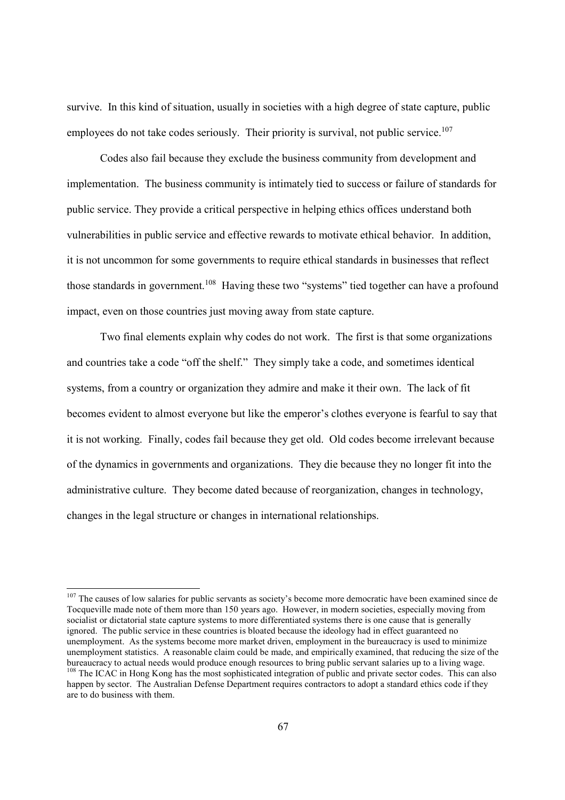survive. In this kind of situation, usually in societies with a high degree of state capture, public employees do not take codes seriously. Their priority is survival, not public service.<sup>107</sup>

 Codes also fail because they exclude the business community from development and implementation. The business community is intimately tied to success or failure of standards for public service. They provide a critical perspective in helping ethics offices understand both vulnerabilities in public service and effective rewards to motivate ethical behavior. In addition, it is not uncommon for some governments to require ethical standards in businesses that reflect those standards in government.<sup>108</sup> Having these two "systems" tied together can have a profound impact, even on those countries just moving away from state capture.

 Two final elements explain why codes do not work. The first is that some organizations and countries take a code "off the shelf." They simply take a code, and sometimes identical systems, from a country or organization they admire and make it their own. The lack of fit becomes evident to almost everyone but like the emperor's clothes everyone is fearful to say that it is not working. Finally, codes fail because they get old. Old codes become irrelevant because of the dynamics in governments and organizations. They die because they no longer fit into the administrative culture. They become dated because of reorganization, changes in technology, changes in the legal structure or changes in international relationships.

 $107$  The causes of low salaries for public servants as society's become more democratic have been examined since de Tocqueville made note of them more than 150 years ago. However, in modern societies, especially moving from socialist or dictatorial state capture systems to more differentiated systems there is one cause that is generally ignored. The public service in these countries is bloated because the ideology had in effect guaranteed no unemployment. As the systems become more market driven, employment in the bureaucracy is used to minimize unemployment statistics. A reasonable claim could be made, and empirically examined, that reducing the size of the bureaucracy to actual needs would produce enough resources to bring public servant salaries up to a living wage. <sup>108</sup> The ICAC in Hong Kong has the most sophisticated integration of public and private sector codes. This can also happen by sector. The Australian Defense Department requires contractors to adopt a standard ethics code if they are to do business with them.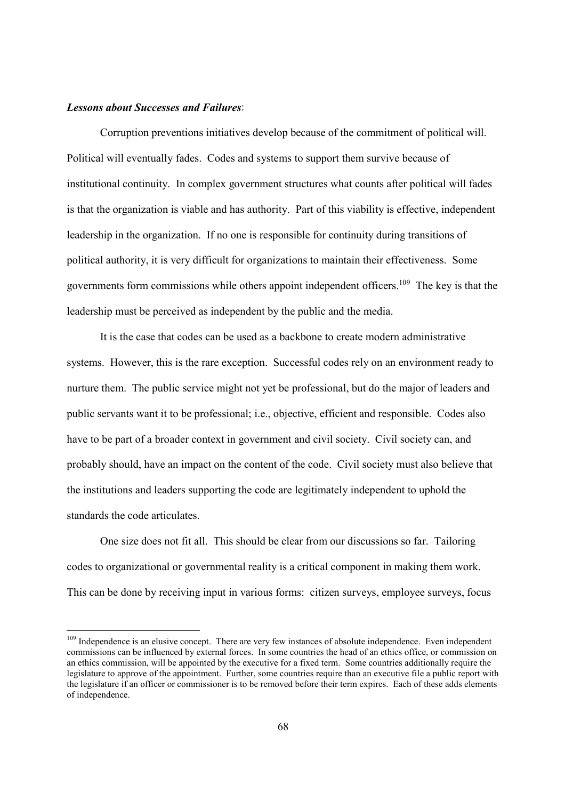#### *Lessons about Successes and Failures*:

-

 Corruption preventions initiatives develop because of the commitment of political will. Political will eventually fades. Codes and systems to support them survive because of institutional continuity. In complex government structures what counts after political will fades is that the organization is viable and has authority. Part of this viability is effective, independent leadership in the organization. If no one is responsible for continuity during transitions of political authority, it is very difficult for organizations to maintain their effectiveness. Some governments form commissions while others appoint independent officers.109 The key is that the leadership must be perceived as independent by the public and the media.

 It is the case that codes can be used as a backbone to create modern administrative systems. However, this is the rare exception. Successful codes rely on an environment ready to nurture them. The public service might not yet be professional, but do the major of leaders and public servants want it to be professional; i.e., objective, efficient and responsible. Codes also have to be part of a broader context in government and civil society. Civil society can, and probably should, have an impact on the content of the code. Civil society must also believe that the institutions and leaders supporting the code are legitimately independent to uphold the standards the code articulates.

 One size does not fit all. This should be clear from our discussions so far. Tailoring codes to organizational or governmental reality is a critical component in making them work. This can be done by receiving input in various forms: citizen surveys, employee surveys, focus

<sup>&</sup>lt;sup>109</sup> Independence is an elusive concept. There are very few instances of absolute independence. Even independent commissions can be influenced by external forces. In some countries the head of an ethics office, or commission on an ethics commission, will be appointed by the executive for a fixed term. Some countries additionally require the legislature to approve of the appointment. Further, some countries require than an executive file a public report with the legislature if an officer or commissioner is to be removed before their term expires. Each of these adds elements of independence.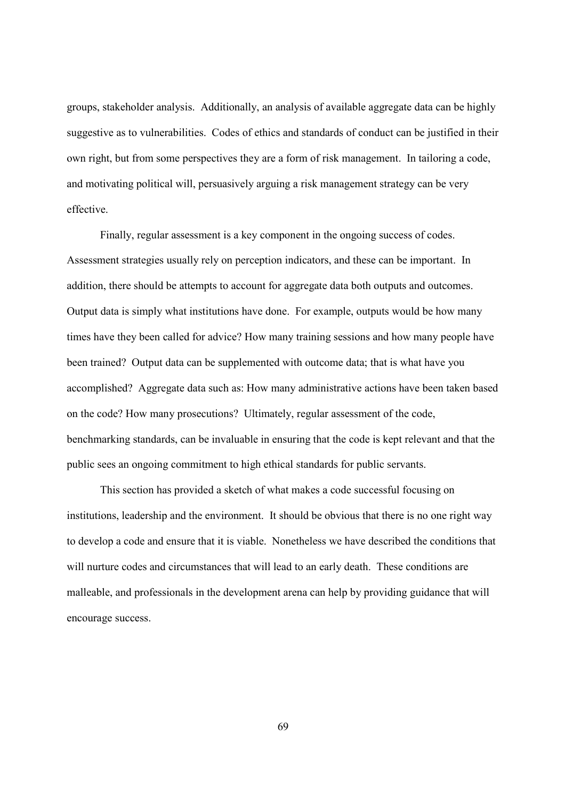groups, stakeholder analysis. Additionally, an analysis of available aggregate data can be highly suggestive as to vulnerabilities. Codes of ethics and standards of conduct can be justified in their own right, but from some perspectives they are a form of risk management. In tailoring a code, and motivating political will, persuasively arguing a risk management strategy can be very effective.

 Finally, regular assessment is a key component in the ongoing success of codes. Assessment strategies usually rely on perception indicators, and these can be important. In addition, there should be attempts to account for aggregate data both outputs and outcomes. Output data is simply what institutions have done. For example, outputs would be how many times have they been called for advice? How many training sessions and how many people have been trained? Output data can be supplemented with outcome data; that is what have you accomplished? Aggregate data such as: How many administrative actions have been taken based on the code? How many prosecutions? Ultimately, regular assessment of the code, benchmarking standards, can be invaluable in ensuring that the code is kept relevant and that the public sees an ongoing commitment to high ethical standards for public servants.

 This section has provided a sketch of what makes a code successful focusing on institutions, leadership and the environment. It should be obvious that there is no one right way to develop a code and ensure that it is viable. Nonetheless we have described the conditions that will nurture codes and circumstances that will lead to an early death. These conditions are malleable, and professionals in the development arena can help by providing guidance that will encourage success.

69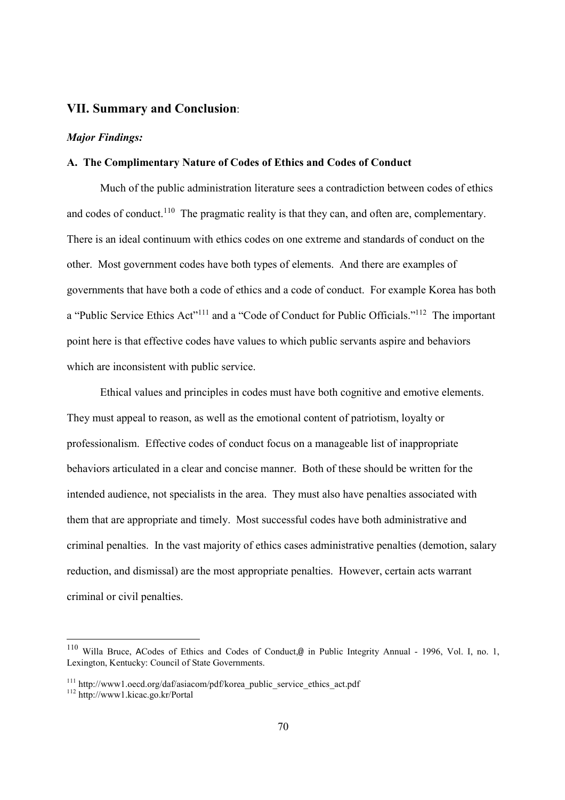# **VII. Summary and Conclusion**:

#### *Major Findings:*

## **A. The Complimentary Nature of Codes of Ethics and Codes of Conduct**

 Much of the public administration literature sees a contradiction between codes of ethics and codes of conduct.<sup>110</sup> The pragmatic reality is that they can, and often are, complementary. There is an ideal continuum with ethics codes on one extreme and standards of conduct on the other. Most government codes have both types of elements. And there are examples of governments that have both a code of ethics and a code of conduct. For example Korea has both a "Public Service Ethics Act"111 and a "Code of Conduct for Public Officials."112 The important point here is that effective codes have values to which public servants aspire and behaviors which are inconsistent with public service.

 Ethical values and principles in codes must have both cognitive and emotive elements. They must appeal to reason, as well as the emotional content of patriotism, loyalty or professionalism. Effective codes of conduct focus on a manageable list of inappropriate behaviors articulated in a clear and concise manner. Both of these should be written for the intended audience, not specialists in the area. They must also have penalties associated with them that are appropriate and timely. Most successful codes have both administrative and criminal penalties. In the vast majority of ethics cases administrative penalties (demotion, salary reduction, and dismissal) are the most appropriate penalties. However, certain acts warrant criminal or civil penalties.

<sup>110</sup> Willa Bruce, ACodes of Ethics and Codes of Conduct,@ in Public Integrity Annual - 1996, Vol. I, no. 1, Lexington, Kentucky: Council of State Governments.

 $^{111}$ http://www1.oecd.org/daf/asiacom/pdf/korea\_public\_service\_ethics\_act.pdf  $^{112}$  http://www1.kicac.go.kr/Portal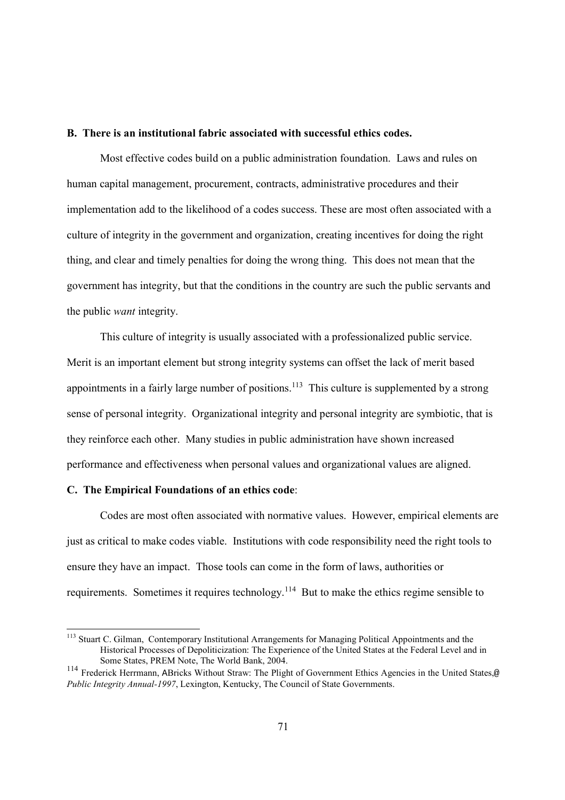### **B. There is an institutional fabric associated with successful ethics codes.**

 Most effective codes build on a public administration foundation. Laws and rules on human capital management, procurement, contracts, administrative procedures and their implementation add to the likelihood of a codes success. These are most often associated with a culture of integrity in the government and organization, creating incentives for doing the right thing, and clear and timely penalties for doing the wrong thing. This does not mean that the government has integrity, but that the conditions in the country are such the public servants and the public *want* integrity.

 This culture of integrity is usually associated with a professionalized public service. Merit is an important element but strong integrity systems can offset the lack of merit based appointments in a fairly large number of positions.<sup>113</sup> This culture is supplemented by a strong sense of personal integrity. Organizational integrity and personal integrity are symbiotic, that is they reinforce each other. Many studies in public administration have shown increased performance and effectiveness when personal values and organizational values are aligned.

#### **C. The Empirical Foundations of an ethics code**:

-

 Codes are most often associated with normative values. However, empirical elements are just as critical to make codes viable. Institutions with code responsibility need the right tools to ensure they have an impact. Those tools can come in the form of laws, authorities or requirements. Sometimes it requires technology.114 But to make the ethics regime sensible to

<sup>&</sup>lt;sup>113</sup> Stuart C. Gilman, Contemporary Institutional Arrangements for Managing Political Appointments and the Historical Processes of Depoliticization: The Experience of the United States at the Federal Level and in Some States, PREM Note, The World Bank, 2004.

<sup>114</sup> Frederick Herrmann, ABricks Without Straw: The Plight of Government Ethics Agencies in the United States,@ *Public Integrity Annual-1997*, Lexington, Kentucky, The Council of State Governments.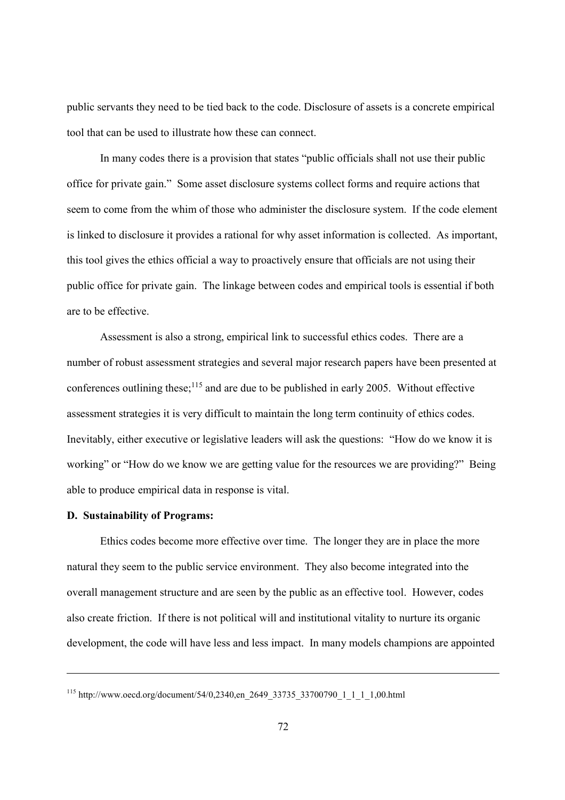public servants they need to be tied back to the code. Disclosure of assets is a concrete empirical tool that can be used to illustrate how these can connect.

 In many codes there is a provision that states "public officials shall not use their public office for private gain." Some asset disclosure systems collect forms and require actions that seem to come from the whim of those who administer the disclosure system. If the code element is linked to disclosure it provides a rational for why asset information is collected. As important, this tool gives the ethics official a way to proactively ensure that officials are not using their public office for private gain. The linkage between codes and empirical tools is essential if both are to be effective.

 Assessment is also a strong, empirical link to successful ethics codes. There are a number of robust assessment strategies and several major research papers have been presented at conferences outlining these;<sup>115</sup> and are due to be published in early 2005. Without effective assessment strategies it is very difficult to maintain the long term continuity of ethics codes. Inevitably, either executive or legislative leaders will ask the questions: "How do we know it is working" or "How do we know we are getting value for the resources we are providing?" Being able to produce empirical data in response is vital.

## **D. Sustainability of Programs:**

 $\overline{a}$ 

 Ethics codes become more effective over time. The longer they are in place the more natural they seem to the public service environment. They also become integrated into the overall management structure and are seen by the public as an effective tool. However, codes also create friction. If there is not political will and institutional vitality to nurture its organic development, the code will have less and less impact. In many models champions are appointed

<sup>115</sup> http://www.oecd.org/document/54/0,2340,en\_2649\_33735\_33700790\_1\_1\_1\_1,00.html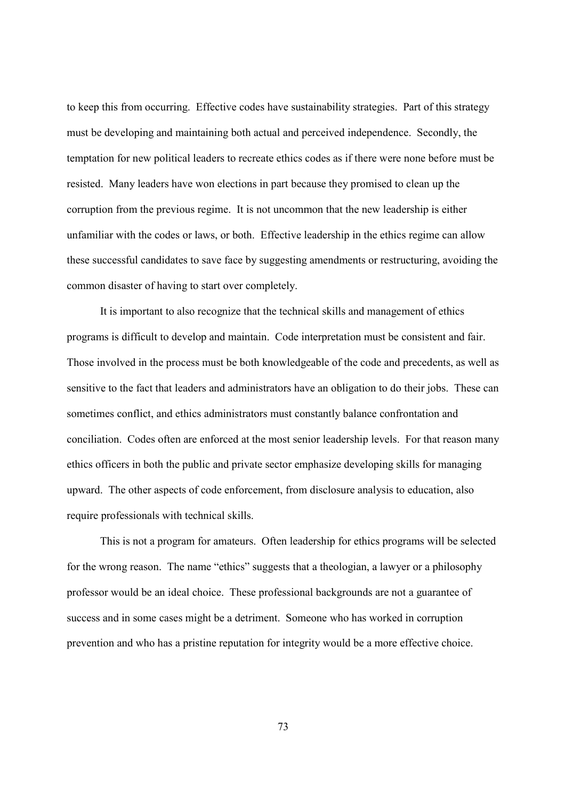to keep this from occurring. Effective codes have sustainability strategies. Part of this strategy must be developing and maintaining both actual and perceived independence. Secondly, the temptation for new political leaders to recreate ethics codes as if there were none before must be resisted. Many leaders have won elections in part because they promised to clean up the corruption from the previous regime. It is not uncommon that the new leadership is either unfamiliar with the codes or laws, or both. Effective leadership in the ethics regime can allow these successful candidates to save face by suggesting amendments or restructuring, avoiding the common disaster of having to start over completely.

 It is important to also recognize that the technical skills and management of ethics programs is difficult to develop and maintain. Code interpretation must be consistent and fair. Those involved in the process must be both knowledgeable of the code and precedents, as well as sensitive to the fact that leaders and administrators have an obligation to do their jobs. These can sometimes conflict, and ethics administrators must constantly balance confrontation and conciliation. Codes often are enforced at the most senior leadership levels. For that reason many ethics officers in both the public and private sector emphasize developing skills for managing upward. The other aspects of code enforcement, from disclosure analysis to education, also require professionals with technical skills.

 This is not a program for amateurs. Often leadership for ethics programs will be selected for the wrong reason. The name "ethics" suggests that a theologian, a lawyer or a philosophy professor would be an ideal choice. These professional backgrounds are not a guarantee of success and in some cases might be a detriment. Someone who has worked in corruption prevention and who has a pristine reputation for integrity would be a more effective choice.

73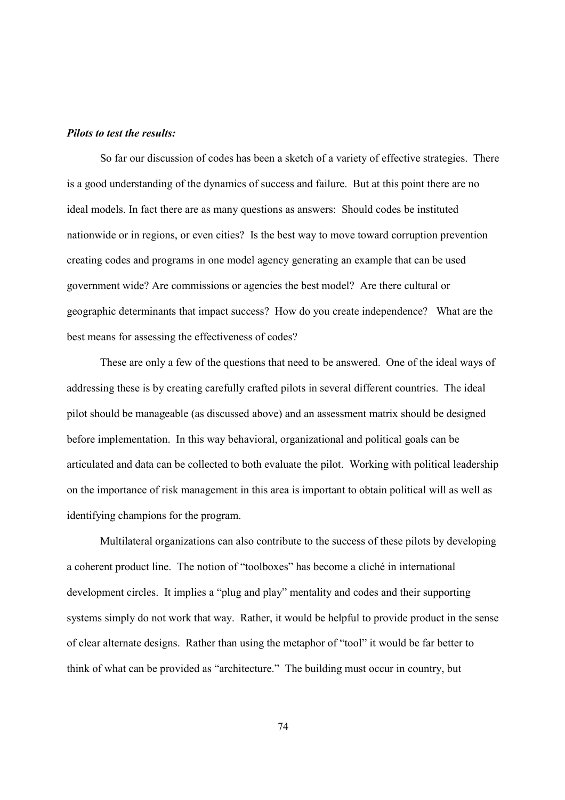## *Pilots to test the results:*

 So far our discussion of codes has been a sketch of a variety of effective strategies. There is a good understanding of the dynamics of success and failure. But at this point there are no ideal models. In fact there are as many questions as answers: Should codes be instituted nationwide or in regions, or even cities? Is the best way to move toward corruption prevention creating codes and programs in one model agency generating an example that can be used government wide? Are commissions or agencies the best model? Are there cultural or geographic determinants that impact success? How do you create independence? What are the best means for assessing the effectiveness of codes?

 These are only a few of the questions that need to be answered. One of the ideal ways of addressing these is by creating carefully crafted pilots in several different countries. The ideal pilot should be manageable (as discussed above) and an assessment matrix should be designed before implementation. In this way behavioral, organizational and political goals can be articulated and data can be collected to both evaluate the pilot. Working with political leadership on the importance of risk management in this area is important to obtain political will as well as identifying champions for the program.

 Multilateral organizations can also contribute to the success of these pilots by developing a coherent product line. The notion of "toolboxes" has become a cliché in international development circles. It implies a "plug and play" mentality and codes and their supporting systems simply do not work that way. Rather, it would be helpful to provide product in the sense of clear alternate designs. Rather than using the metaphor of "tool" it would be far better to think of what can be provided as "architecture." The building must occur in country, but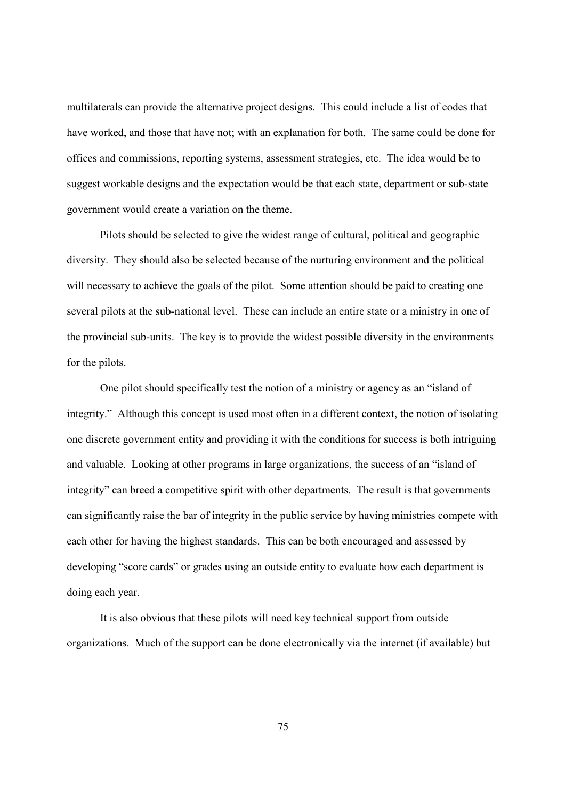multilaterals can provide the alternative project designs. This could include a list of codes that have worked, and those that have not; with an explanation for both. The same could be done for offices and commissions, reporting systems, assessment strategies, etc. The idea would be to suggest workable designs and the expectation would be that each state, department or sub-state government would create a variation on the theme.

 Pilots should be selected to give the widest range of cultural, political and geographic diversity. They should also be selected because of the nurturing environment and the political will necessary to achieve the goals of the pilot. Some attention should be paid to creating one several pilots at the sub-national level. These can include an entire state or a ministry in one of the provincial sub-units. The key is to provide the widest possible diversity in the environments for the pilots.

 One pilot should specifically test the notion of a ministry or agency as an "island of integrity." Although this concept is used most often in a different context, the notion of isolating one discrete government entity and providing it with the conditions for success is both intriguing and valuable. Looking at other programs in large organizations, the success of an "island of integrity" can breed a competitive spirit with other departments. The result is that governments can significantly raise the bar of integrity in the public service by having ministries compete with each other for having the highest standards. This can be both encouraged and assessed by developing "score cards" or grades using an outside entity to evaluate how each department is doing each year.

 It is also obvious that these pilots will need key technical support from outside organizations. Much of the support can be done electronically via the internet (if available) but

75